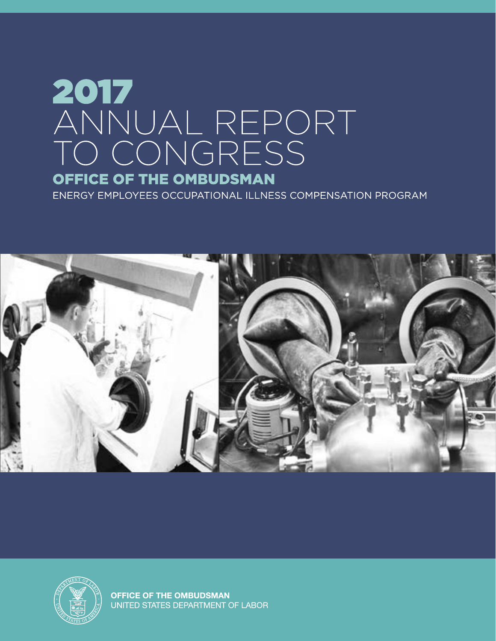# 2017 ANNUAL REPORT<br>TO CONGRESS OFFICE OF THE OMBUDSMAN

ENERGY EMPLOYEES OCCUPATIONAL ILLNESS COMPENSATION PROGRAM





**OFFICE OF THE OMBUDSMAN** UNITED STATES DEPARTMENT OF LABOR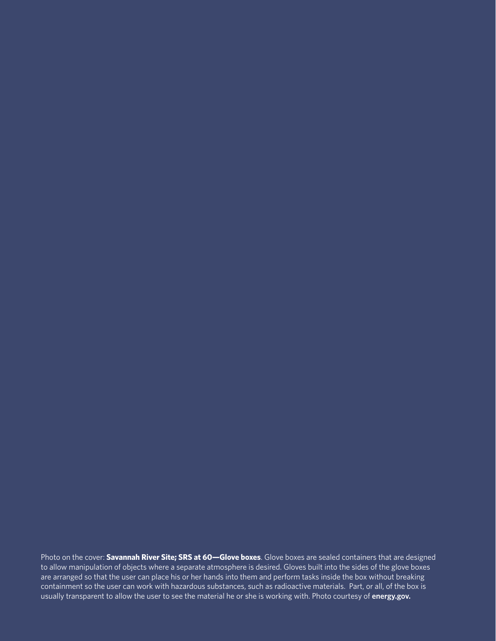Photo on the cover: **Savannah River Site; SRS at 60—Glove boxes**. Glove boxes are sealed containers that are designed to allow manipulation of objects where a separate atmosphere is desired. Gloves built into the sides of the glove boxes are arranged so that the user can place his or her hands into them and perform tasks inside the box without breaking containment so the user can work with hazardous substances, such as radioactive materials. Part, or all, of the box is usually transparent to allow the user to see the material he or she is working with. Photo courtesy of **[energy.gov.](http://www.energy.gov)**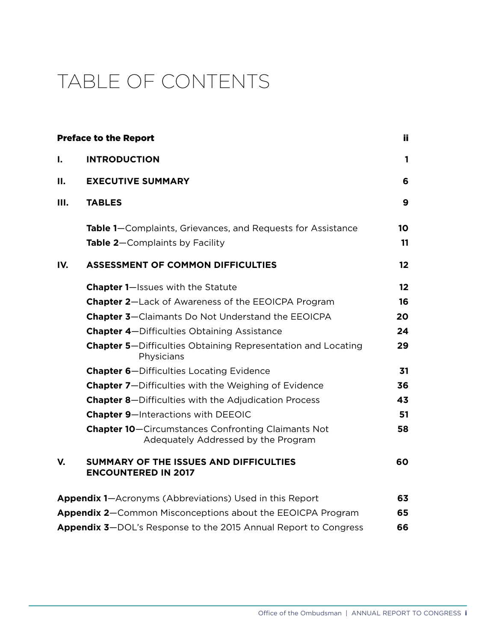# TABLE OF CONTENTS

|     | <b>Preface to the Report</b>                                                                     | ii.             |
|-----|--------------------------------------------------------------------------------------------------|-----------------|
| Τ.  | <b>INTRODUCTION</b>                                                                              | 1               |
| П.  | <b>EXECUTIVE SUMMARY</b>                                                                         | 6               |
| Ш.  | <b>TABLES</b>                                                                                    | 9               |
|     | Table 1–Complaints, Grievances, and Requests for Assistance                                      | 10              |
|     | Table 2-Complaints by Facility                                                                   | 11              |
| IV. | <b>ASSESSMENT OF COMMON DIFFICULTIES</b>                                                         | 12 <sub>2</sub> |
|     | Chapter 1-Issues with the Statute                                                                | 12              |
|     | <b>Chapter 2-Lack of Awareness of the EEOICPA Program</b>                                        | 16              |
|     | <b>Chapter 3-Claimants Do Not Understand the EEOICPA</b>                                         | 20              |
|     | <b>Chapter 4-Difficulties Obtaining Assistance</b>                                               | 24              |
|     | <b>Chapter 5-Difficulties Obtaining Representation and Locating</b><br>Physicians                | 29              |
|     | <b>Chapter 6-Difficulties Locating Evidence</b>                                                  | 31              |
|     | <b>Chapter 7-Difficulties with the Weighing of Evidence</b>                                      | 36              |
|     | <b>Chapter 8-Difficulties with the Adjudication Process</b>                                      | 43              |
|     | <b>Chapter 9-Interactions with DEEOIC</b>                                                        | 51              |
|     | <b>Chapter 10-Circumstances Confronting Claimants Not</b><br>Adequately Addressed by the Program | 58              |
| V.  | SUMMARY OF THE ISSUES AND DIFFICULTIES<br><b>ENCOUNTERED IN 2017</b>                             | 60              |
|     | <b>Appendix 1-Acronyms (Abbreviations) Used in this Report</b>                                   | 63              |
|     | Appendix 2-Common Misconceptions about the EEOICPA Program                                       | 65              |
|     | Appendix 3-DOL's Response to the 2015 Annual Report to Congress                                  | 66              |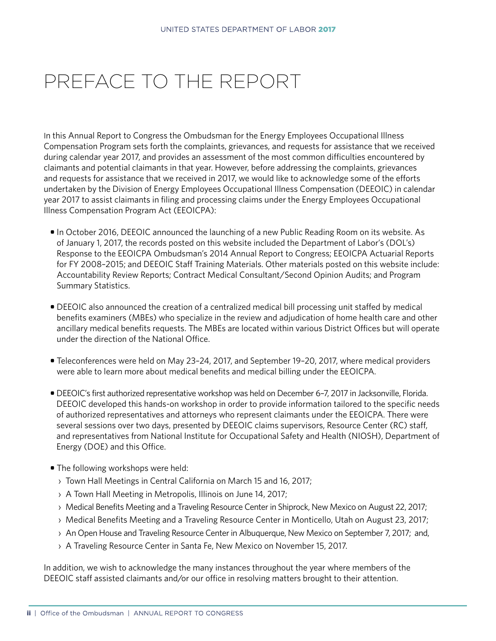# <span id="page-3-0"></span>PREFACE TO THE REPORT

In this Annual Report to Congress the Ombudsman for the Energy Employees Occupational Illness Compensation Program sets forth the complaints, grievances, and requests for assistance that we received during calendar year 2017, and provides an assessment of the most common difficulties encountered by claimants and potential claimants in that year. However, before addressing the complaints, grievances and requests for assistance that we received in 2017, we would like to acknowledge some of the efforts undertaken by the Division of Energy Employees Occupational Illness Compensation (DEEOIC) in calendar year 2017 to assist claimants in filing and processing claims under the Energy Employees Occupational Illness Compensation Program Act (EEOICPA):

- In October 2016, DEEOIC announced the launching of a new Public Reading Room on its website. As of January 1, 2017, the records posted on this website included the Department of Labor's (DOL's) Response to the EEOICPA Ombudsman's 2014 Annual Report to Congress; EEOICPA Actuarial Reports for FY 2008–2015; and DEEOIC Staff Training Materials. Other materials posted on this website include: Accountability Review Reports; Contract Medical Consultant/Second Opinion Audits; and Program Summary Statistics.
- DEEOIC also announced the creation of a centralized medical bill processing unit staffed by medical benefits examiners (MBEs) who specialize in the review and adjudication of home health care and other ancillary medical benefits requests. The MBEs are located within various District Offices but will operate under the direction of the National Office.
- Teleconferences were held on May 23–24, 2017, and September 19–20, 2017, where medical providers were able to learn more about medical benefits and medical billing under the EEOICPA.
- DEEOIC's first authorized representative workshop was held on December 6–7, 2017 in Jacksonville, Florida. DEEOIC developed this hands-on workshop in order to provide information tailored to the specific needs of authorized representatives and attorneys who represent claimants under the EEOICPA. There were several sessions over two days, presented by DEEOIC claims supervisors, Resource Center (RC) staff, and representatives from National Institute for Occupational Safety and Health (NIOSH), Department of Energy (DOE) and this Office.
- The following workshops were held:
	- › Town Hall Meetings in Central California on March 15 and 16, 2017;
	- › A Town Hall Meeting in Metropolis, Illinois on June 14, 2017;
	- › Medical Benefits Meeting and a Traveling Resource Center in Shiprock, New Mexico on August 22, 2017;
	- › Medical Benefits Meeting and a Traveling Resource Center in Monticello, Utah on August 23, 2017;
	- › An Open House and Traveling Resource Center in Albuquerque, New Mexico on September 7, 2017; and,
	- › A Traveling Resource Center in Santa Fe, New Mexico on November 15, 2017.

In addition, we wish to acknowledge the many instances throughout the year where members of the DEEOIC staff assisted claimants and/or our office in resolving matters brought to their attention.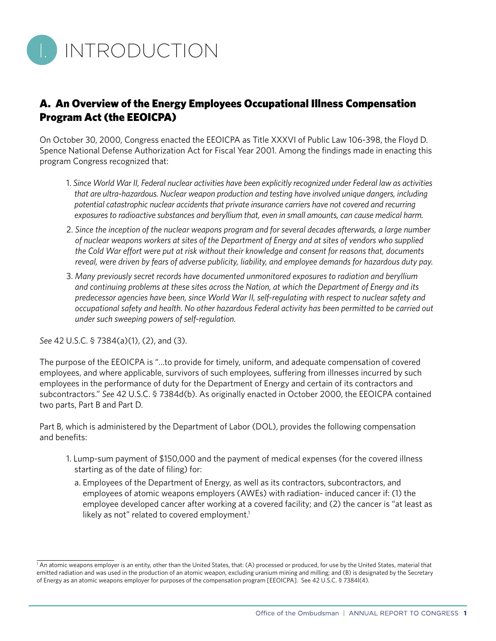<span id="page-6-0"></span>

#### A. An Overview of the Energy Employees Occupational Illness Compensation Program Act (the EEOICPA)

On October 30, 2000, Congress enacted the EEOICPA as Title XXXVI of Public Law 106-398, the Floyd D. Spence National Defense Authorization Act for Fiscal Year 2001. Among the findings made in enacting this program Congress recognized that:

- 1. *Since World War II, Federal nuclear activities have been explicitly recognized under Federal law as activities that are ultra-hazardous. Nuclear weapon production and testing have involved unique dangers, including potential catastrophic nuclear accidents that private insurance carriers have not covered and recurring exposures to radioactive substances and beryllium that, even in small amounts, can cause medical harm.*
- 2. *Since the inception of the nuclear weapons program and for several decades afterwards, a large number of nuclear weapons workers at sites of the Department of Energy and at sites of vendors who supplied the Cold War effort were put at risk without their knowledge and consent for reasons that, documents reveal, were driven by fears of adverse publicity, liability, and employee demands for hazardous duty pay.*
- 3. *Many previously secret records have documented unmonitored exposures to radiation and beryllium and continuing problems at these sites across the Nation, at which the Department of Energy and its predecessor agencies have been, since World War II, self-regulating with respect to nuclear safety and occupational safety and health. No other hazardous Federal activity has been permitted to be carried out under such sweeping powers of self-regulation.*

*See* 42 U.S.C. § 7384(a)(1), (2), and (3).

The purpose of the EEOICPA is "…to provide for timely, uniform, and adequate compensation of covered employees, and where applicable, survivors of such employees, suffering from illnesses incurred by such employees in the performance of duty for the Department of Energy and certain of its contractors and subcontractors." *See* 42 U.S.C. § 7384d(b). As originally enacted in October 2000, the EEOICPA contained two parts, Part B and Part D.

Part B, which is administered by the Department of Labor (DOL), provides the following compensation and benefits:

- 1. Lump-sum payment of \$150,000 and the payment of medical expenses (for the covered illness starting as of the date of filing) for:
	- a. Employees of the Department of Energy, as well as its contractors, subcontractors, and employees of atomic weapons employers (AWEs) with radiation- induced cancer if: (1) the employee developed cancer after working at a covered facility; and (2) the cancer is "at least as likely as not" related to covered employment.<sup>1</sup>

<sup>&</sup>lt;sup>1</sup> An atomic weapons employer is an entity, other than the United States, that: (A) processed or produced, for use by the United States, material that emitted radiation and was used in the production of an atomic weapon, excluding uranium mining and milling; and (B) is designated by the Secretary of Energy as an atomic weapons employer for purposes of the compensation program [EEOICPA]. See 42 U.S.C. § 7384l(4).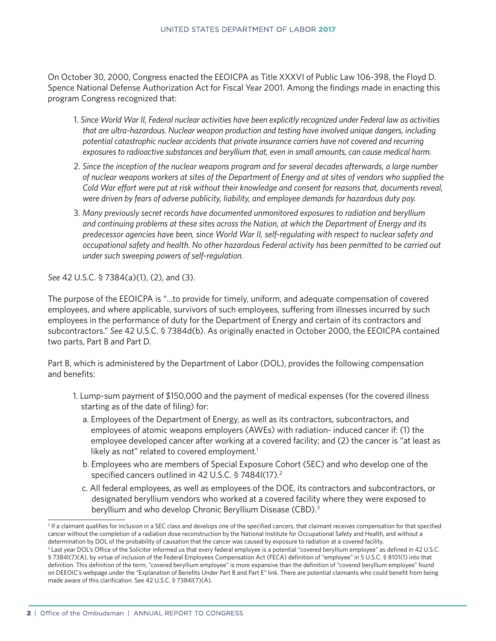On October 30, 2000, Congress enacted the EEOICPA as Title XXXVI of Public Law 106-398, the Floyd D. Spence National Defense Authorization Act for Fiscal Year 2001. Among the findings made in enacting this program Congress recognized that:

- 1. *Since World War II, Federal nuclear activities have been explicitly recognized under Federal law as activities that are ultra-hazardous. Nuclear weapon production and testing have involved unique dangers, including potential catastrophic nuclear accidents that private insurance carriers have not covered and recurring exposures to radioactive substances and beryllium that, even in small amounts, can cause medical harm.*
- 2. *Since the inception of the nuclear weapons program and for several decades afterwards, a large number of nuclear weapons workers at sites of the Department of Energy and at sites of vendors who supplied the Cold War effort were put at risk without their knowledge and consent for reasons that, documents reveal, were driven by fears of adverse publicity, liability, and employee demands for hazardous duty pay.*
- 3. *Many previously secret records have documented unmonitored exposures to radiation and beryllium and continuing problems at these sites across the Nation, at which the Department of Energy and its predecessor agencies have been, since World War II, self-regulating with respect to nuclear safety and occupational safety and health. No other hazardous Federal activity has been permitted to be carried out under such sweeping powers of self-regulation.*

*See* 42 U.S.C. § 7384(a)(1), (2), and (3).

The purpose of the EEOICPA is "…to provide for timely, uniform, and adequate compensation of covered employees, and where applicable, survivors of such employees, suffering from illnesses incurred by such employees in the performance of duty for the Department of Energy and certain of its contractors and subcontractors." *See* 42 U.S.C. § 7384d(b). As originally enacted in October 2000, the EEOICPA contained two parts, Part B and Part D.

Part B, which is administered by the Department of Labor (DOL), provides the following compensation and benefits:

- 1. Lump-sum payment of \$150,000 and the payment of medical expenses (for the covered illness starting as of the date of filing) for:
	- a. Employees of the Department of Energy, as well as its contractors, subcontractors, and employees of atomic weapons employers (AWEs) with radiation- induced cancer if: (1) the employee developed cancer after working at a covered facility; and (2) the cancer is "at least as likely as not" related to covered employment.<sup>1</sup>
	- b. Employees who are members of Special Exposure Cohort (SEC) and who develop one of the specified cancers outlined in 42 U.S.C. § 7484I(17).<sup>2</sup>
	- c. All federal employees, as well as employees of the DOE, its contractors and subcontractors, or designated beryllium vendors who worked at a covered facility where they were exposed to beryllium and who develop Chronic Beryllium Disease (CBD).3

<sup>2</sup> If a claimant qualifies for inclusion in a SEC class and develops one of the specified cancers, that claimant receives compensation for that specified cancer without the completion of a radiation dose reconstruction by the National Institute for Occupational Safety and Health, and without a determination by DOL of the probability of causation that the cancer was caused by exposure to radiation at a covered facility.

<sup>&</sup>lt;sup>3</sup> Last year DOL's Office of the Solicitor informed us that every federal employee is a potential "covered beryllium employee" as defined in 42 U.S.C. § 7384l(7)(A), by virtue of inclusion of the Federal Employees Compensation Act (FECA) definition of "employee" in 5 U.S.C. § 8101(1) into that definition. This definition of the term, "covered beryllium employee" is more expansive than the definition of "covered beryllium employee" found on DEEOIC's webpage under the "Explanation of Benefits Under Part B and Part E" link. There are potential claimants who could benefit from being made aware of this clarification. See 42 U.S.C. § 7384l(7)(A).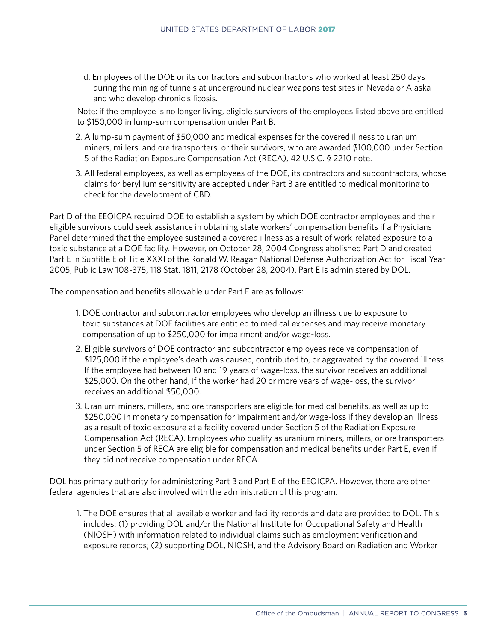d. Employees of the DOE or its contractors and subcontractors who worked at least 250 days during the mining of tunnels at underground nuclear weapons test sites in Nevada or Alaska and who develop chronic silicosis.

Note: if the employee is no longer living, eligible survivors of the employees listed above are entitled to \$150,000 in lump-sum compensation under Part B.

- 2. A lump-sum payment of \$50,000 and medical expenses for the covered illness to uranium miners, millers, and ore transporters, or their survivors, who are awarded \$100,000 under Section 5 of the Radiation Exposure Compensation Act (RECA), 42 U.S.C. § 2210 note.
- 3. All federal employees, as well as employees of the DOE, its contractors and subcontractors, whose claims for beryllium sensitivity are accepted under Part B are entitled to medical monitoring to check for the development of CBD.

Part D of the EEOICPA required DOE to establish a system by which DOE contractor employees and their eligible survivors could seek assistance in obtaining state workers' compensation benefits if a Physicians Panel determined that the employee sustained a covered illness as a result of work-related exposure to a toxic substance at a DOE facility. However, on October 28, 2004 Congress abolished Part D and created Part E in Subtitle E of Title XXXI of the Ronald W. Reagan National Defense Authorization Act for Fiscal Year 2005, Public Law 108-375, 118 Stat. 1811, 2178 (October 28, 2004). Part E is administered by DOL.

The compensation and benefits allowable under Part E are as follows:

- 1. DOE contractor and subcontractor employees who develop an illness due to exposure to toxic substances at DOE facilities are entitled to medical expenses and may receive monetary compensation of up to \$250,000 for impairment and/or wage-loss.
- 2. Eligible survivors of DOE contractor and subcontractor employees receive compensation of \$125,000 if the employee's death was caused, contributed to, or aggravated by the covered illness. If the employee had between 10 and 19 years of wage-loss, the survivor receives an additional \$25,000. On the other hand, if the worker had 20 or more years of wage-loss, the survivor receives an additional \$50,000.
- 3. Uranium miners, millers, and ore transporters are eligible for medical benefits, as well as up to \$250,000 in monetary compensation for impairment and/or wage-loss if they develop an illness as a result of toxic exposure at a facility covered under Section 5 of the Radiation Exposure Compensation Act (RECA). Employees who qualify as uranium miners, millers, or ore transporters under Section 5 of RECA are eligible for compensation and medical benefits under Part E, even if they did not receive compensation under RECA.

DOL has primary authority for administering Part B and Part E of the EEOICPA. However, there are other federal agencies that are also involved with the administration of this program.

1. The DOE ensures that all available worker and facility records and data are provided to DOL. This includes: (1) providing DOL and/or the National Institute for Occupational Safety and Health (NIOSH) with information related to individual claims such as employment verification and exposure records; (2) supporting DOL, NIOSH, and the Advisory Board on Radiation and Worker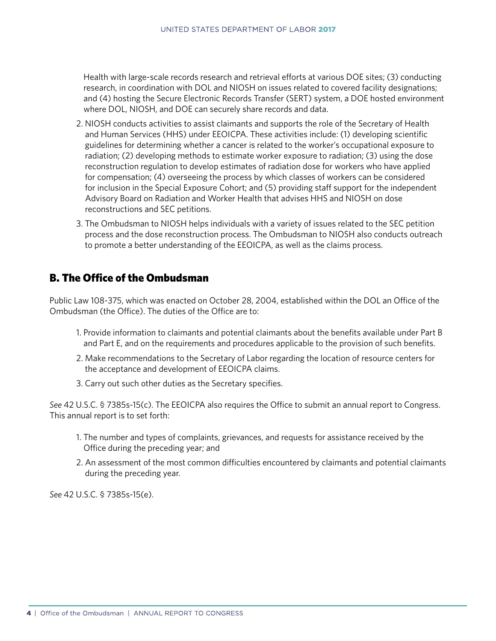Health with large-scale records research and retrieval efforts at various DOE sites; (3) conducting research, in coordination with DOL and NIOSH on issues related to covered facility designations; and (4) hosting the Secure Electronic Records Transfer (SERT) system, a DOE hosted environment where DOL, NIOSH, and DOE can securely share records and data.

- 2. NIOSH conducts activities to assist claimants and supports the role of the Secretary of Health and Human Services (HHS) under EEOICPA. These activities include: (1) developing scientific guidelines for determining whether a cancer is related to the worker's occupational exposure to radiation; (2) developing methods to estimate worker exposure to radiation; (3) using the dose reconstruction regulation to develop estimates of radiation dose for workers who have applied for compensation; (4) overseeing the process by which classes of workers can be considered for inclusion in the Special Exposure Cohort; and (5) providing staff support for the independent Advisory Board on Radiation and Worker Health that advises HHS and NIOSH on dose reconstructions and SEC petitions.
- 3. The Ombudsman to NIOSH helps individuals with a variety of issues related to the SEC petition process and the dose reconstruction process. The Ombudsman to NIOSH also conducts outreach to promote a better understanding of the EEOICPA, as well as the claims process.

#### B. The Office of the Ombudsman

Public Law 108-375, which was enacted on October 28, 2004, established within the DOL an Office of the Ombudsman (the Office). The duties of the Office are to:

- 1. Provide information to claimants and potential claimants about the benefits available under Part B and Part E, and on the requirements and procedures applicable to the provision of such benefits.
- 2. Make recommendations to the Secretary of Labor regarding the location of resource centers for the acceptance and development of EEOICPA claims.
- 3. Carry out such other duties as the Secretary specifies.

*See* 42 U.S.C. § 7385s-15(c). The EEOICPA also requires the Office to submit an annual report to Congress. This annual report is to set forth:

- 1. The number and types of complaints, grievances, and requests for assistance received by the Office during the preceding year; and
- 2. An assessment of the most common difficulties encountered by claimants and potential claimants during the preceding year.

*See* 42 U.S.C. § 7385s-15(e).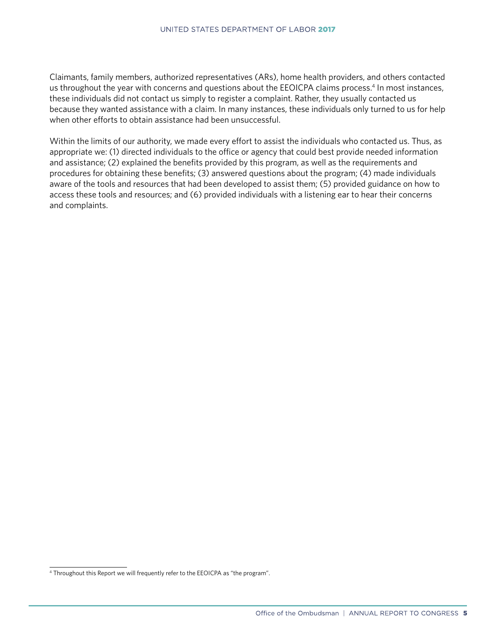Claimants, family members, authorized representatives (ARs), home health providers, and others contacted us throughout the year with concerns and questions about the EEOICPA claims process.4 In most instances, these individuals did not contact us simply to register a complaint. Rather, they usually contacted us because they wanted assistance with a claim. In many instances, these individuals only turned to us for help when other efforts to obtain assistance had been unsuccessful.

Within the limits of our authority, we made every effort to assist the individuals who contacted us. Thus, as appropriate we: (1) directed individuals to the office or agency that could best provide needed information and assistance; (2) explained the benefits provided by this program, as well as the requirements and procedures for obtaining these benefits; (3) answered questions about the program; (4) made individuals aware of the tools and resources that had been developed to assist them; (5) provided guidance on how to access these tools and resources; and (6) provided individuals with a listening ear to hear their concerns and complaints.

<sup>4</sup> Throughout this Report we will frequently refer to the EEOICPA as "the program".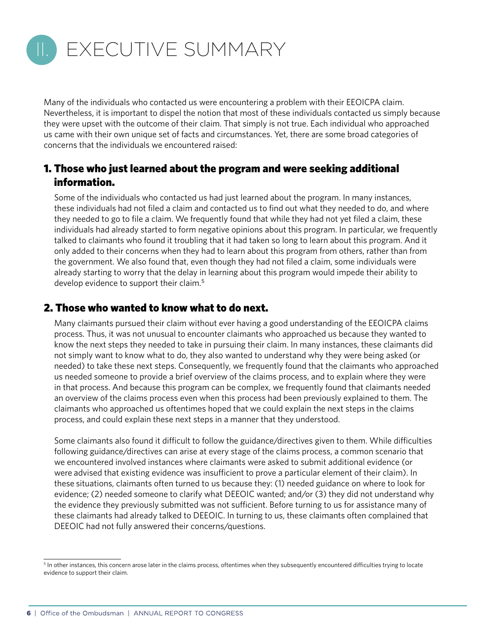<span id="page-11-0"></span>

Many of the individuals who contacted us were encountering a problem with their EEOICPA claim. Nevertheless, it is important to dispel the notion that most of these individuals contacted us simply because they were upset with the outcome of their claim. That simply is not true. Each individual who approached us came with their own unique set of facts and circumstances. Yet, there are some broad categories of concerns that the individuals we encountered raised:

#### 1. Those who just learned about the program and were seeking additional information.

Some of the individuals who contacted us had just learned about the program. In many instances, these individuals had not filed a claim and contacted us to find out what they needed to do, and where they needed to go to file a claim. We frequently found that while they had not yet filed a claim, these individuals had already started to form negative opinions about this program. In particular, we frequently talked to claimants who found it troubling that it had taken so long to learn about this program. And it only added to their concerns when they had to learn about this program from others, rather than from the government. We also found that, even though they had not filed a claim, some individuals were already starting to worry that the delay in learning about this program would impede their ability to develop evidence to support their claim.<sup>5</sup>

#### 2. Those who wanted to know what to do next.

Many claimants pursued their claim without ever having a good understanding of the EEOICPA claims process. Thus, it was not unusual to encounter claimants who approached us because they wanted to know the next steps they needed to take in pursuing their claim. In many instances, these claimants did not simply want to know what to do, they also wanted to understand why they were being asked (or needed) to take these next steps. Consequently, we frequently found that the claimants who approached us needed someone to provide a brief overview of the claims process, and to explain where they were in that process. And because this program can be complex, we frequently found that claimants needed an overview of the claims process even when this process had been previously explained to them. The claimants who approached us oftentimes hoped that we could explain the next steps in the claims process, and could explain these next steps in a manner that they understood.

Some claimants also found it difficult to follow the guidance/directives given to them. While difficulties following guidance/directives can arise at every stage of the claims process, a common scenario that we encountered involved instances where claimants were asked to submit additional evidence (or were advised that existing evidence was insufficient to prove a particular element of their claim). In these situations, claimants often turned to us because they: (1) needed guidance on where to look for evidence; (2) needed someone to clarify what DEEOIC wanted; and/or (3) they did not understand why the evidence they previously submitted was not sufficient. Before turning to us for assistance many of these claimants had already talked to DEEOIC. In turning to us, these claimants often complained that DEEOIC had not fully answered their concerns/questions.

<sup>&</sup>lt;sup>5</sup> In other instances, this concern arose later in the claims process, oftentimes when they subsequently encountered difficulties trying to locate evidence to support their claim.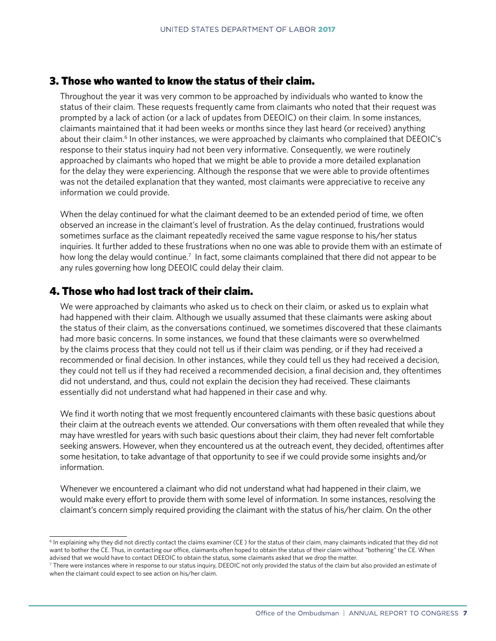#### 3. Those who wanted to know the status of their claim.

Throughout the year it was very common to be approached by individuals who wanted to know the status of their claim. These requests frequently came from claimants who noted that their request was prompted by a lack of action (or a lack of updates from DEEOIC) on their claim. In some instances, claimants maintained that it had been weeks or months since they last heard (or received) anything about their claim.<sup>6</sup> In other instances, we were approached by claimants who complained that DEEOIC's response to their status inquiry had not been very informative. Consequently, we were routinely approached by claimants who hoped that we might be able to provide a more detailed explanation for the delay they were experiencing. Although the response that we were able to provide oftentimes was not the detailed explanation that they wanted, most claimants were appreciative to receive any information we could provide.

When the delay continued for what the claimant deemed to be an extended period of time, we often observed an increase in the claimant's level of frustration. As the delay continued, frustrations would sometimes surface as the claimant repeatedly received the same vague response to his/her status inquiries. It further added to these frustrations when no one was able to provide them with an estimate of how long the delay would continue.<sup>7</sup> In fact, some claimants complained that there did not appear to be any rules governing how long DEEOIC could delay their claim.

#### 4. Those who had lost track of their claim.

We were approached by claimants who asked us to check on their claim, or asked us to explain what had happened with their claim. Although we usually assumed that these claimants were asking about the status of their claim, as the conversations continued, we sometimes discovered that these claimants had more basic concerns. In some instances, we found that these claimants were so overwhelmed by the claims process that they could not tell us if their claim was pending, or if they had received a recommended or final decision. In other instances, while they could tell us they had received a decision, they could not tell us if they had received a recommended decision, a final decision and, they oftentimes did not understand, and thus, could not explain the decision they had received. These claimants essentially did not understand what had happened in their case and why.

We find it worth noting that we most frequently encountered claimants with these basic questions about their claim at the outreach events we attended. Our conversations with them often revealed that while they may have wrestled for years with such basic questions about their claim, they had never felt comfortable seeking answers. However, when they encountered us at the outreach event, they decided, oftentimes after some hesitation, to take advantage of that opportunity to see if we could provide some insights and/or information.

 Whenever we encountered a claimant who did not understand what had happened in their claim, we would make every effort to provide them with some level of information. In some instances, resolving the claimant's concern simply required providing the claimant with the status of his/her claim. On the other

<sup>6</sup> In explaining why they did not directly contact the claims examiner (CE ) for the status of their claim, many claimants indicated that they did not want to bother the CE. Thus, in contacting our office, claimants often hoped to obtain the status of their claim without "bothering" the CE. When advised that we would have to contact DEEOIC to obtain the status, some claimants asked that we drop the matter.

<sup>7</sup> There were instances where in response to our status inquiry, DEEOIC not only provided the status of the claim but also provided an estimate of when the claimant could expect to see action on his/her claim.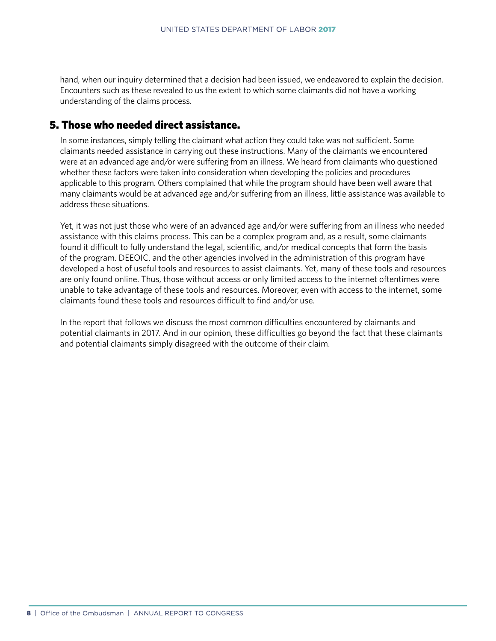hand, when our inquiry determined that a decision had been issued, we endeavored to explain the decision. Encounters such as these revealed to us the extent to which some claimants did not have a working understanding of the claims process.

#### 5. Those who needed direct assistance.

In some instances, simply telling the claimant what action they could take was not sufficient. Some claimants needed assistance in carrying out these instructions. Many of the claimants we encountered were at an advanced age and/or were suffering from an illness. We heard from claimants who questioned whether these factors were taken into consideration when developing the policies and procedures applicable to this program. Others complained that while the program should have been well aware that many claimants would be at advanced age and/or suffering from an illness, little assistance was available to address these situations.

Yet, it was not just those who were of an advanced age and/or were suffering from an illness who needed assistance with this claims process. This can be a complex program and, as a result, some claimants found it difficult to fully understand the legal, scientific, and/or medical concepts that form the basis of the program. DEEOIC, and the other agencies involved in the administration of this program have developed a host of useful tools and resources to assist claimants. Yet, many of these tools and resources are only found online. Thus, those without access or only limited access to the internet oftentimes were unable to take advantage of these tools and resources. Moreover, even with access to the internet, some claimants found these tools and resources difficult to find and/or use.

In the report that follows we discuss the most common difficulties encountered by claimants and potential claimants in 2017. And in our opinion, these difficulties go beyond the fact that these claimants and potential claimants simply disagreed with the outcome of their claim.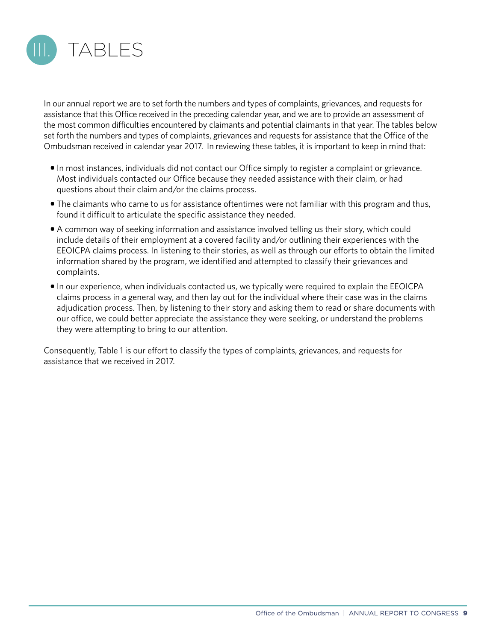<span id="page-14-0"></span>

In our annual report we are to set forth the numbers and types of complaints, grievances, and requests for assistance that this Office received in the preceding calendar year, and we are to provide an assessment of the most common difficulties encountered by claimants and potential claimants in that year. The tables below set forth the numbers and types of complaints, grievances and requests for assistance that the Office of the Ombudsman received in calendar year 2017. In reviewing these tables, it is important to keep in mind that:

- In most instances, individuals did not contact our Office simply to register a complaint or grievance. Most individuals contacted our Office because they needed assistance with their claim, or had questions about their claim and/or the claims process.
- The claimants who came to us for assistance oftentimes were not familiar with this program and thus, found it difficult to articulate the specific assistance they needed.
- A common way of seeking information and assistance involved telling us their story, which could include details of their employment at a covered facility and/or outlining their experiences with the EEOICPA claims process. In listening to their stories, as well as through our efforts to obtain the limited information shared by the program, we identified and attempted to classify their grievances and complaints.
- In our experience, when individuals contacted us, we typically were required to explain the EEOICPA claims process in a general way, and then lay out for the individual where their case was in the claims adjudication process. Then, by listening to their story and asking them to read or share documents with our office, we could better appreciate the assistance they were seeking, or understand the problems they were attempting to bring to our attention.

Consequently, Table 1 is our effort to classify the types of complaints, grievances, and requests for assistance that we received in 2017.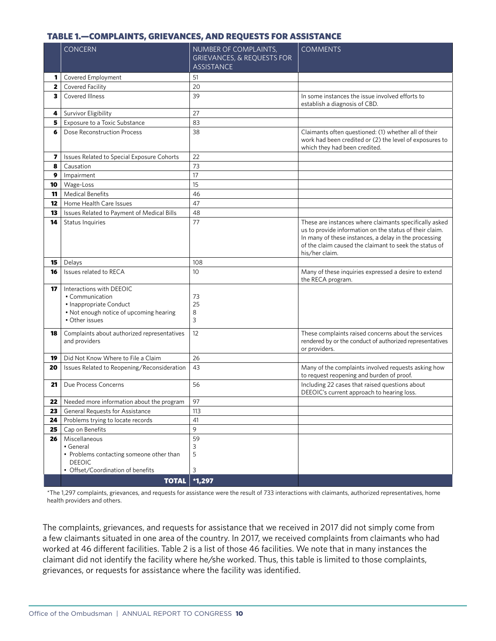#### <span id="page-15-0"></span>TABLE 1.—COMPLAINTS, GRIEVANCES, AND REQUESTS FOR ASSISTANCE

| Covered Employment<br>51<br>1<br>Covered Facility<br>20<br>$\mathbf{z}$<br>Covered Illness<br>39<br>3<br>In some instances the issue involved efforts to<br>establish a diagnosis of CBD.<br>27<br>Survivor Eligibility<br>4<br>Exposure to a Toxic Substance<br>83<br>5<br>38<br>Claimants often questioned: (1) whether all of their<br>Dose Reconstruction Process<br>6<br>which they had been credited.<br>Issues Related to Special Exposure Cohorts<br>22<br>7<br>73<br>8<br>Causation<br>17<br>9<br>Impairment<br>15<br>Wage-Loss<br>10<br><b>Medical Benefits</b><br>11<br>46<br>Home Health Care Issues<br>47<br>12<br>13<br>Issues Related to Payment of Medical Bills<br>48<br>Status Inquiries<br>77<br>14<br>us to provide information on the status of their claim.<br>In many of these instances, a delay in the processing<br>of the claim caused the claimant to seek the status of<br>his/her claim.<br>15<br>108<br>Delays<br>Issues related to RECA<br>10<br>Many of these inquiries expressed a desire to extend<br>16<br>the RECA program.<br>17<br>Interactions with DEEOIC<br>• Communication<br>73<br>• Inappropriate Conduct<br>25<br>. Not enough notice of upcoming hearing<br>8<br>3<br>• Other issues<br>These complaints raised concerns about the services<br>Complaints about authorized representatives<br>12<br>18<br>and providers<br>or providers.<br>Did Not Know Where to File a Claim<br>26<br>19<br>43<br>Issues Related to Reopening/Reconsideration<br>Many of the complaints involved requests asking how<br>20<br>to request reopening and burden of proof.<br>Due Process Concerns<br>56<br>Including 22 cases that raised questions about<br>21<br>DEEOIC's current approach to hearing loss.<br>Needed more information about the program<br>97<br>22 <sub>1</sub><br>General Requests for Assistance<br>23<br>113<br>41<br>24<br>Problems trying to locate records<br>9<br>Cap on Benefits<br>25<br>59<br>Miscellaneous<br>26<br>• General<br>3<br>5<br>• Problems contacting someone other than<br><b>DEEOIC</b><br>• Offset/Coordination of benefits<br>3 | <b>CONCERN</b> | NUMBER OF COMPLAINTS,<br><b>GRIEVANCES, &amp; REQUESTS FOR</b><br><b>ASSISTANCE</b> | <b>COMMENTS</b>                                          |
|--------------------------------------------------------------------------------------------------------------------------------------------------------------------------------------------------------------------------------------------------------------------------------------------------------------------------------------------------------------------------------------------------------------------------------------------------------------------------------------------------------------------------------------------------------------------------------------------------------------------------------------------------------------------------------------------------------------------------------------------------------------------------------------------------------------------------------------------------------------------------------------------------------------------------------------------------------------------------------------------------------------------------------------------------------------------------------------------------------------------------------------------------------------------------------------------------------------------------------------------------------------------------------------------------------------------------------------------------------------------------------------------------------------------------------------------------------------------------------------------------------------------------------------------------------------------------------------------------------------------------------------------------------------------------------------------------------------------------------------------------------------------------------------------------------------------------------------------------------------------------------------------------------------------------------------------------------------------------------------------------------------------------------------------------------------------------------------------------------------|----------------|-------------------------------------------------------------------------------------|----------------------------------------------------------|
|                                                                                                                                                                                                                                                                                                                                                                                                                                                                                                                                                                                                                                                                                                                                                                                                                                                                                                                                                                                                                                                                                                                                                                                                                                                                                                                                                                                                                                                                                                                                                                                                                                                                                                                                                                                                                                                                                                                                                                                                                                                                                                              |                |                                                                                     |                                                          |
|                                                                                                                                                                                                                                                                                                                                                                                                                                                                                                                                                                                                                                                                                                                                                                                                                                                                                                                                                                                                                                                                                                                                                                                                                                                                                                                                                                                                                                                                                                                                                                                                                                                                                                                                                                                                                                                                                                                                                                                                                                                                                                              |                |                                                                                     |                                                          |
|                                                                                                                                                                                                                                                                                                                                                                                                                                                                                                                                                                                                                                                                                                                                                                                                                                                                                                                                                                                                                                                                                                                                                                                                                                                                                                                                                                                                                                                                                                                                                                                                                                                                                                                                                                                                                                                                                                                                                                                                                                                                                                              |                |                                                                                     |                                                          |
|                                                                                                                                                                                                                                                                                                                                                                                                                                                                                                                                                                                                                                                                                                                                                                                                                                                                                                                                                                                                                                                                                                                                                                                                                                                                                                                                                                                                                                                                                                                                                                                                                                                                                                                                                                                                                                                                                                                                                                                                                                                                                                              |                |                                                                                     |                                                          |
|                                                                                                                                                                                                                                                                                                                                                                                                                                                                                                                                                                                                                                                                                                                                                                                                                                                                                                                                                                                                                                                                                                                                                                                                                                                                                                                                                                                                                                                                                                                                                                                                                                                                                                                                                                                                                                                                                                                                                                                                                                                                                                              |                |                                                                                     |                                                          |
|                                                                                                                                                                                                                                                                                                                                                                                                                                                                                                                                                                                                                                                                                                                                                                                                                                                                                                                                                                                                                                                                                                                                                                                                                                                                                                                                                                                                                                                                                                                                                                                                                                                                                                                                                                                                                                                                                                                                                                                                                                                                                                              |                |                                                                                     | work had been credited or (2) the level of exposures to  |
|                                                                                                                                                                                                                                                                                                                                                                                                                                                                                                                                                                                                                                                                                                                                                                                                                                                                                                                                                                                                                                                                                                                                                                                                                                                                                                                                                                                                                                                                                                                                                                                                                                                                                                                                                                                                                                                                                                                                                                                                                                                                                                              |                |                                                                                     |                                                          |
|                                                                                                                                                                                                                                                                                                                                                                                                                                                                                                                                                                                                                                                                                                                                                                                                                                                                                                                                                                                                                                                                                                                                                                                                                                                                                                                                                                                                                                                                                                                                                                                                                                                                                                                                                                                                                                                                                                                                                                                                                                                                                                              |                |                                                                                     |                                                          |
|                                                                                                                                                                                                                                                                                                                                                                                                                                                                                                                                                                                                                                                                                                                                                                                                                                                                                                                                                                                                                                                                                                                                                                                                                                                                                                                                                                                                                                                                                                                                                                                                                                                                                                                                                                                                                                                                                                                                                                                                                                                                                                              |                |                                                                                     |                                                          |
|                                                                                                                                                                                                                                                                                                                                                                                                                                                                                                                                                                                                                                                                                                                                                                                                                                                                                                                                                                                                                                                                                                                                                                                                                                                                                                                                                                                                                                                                                                                                                                                                                                                                                                                                                                                                                                                                                                                                                                                                                                                                                                              |                |                                                                                     |                                                          |
|                                                                                                                                                                                                                                                                                                                                                                                                                                                                                                                                                                                                                                                                                                                                                                                                                                                                                                                                                                                                                                                                                                                                                                                                                                                                                                                                                                                                                                                                                                                                                                                                                                                                                                                                                                                                                                                                                                                                                                                                                                                                                                              |                |                                                                                     |                                                          |
|                                                                                                                                                                                                                                                                                                                                                                                                                                                                                                                                                                                                                                                                                                                                                                                                                                                                                                                                                                                                                                                                                                                                                                                                                                                                                                                                                                                                                                                                                                                                                                                                                                                                                                                                                                                                                                                                                                                                                                                                                                                                                                              |                |                                                                                     |                                                          |
|                                                                                                                                                                                                                                                                                                                                                                                                                                                                                                                                                                                                                                                                                                                                                                                                                                                                                                                                                                                                                                                                                                                                                                                                                                                                                                                                                                                                                                                                                                                                                                                                                                                                                                                                                                                                                                                                                                                                                                                                                                                                                                              |                |                                                                                     |                                                          |
|                                                                                                                                                                                                                                                                                                                                                                                                                                                                                                                                                                                                                                                                                                                                                                                                                                                                                                                                                                                                                                                                                                                                                                                                                                                                                                                                                                                                                                                                                                                                                                                                                                                                                                                                                                                                                                                                                                                                                                                                                                                                                                              |                |                                                                                     | These are instances where claimants specifically asked   |
|                                                                                                                                                                                                                                                                                                                                                                                                                                                                                                                                                                                                                                                                                                                                                                                                                                                                                                                                                                                                                                                                                                                                                                                                                                                                                                                                                                                                                                                                                                                                                                                                                                                                                                                                                                                                                                                                                                                                                                                                                                                                                                              |                |                                                                                     |                                                          |
|                                                                                                                                                                                                                                                                                                                                                                                                                                                                                                                                                                                                                                                                                                                                                                                                                                                                                                                                                                                                                                                                                                                                                                                                                                                                                                                                                                                                                                                                                                                                                                                                                                                                                                                                                                                                                                                                                                                                                                                                                                                                                                              |                |                                                                                     |                                                          |
|                                                                                                                                                                                                                                                                                                                                                                                                                                                                                                                                                                                                                                                                                                                                                                                                                                                                                                                                                                                                                                                                                                                                                                                                                                                                                                                                                                                                                                                                                                                                                                                                                                                                                                                                                                                                                                                                                                                                                                                                                                                                                                              |                |                                                                                     |                                                          |
|                                                                                                                                                                                                                                                                                                                                                                                                                                                                                                                                                                                                                                                                                                                                                                                                                                                                                                                                                                                                                                                                                                                                                                                                                                                                                                                                                                                                                                                                                                                                                                                                                                                                                                                                                                                                                                                                                                                                                                                                                                                                                                              |                |                                                                                     | rendered by or the conduct of authorized representatives |
|                                                                                                                                                                                                                                                                                                                                                                                                                                                                                                                                                                                                                                                                                                                                                                                                                                                                                                                                                                                                                                                                                                                                                                                                                                                                                                                                                                                                                                                                                                                                                                                                                                                                                                                                                                                                                                                                                                                                                                                                                                                                                                              |                |                                                                                     |                                                          |
|                                                                                                                                                                                                                                                                                                                                                                                                                                                                                                                                                                                                                                                                                                                                                                                                                                                                                                                                                                                                                                                                                                                                                                                                                                                                                                                                                                                                                                                                                                                                                                                                                                                                                                                                                                                                                                                                                                                                                                                                                                                                                                              |                |                                                                                     |                                                          |
|                                                                                                                                                                                                                                                                                                                                                                                                                                                                                                                                                                                                                                                                                                                                                                                                                                                                                                                                                                                                                                                                                                                                                                                                                                                                                                                                                                                                                                                                                                                                                                                                                                                                                                                                                                                                                                                                                                                                                                                                                                                                                                              |                |                                                                                     |                                                          |
|                                                                                                                                                                                                                                                                                                                                                                                                                                                                                                                                                                                                                                                                                                                                                                                                                                                                                                                                                                                                                                                                                                                                                                                                                                                                                                                                                                                                                                                                                                                                                                                                                                                                                                                                                                                                                                                                                                                                                                                                                                                                                                              |                |                                                                                     |                                                          |
|                                                                                                                                                                                                                                                                                                                                                                                                                                                                                                                                                                                                                                                                                                                                                                                                                                                                                                                                                                                                                                                                                                                                                                                                                                                                                                                                                                                                                                                                                                                                                                                                                                                                                                                                                                                                                                                                                                                                                                                                                                                                                                              |                |                                                                                     |                                                          |
|                                                                                                                                                                                                                                                                                                                                                                                                                                                                                                                                                                                                                                                                                                                                                                                                                                                                                                                                                                                                                                                                                                                                                                                                                                                                                                                                                                                                                                                                                                                                                                                                                                                                                                                                                                                                                                                                                                                                                                                                                                                                                                              |                |                                                                                     |                                                          |
|                                                                                                                                                                                                                                                                                                                                                                                                                                                                                                                                                                                                                                                                                                                                                                                                                                                                                                                                                                                                                                                                                                                                                                                                                                                                                                                                                                                                                                                                                                                                                                                                                                                                                                                                                                                                                                                                                                                                                                                                                                                                                                              |                |                                                                                     |                                                          |
|                                                                                                                                                                                                                                                                                                                                                                                                                                                                                                                                                                                                                                                                                                                                                                                                                                                                                                                                                                                                                                                                                                                                                                                                                                                                                                                                                                                                                                                                                                                                                                                                                                                                                                                                                                                                                                                                                                                                                                                                                                                                                                              |                |                                                                                     |                                                          |
|                                                                                                                                                                                                                                                                                                                                                                                                                                                                                                                                                                                                                                                                                                                                                                                                                                                                                                                                                                                                                                                                                                                                                                                                                                                                                                                                                                                                                                                                                                                                                                                                                                                                                                                                                                                                                                                                                                                                                                                                                                                                                                              | <b>TOTAL</b>   | $\star$ 1,297                                                                       |                                                          |

\*The 1,297 complaints, grievances, and requests for assistance were the result of 733 interactions with claimants, authorized representatives, home health providers and others.

The complaints, grievances, and requests for assistance that we received in 2017 did not simply come from a few claimants situated in one area of the country. In 2017, we received complaints from claimants who had worked at 46 different facilities. Table 2 is a list of those 46 facilities. We note that in many instances the claimant did not identify the facility where he/she worked. Thus, this table is limited to those complaints, grievances, or requests for assistance where the facility was identified.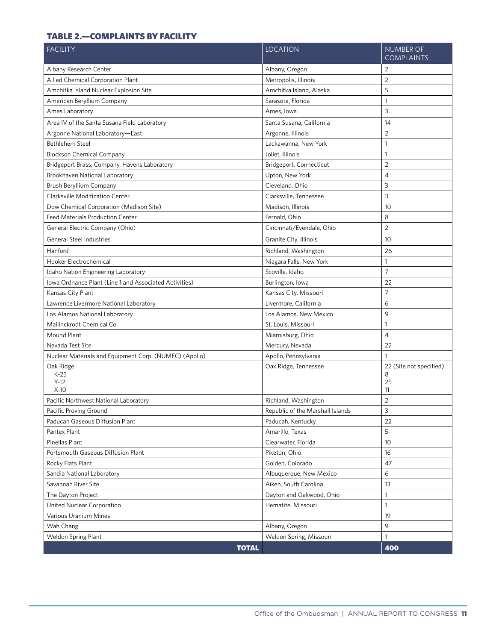#### <span id="page-16-0"></span>TABLE 2.—COMPLAINTS BY FACILITY

| <b>FACILITY</b>                                        | <b>LOCATION</b>                  | <b>NUMBER OF</b><br><b>COMPLAINTS</b>    |
|--------------------------------------------------------|----------------------------------|------------------------------------------|
| Albany Research Center                                 | Albany, Oregon                   | 2                                        |
| Allied Chemical Corporation Plant                      | Metropolis, Illinois             | $\overline{2}$                           |
| Amchitka Island Nuclear Explosion Site                 | Amchitka Island, Alaska          | 5                                        |
| American Beryllium Company                             | Sarasota, Florida                | $\mathbf{1}$                             |
| Ames Laboratory                                        | Ames, Iowa                       | 3                                        |
| Area IV of the Santa Susana Field Laboratory           | Santa Susana, California         | 14                                       |
| Argonne National Laboratory-East                       | Argonne, Illinois                | $\overline{2}$                           |
| Bethlehem Steel                                        | Lackawanna, New York             | $\mathbf{1}$                             |
| <b>Blockson Chemical Company</b>                       | Joliet, Illinois                 | $\mathbf{1}$                             |
| Bridgeport Brass, Company, Havens Laboratory           | Bridgeport, Connecticut          | $\overline{2}$                           |
| Brookhaven National Laboratory                         | Upton, New York                  | $\sqrt{4}$                               |
| Brush Beryllium Company                                | Cleveland, Ohio                  | 3                                        |
| <b>Clarksville Modification Center</b>                 | Clarksville, Tennessee           | 3                                        |
| Dow Chemical Corporation (Madison Site)                | Madison, Illinois                | 10                                       |
| <b>Feed Materials Production Center</b>                | Fernald, Ohio                    | 8                                        |
| General Electric Company (Ohio)                        | Cincinnati/Evendale, Ohio        | $\overline{2}$                           |
| General Steel Industries                               | Granite City, Illinois           | 10                                       |
| Hanford                                                | Richland, Washington             | 26                                       |
| Hooker Electrochemical                                 | Niagara Falls, New York          | 1                                        |
| Idaho Nation Engineering Laboratory                    | Scoville, Idaho                  | $\overline{7}$                           |
| Iowa Ordnance Plant (Line 1 and Associated Activities) | Burlington, Iowa                 | 22                                       |
| Kansas City Plant                                      | Kansas City, Missouri            | $\overline{7}$                           |
| Lawrence Livermore National Laboratory                 | Livermore, California            | 6                                        |
| Los Alamos National Laboratory                         | Los Alamos, New Mexico           | 9                                        |
| Mallinckrodt Chemical Co.                              | St. Louis, Missouri              | $\mathbf{1}$                             |
| Mound Plant                                            | Miamisburg, Ohio                 | $\overline{4}$                           |
| Nevada Test Site                                       | Mercury, Nevada                  | 22                                       |
| Nuclear Materials and Equipment Corp. (NUMEC) (Apollo) | Apollo, Pennsylvania             | $\mathbf{1}$                             |
| Oak Ridge<br>$K-25$<br>$Y-12$<br>$X-10$                | Oak Ridge, Tennessee             | 22 (Site not specified)<br>8<br>25<br>11 |
| Pacific Northwest National Laboratory                  | Richland, Washington             | $\overline{2}$                           |
| Pacific Proving Ground                                 | Republic of the Marshall Islands | 3                                        |
| Paducah Gaseous Diffusion Plant                        | Paducah, Kentucky                | 22                                       |
| Pantex Plant                                           | Amarillo, Texas                  | 5                                        |
| Pinellas Plant                                         | Clearwater, Florida              | 10                                       |
| Portsmouth Gaseous Diffusion Plant                     | Piketon, Ohio                    | 16                                       |
| Rocky Flats Plant                                      | Golden, Colorado                 | 47                                       |
| Sandia National Laboratory                             | Albuquerque, New Mexico          | 6                                        |
| Savannah River Site                                    | Aiken, South Carolina            | 13                                       |
| The Dayton Project                                     | Dayton and Oakwood, Ohio         | $\mathbf{1}$                             |
| United Nuclear Corporation                             | Hematite, Missouri               | $\mathbf{1}$                             |
| Various Uranium Mines                                  |                                  | 19                                       |
| Wah Chang                                              | Albany, Oregon                   | 9                                        |
| Weldon Spring Plant                                    | Weldon Spring, Missouri          | $\mathbf{1}$                             |
| <b>TOTAL</b>                                           |                                  | 400                                      |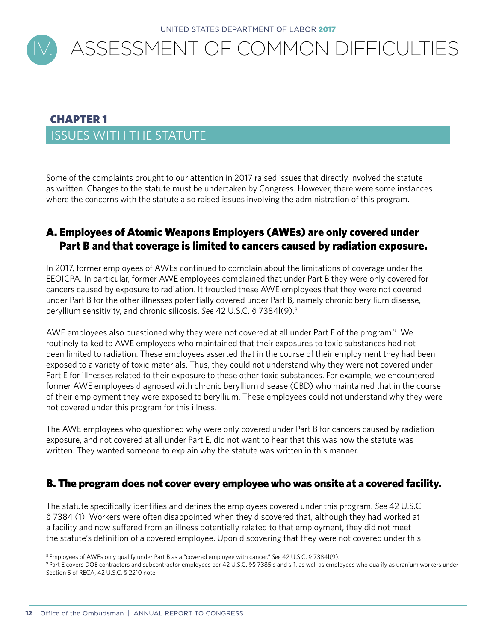<span id="page-17-0"></span>

### CHAPTER 1 ISSUES WITH THE STATUTE

Some of the complaints brought to our attention in 2017 raised issues that directly involved the statute as written. Changes to the statute must be undertaken by Congress. However, there were some instances where the concerns with the statute also raised issues involving the administration of this program.

#### A. Employees of Atomic Weapons Employers (AWEs) are only covered under Part B and that coverage is limited to cancers caused by radiation exposure.

 beryllium sensitivity, and chronic silicosis. *See* 42 U.S.C. § 7384l(9).8 In 2017, former employees of AWEs continued to complain about the limitations of coverage under the EEOICPA. In particular, former AWE employees complained that under Part B they were only covered for cancers caused by exposure to radiation. It troubled these AWE employees that they were not covered under Part B for the other illnesses potentially covered under Part B, namely chronic beryllium disease,

AWE employees also questioned why they were not covered at all under Part E of the program.<sup>9</sup> We routinely talked to AWE employees who maintained that their exposures to toxic substances had not been limited to radiation. These employees asserted that in the course of their employment they had been exposed to a variety of toxic materials. Thus, they could not understand why they were not covered under Part E for illnesses related to their exposure to these other toxic substances. For example, we encountered former AWE employees diagnosed with chronic beryllium disease (CBD) who maintained that in the course of their employment they were exposed to beryllium. These employees could not understand why they were not covered under this program for this illness.

The AWE employees who questioned why were only covered under Part B for cancers caused by radiation exposure, and not covered at all under Part E, did not want to hear that this was how the statute was written. They wanted someone to explain why the statute was written in this manner.

#### B. The program does not cover every employee who was onsite at a covered facility.

The statute specifically identifies and defines the employees covered under this program. *See* 42 U.S.C. § 7384l(1). Workers were often disappointed when they discovered that, although they had worked at a facility and now suffered from an illness potentially related to that employment, they did not meet the statute's definition of a covered employee. Upon discovering that they were not covered under this

<sup>8</sup> Employees of AWEs only qualify under Part B as a "covered employee with cancer." *See* 42 U.S.C. § 7384l(9).

<sup>9</sup> Part E covers DOE contractors and subcontractor employees per 42 U.S.C. §§ 7385 s and s-1, as well as employees who qualify as uranium workers under Section 5 of RECA, 42 U.S.C. § 2210 note.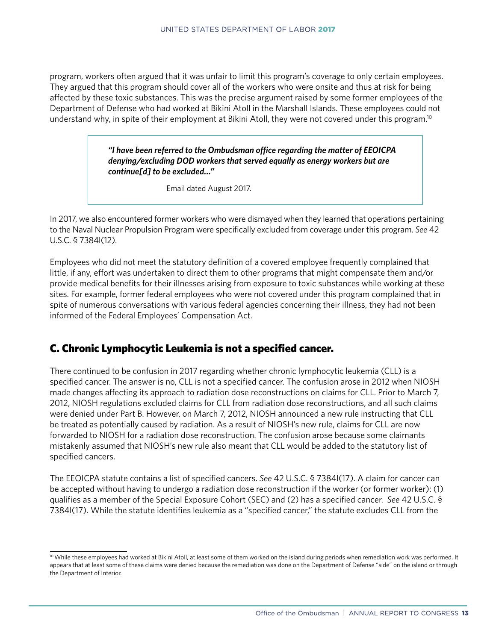program, workers often argued that it was unfair to limit this program's coverage to only certain employees. They argued that this program should cover all of the workers who were onsite and thus at risk for being affected by these toxic substances. This was the precise argument raised by some former employees of the Department of Defense who had worked at Bikini Atoll in the Marshall Islands. These employees could not understand why, in spite of their employment at Bikini Atoll, they were not covered under this program.10

> *"I have been referred to the Ombudsman office regarding the matter of EEOICPA denying/excluding DOD workers that served equally as energy workers but are continue[d] to be excluded…"*

> > Email dated August 2017.

In 2017, we also encountered former workers who were dismayed when they learned that operations pertaining to the Naval Nuclear Propulsion Program were specifically excluded from coverage under this program. *See* 42 U.S.C. § 7384l(12).

Employees who did not meet the statutory definition of a covered employee frequently complained that little, if any, effort was undertaken to direct them to other programs that might compensate them and/or provide medical benefits for their illnesses arising from exposure to toxic substances while working at these sites. For example, former federal employees who were not covered under this program complained that in spite of numerous conversations with various federal agencies concerning their illness, they had not been informed of the Federal Employees' Compensation Act.

#### C. Chronic Lymphocytic Leukemia is not a specified cancer.

There continued to be confusion in 2017 regarding whether chronic lymphocytic leukemia (CLL) is a specified cancer. The answer is no, CLL is not a specified cancer. The confusion arose in 2012 when NIOSH made changes affecting its approach to radiation dose reconstructions on claims for CLL. Prior to March 7, 2012, NIOSH regulations excluded claims for CLL from radiation dose reconstructions, and all such claims were denied under Part B. However, on March 7, 2012, NIOSH announced a new rule instructing that CLL be treated as potentially caused by radiation. As a result of NIOSH's new rule, claims for CLL are now forwarded to NIOSH for a radiation dose reconstruction. The confusion arose because some claimants mistakenly assumed that NIOSH's new rule also meant that CLL would be added to the statutory list of specified cancers.

The EEOICPA statute contains a list of specified cancers. *See* 42 U.S.C. § 7384l(17). A claim for cancer can be accepted without having to undergo a radiation dose reconstruction if the worker (or former worker): (1) qualifies as a member of the Special Exposure Cohort (SEC) and (2) has a specified cancer. *See* 42 U.S.C. § 7384l(17). While the statute identifies leukemia as a "specified cancer," the statute excludes CLL from the

<sup>&</sup>lt;sup>10</sup> While these employees had worked at Bikini Atoll, at least some of them worked on the island during periods when remediation work was performed. It appears that at least some of these claims were denied because the remediation was done on the Department of Defense "side" on the island or through the Department of Interior.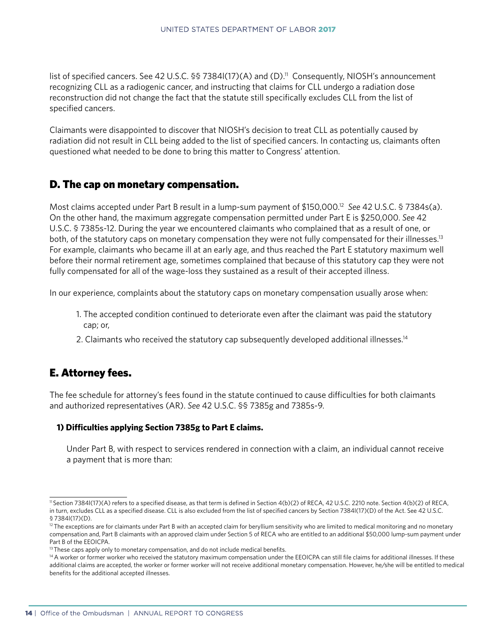list of specified cancers. See 42 U.S.C. §§ 7384l(17)(A) and (D).<sup>11</sup> Consequently, NIOSH's announcement recognizing CLL as a radiogenic cancer, and instructing that claims for CLL undergo a radiation dose reconstruction did not change the fact that the statute still specifically excludes CLL from the list of specified cancers.

Claimants were disappointed to discover that NIOSH's decision to treat CLL as potentially caused by radiation did not result in CLL being added to the list of specified cancers. In contacting us, claimants often questioned what needed to be done to bring this matter to Congress' attention.

#### D. The cap on monetary compensation.

Most claims accepted under Part B result in a lump-sum payment of \$150,000.12 *See* 42 U.S.C. § 7384s(a). On the other hand, the maximum aggregate compensation permitted under Part E is \$250,000. *See* 42 U.S.C. § 7385s-12. During the year we encountered claimants who complained that as a result of one, or both, of the statutory caps on monetary compensation they were not fully compensated for their illnesses.<sup>13</sup> For example, claimants who became ill at an early age, and thus reached the Part E statutory maximum well before their normal retirement age, sometimes complained that because of this statutory cap they were not fully compensated for all of the wage-loss they sustained as a result of their accepted illness.

In our experience, complaints about the statutory caps on monetary compensation usually arose when:

- 1. The accepted condition continued to deteriorate even after the claimant was paid the statutory cap; or,
- 2. Claimants who received the statutory cap subsequently developed additional illnesses.<sup>14</sup>

#### E. Attorney fees.

The fee schedule for attorney's fees found in the statute continued to cause difficulties for both claimants and authorized representatives (AR). *See* 42 U.S.C. §§ 7385g and 7385s-9.

#### **1) Difficulties applying Section 7385g to Part E claims.**

 Under Part B, with respect to services rendered in connection with a claim, an individual cannot receive a payment that is more than:

<sup>11</sup> Section 7384l(17)(A) refers to a specified disease, as that term is defined in Section 4(b)(2) of RECA, 42 U.S.C. 2210 note. Section 4(b)(2) of RECA, in turn, excludes CLL as a specified disease. CLL is also excluded from the list of specified cancers by Section 7384l(17)(D) of the Act. See 42 U.S.C. § 7384l(17)(D).

<sup>&</sup>lt;sup>12</sup> The exceptions are for claimants under Part B with an accepted claim for beryllium sensitivity who are limited to medical monitoring and no monetary compensation and, Part B claimants with an approved claim under Section 5 of RECA who are entitled to an additional \$50,000 lump-sum payment under Part B of the EEOICPA.

<sup>&</sup>lt;sup>13</sup> These caps apply only to monetary compensation, and do not include medical benefits.

<sup>&</sup>lt;sup>14</sup> A worker or former worker who received the statutory maximum compensation under the EEOICPA can still file claims for additional illnesses. If these additional claims are accepted, the worker or former worker will not receive additional monetary compensation. However, he/she will be entitled to medical benefits for the additional accepted illnesses.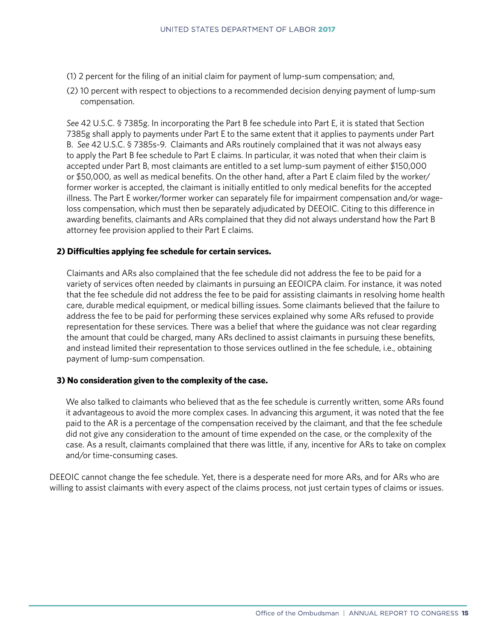- (1) 2 percent for the filing of an initial claim for payment of lump-sum compensation; and,
- (2) 10 percent with respect to objections to a recommended decision denying payment of lump-sum compensation.

*See* 42 U.S.C. § 7385g. In incorporating the Part B fee schedule into Part E, it is stated that Section 7385g shall apply to payments under Part E to the same extent that it applies to payments under Part B. *See* 42 U.S.C. § 7385s-9. Claimants and ARs routinely complained that it was not always easy to apply the Part B fee schedule to Part E claims. In particular, it was noted that when their claim is accepted under Part B, most claimants are entitled to a set lump-sum payment of either \$150,000 or \$50,000, as well as medical benefits. On the other hand, after a Part E claim filed by the worker/ former worker is accepted, the claimant is initially entitled to only medical benefits for the accepted illness. The Part E worker/former worker can separately file for impairment compensation and/or wageloss compensation, which must then be separately adjudicated by DEEOIC. Citing to this difference in awarding benefits, claimants and ARs complained that they did not always understand how the Part B attorney fee provision applied to their Part E claims.

#### **2) Difficulties applying fee schedule for certain services.**

 Claimants and ARs also complained that the fee schedule did not address the fee to be paid for a variety of services often needed by claimants in pursuing an EEOICPA claim. For instance, it was noted that the fee schedule did not address the fee to be paid for assisting claimants in resolving home health care, durable medical equipment, or medical billing issues. Some claimants believed that the failure to address the fee to be paid for performing these services explained why some ARs refused to provide representation for these services. There was a belief that where the guidance was not clear regarding the amount that could be charged, many ARs declined to assist claimants in pursuing these benefits, and instead limited their representation to those services outlined in the fee schedule, i.e., obtaining payment of lump-sum compensation.

#### **3) No consideration given to the complexity of the case.**

 We also talked to claimants who believed that as the fee schedule is currently written, some ARs found it advantageous to avoid the more complex cases. In advancing this argument, it was noted that the fee paid to the AR is a percentage of the compensation received by the claimant, and that the fee schedule did not give any consideration to the amount of time expended on the case, or the complexity of the case. As a result, claimants complained that there was little, if any, incentive for ARs to take on complex and/or time-consuming cases.

DEEOIC cannot change the fee schedule. Yet, there is a desperate need for more ARs, and for ARs who are willing to assist claimants with every aspect of the claims process, not just certain types of claims or issues.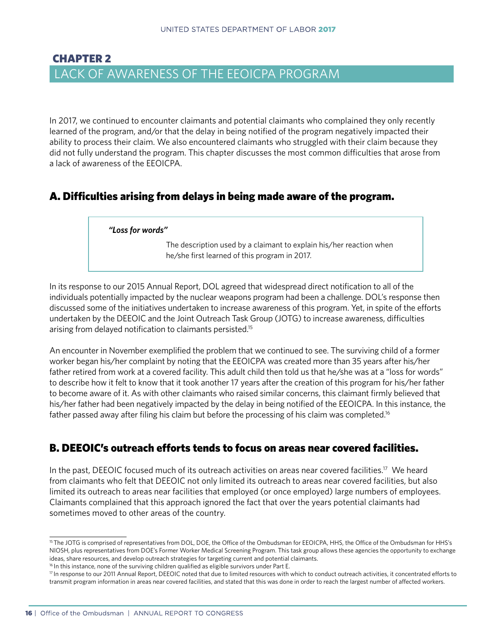### <span id="page-21-0"></span>CHAPTER 2 LACK OF AWARENESS OF THE EEOICPA PROGRAM

In 2017, we continued to encounter claimants and potential claimants who complained they only recently learned of the program, and/or that the delay in being notified of the program negatively impacted their ability to process their claim. We also encountered claimants who struggled with their claim because they did not fully understand the program. This chapter discusses the most common difficulties that arose from a lack of awareness of the EEOICPA.

#### A. Difficulties arising from delays in being made aware of the program.

#### *"Loss for words"*

The description used by a claimant to explain his/her reaction when he/she first learned of this program in 2017.

In its response to our 2015 Annual Report, DOL agreed that widespread direct notification to all of the individuals potentially impacted by the nuclear weapons program had been a challenge. DOL's response then discussed some of the initiatives undertaken to increase awareness of this program. Yet, in spite of the efforts undertaken by the DEEOIC and the Joint Outreach Task Group (JOTG) to increase awareness, difficulties arising from delayed notification to claimants persisted.15

father passed away after filing his claim but before the processing of his claim was completed.<sup>16</sup> An encounter in November exemplified the problem that we continued to see. The surviving child of a former worker began his/her complaint by noting that the EEOICPA was created more than 35 years after his/her father retired from work at a covered facility. This adult child then told us that he/she was at a "loss for words" to describe how it felt to know that it took another 17 years after the creation of this program for his/her father to become aware of it. As with other claimants who raised similar concerns, this claimant firmly believed that his/her father had been negatively impacted by the delay in being notified of the EEOICPA. In this instance, the

#### B. DEEOIC's outreach efforts tends to focus on areas near covered facilities.

In the past, DEEOIC focused much of its outreach activities on areas near covered facilities.<sup>17</sup> We heard from claimants who felt that DEEOIC not only limited its outreach to areas near covered facilities, but also limited its outreach to areas near facilities that employed (or once employed) large numbers of employees. Claimants complained that this approach ignored the fact that over the years potential claimants had sometimes moved to other areas of the country.

<sup>&</sup>lt;sup>15</sup> The JOTG is comprised of representatives from DOL, DOE, the Office of the Ombudsman for EEOICPA, HHS, the Office of the Ombudsman for HHS's NIOSH, plus representatives from DOE's Former Worker Medical Screening Program. This task group allows these agencies the opportunity to exchange ideas, share resources, and develop outreach strategies for targeting current and potential claimants.

<sup>&</sup>lt;sup>16</sup> In this instance, none of the surviving children qualified as eligible survivors under Part E.

<sup>&</sup>lt;sup>17</sup> In response to our 2011 Annual Report, DEEOIC noted that due to limited resources with which to conduct outreach activities, it concentrated efforts to transmit program information in areas near covered facilities, and stated that this was done in order to reach the largest number of affected workers.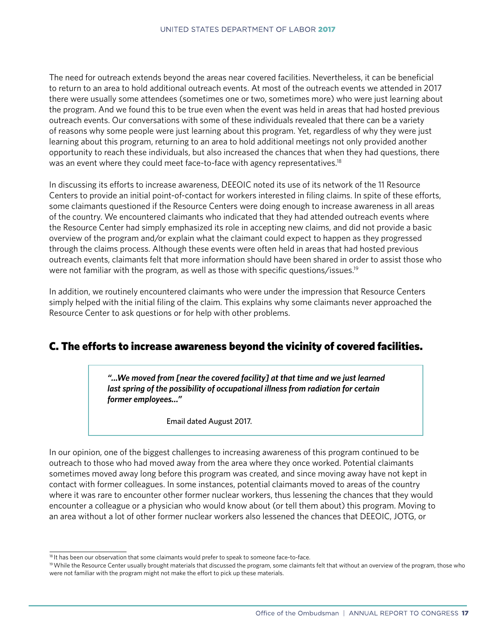The need for outreach extends beyond the areas near covered facilities. Nevertheless, it can be beneficial to return to an area to hold additional outreach events. At most of the outreach events we attended in 2017 there were usually some attendees (sometimes one or two, sometimes more) who were just learning about the program. And we found this to be true even when the event was held in areas that had hosted previous outreach events. Our conversations with some of these individuals revealed that there can be a variety of reasons why some people were just learning about this program. Yet, regardless of why they were just learning about this program, returning to an area to hold additional meetings not only provided another opportunity to reach these individuals, but also increased the chances that when they had questions, there was an event where they could meet face-to-face with agency representatives.<sup>18</sup>

In discussing its efforts to increase awareness, DEEOIC noted its use of its network of the 11 Resource Centers to provide an initial point-of-contact for workers interested in filing claims. In spite of these efforts, some claimants questioned if the Resource Centers were doing enough to increase awareness in all areas of the country. We encountered claimants who indicated that they had attended outreach events where the Resource Center had simply emphasized its role in accepting new claims, and did not provide a basic overview of the program and/or explain what the claimant could expect to happen as they progressed through the claims process. Although these events were often held in areas that had hosted previous outreach events, claimants felt that more information should have been shared in order to assist those who were not familiar with the program, as well as those with specific questions/issues.<sup>19</sup>

In addition, we routinely encountered claimants who were under the impression that Resource Centers simply helped with the initial filing of the claim. This explains why some claimants never approached the Resource Center to ask questions or for help with other problems.

#### C. The efforts to increase awareness beyond the vicinity of covered facilities.

*"...We moved from [near the covered facility] at that time and we just learned last spring of the possibility of occupational illness from radiation for certain former employees…"*

Email dated August 2017.

In our opinion, one of the biggest challenges to increasing awareness of this program continued to be outreach to those who had moved away from the area where they once worked. Potential claimants sometimes moved away long before this program was created, and since moving away have not kept in contact with former colleagues. In some instances, potential claimants moved to areas of the country where it was rare to encounter other former nuclear workers, thus lessening the chances that they would encounter a colleague or a physician who would know about (or tell them about) this program. Moving to an area without a lot of other former nuclear workers also lessened the chances that DEEOIC, JOTG, or

<sup>&</sup>lt;sup>18</sup> It has been our observation that some claimants would prefer to speak to someone face-to-face.

<sup>19</sup> While the Resource Center usually brought materials that discussed the program, some claimants felt that without an overview of the program, those who were not familiar with the program might not make the effort to pick up these materials.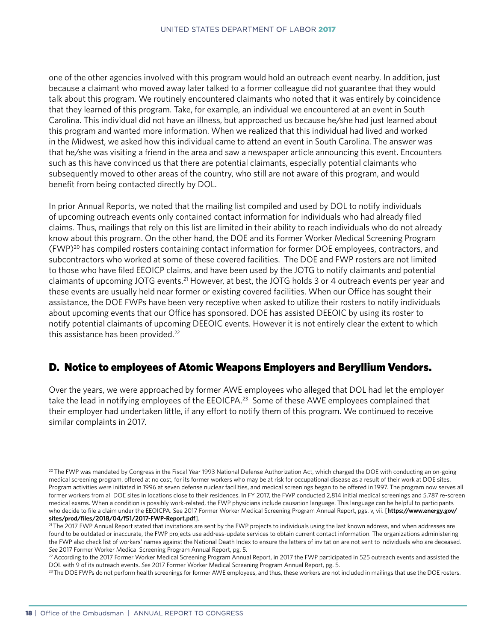one of the other agencies involved with this program would hold an outreach event nearby. In addition, just because a claimant who moved away later talked to a former colleague did not guarantee that they would talk about this program. We routinely encountered claimants who noted that it was entirely by coincidence that they learned of this program. Take, for example, an individual we encountered at an event in South Carolina. This individual did not have an illness, but approached us because he/she had just learned about this program and wanted more information. When we realized that this individual had lived and worked in the Midwest, we asked how this individual came to attend an event in South Carolina. The answer was that he/she was visiting a friend in the area and saw a newspaper article announcing this event. Encounters such as this have convinced us that there are potential claimants, especially potential claimants who subsequently moved to other areas of the country, who still are not aware of this program, and would benefit from being contacted directly by DOL.

In prior Annual Reports, we noted that the mailing list compiled and used by DOL to notify individuals of upcoming outreach events only contained contact information for individuals who had already filed claims. Thus, mailings that rely on this list are limited in their ability to reach individuals who do not already know about this program. On the other hand, the DOE and its Former Worker Medical Screening Program (FWP)20 has compiled rosters containing contact information for former DOE employees, contractors, and subcontractors who worked at some of these covered facilities. The DOE and FWP rosters are not limited to those who have filed EEOICP claims, and have been used by the JOTG to notify claimants and potential claimants of upcoming JOTG events.21 However, at best, the JOTG holds 3 or 4 outreach events per year and these events are usually held near former or existing covered facilities. When our Office has sought their assistance, the DOE FWPs have been very receptive when asked to utilize their rosters to notify individuals about upcoming events that our Office has sponsored. DOE has assisted DEEOIC by using its roster to notify potential claimants of upcoming DEEOIC events. However it is not entirely clear the extent to which this assistance has been provided.<sup>22</sup>

#### D. Notice to employees of Atomic Weapons Employers and Beryllium Vendors.

Over the years, we were approached by former AWE employees who alleged that DOL had let the employer take the lead in notifying employees of the EEOICPA.<sup>23</sup> Some of these AWE employees complained that their employer had undertaken little, if any effort to notify them of this program. We continued to receive similar complaints in 2017.

<sup>&</sup>lt;sup>20</sup> The FWP was mandated by Congress in the Fiscal Year 1993 National Defense Authorization Act, which charged the DOE with conducting an on-going medical screening program, offered at no cost, for its former workers who may be at risk for occupational disease as a result of their work at DOE sites. Program activities were initiated in 1996 at seven defense nuclear facilities, and medical screenings began to be offered in 1997. The program now serves all former workers from all DOE sites in locations close to their residences. In FY 2017, the FWP conducted 2,814 initial medical screenings and 5,787 re-screen medical exams. When a condition is possibly work-related, the FWP physicians include causation language. This language can be helpful to participants who decide to file a claim under the EEOICPA. See 2017 Former Worker Medical Screening Program Annual Report, pgs. v, vii. [**[https://www.energy.gov/](https://www.energy.gov/sites/prod/files/2018/04/f51/2017-FWP-Report.pdf) [sites/prod/files/2018/04/f51/2017-FWP-Report.pdf](https://www.energy.gov/sites/prod/files/2018/04/f51/2017-FWP-Report.pdf)**].

<sup>&</sup>lt;sup>21</sup> The 2017 FWP Annual Report stated that invitations are sent by the FWP projects to individuals using the last known address, and when addresses are found to be outdated or inaccurate, the FWP projects use address-update services to obtain current contact information. The organizations administering the FWP also check list of workers' names against the National Death Index to ensure the letters of invitation are not sent to individuals who are deceased. See 2017 Former Worker Medical Screening Program Annual Report, pg. 5.<br><sup>22</sup> According to the 2017 Former Worker Medical Screening Program Annual Report, in 2017 the FWP participated in 525 outreach events and assisted the

DOL with 9 of its outreach events. See 2017 Former Worker Medical Screening Program Annual Report, pg. 5.<br><sup>23</sup>The DOE FWPs do not perform health screenings for former AWE employees, and thus, these workers are not included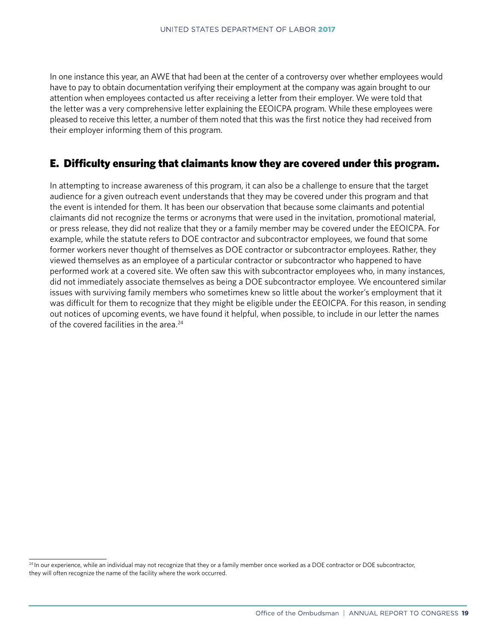In one instance this year, an AWE that had been at the center of a controversy over whether employees would have to pay to obtain documentation verifying their employment at the company was again brought to our attention when employees contacted us after receiving a letter from their employer. We were told that the letter was a very comprehensive letter explaining the EEOICPA program. While these employees were pleased to receive this letter, a number of them noted that this was the first notice they had received from their employer informing them of this program.

#### E. Difficulty ensuring that claimants know they are covered under this program.

In attempting to increase awareness of this program, it can also be a challenge to ensure that the target audience for a given outreach event understands that they may be covered under this program and that the event is intended for them. It has been our observation that because some claimants and potential claimants did not recognize the terms or acronyms that were used in the invitation, promotional material, or press release, they did not realize that they or a family member may be covered under the EEOICPA. For example, while the statute refers to DOE contractor and subcontractor employees, we found that some former workers never thought of themselves as DOE contractor or subcontractor employees. Rather, they viewed themselves as an employee of a particular contractor or subcontractor who happened to have performed work at a covered site. We often saw this with subcontractor employees who, in many instances, did not immediately associate themselves as being a DOE subcontractor employee. We encountered similar issues with surviving family members who sometimes knew so little about the worker's employment that it was difficult for them to recognize that they might be eligible under the EEOICPA. For this reason, in sending out notices of upcoming events, we have found it helpful, when possible, to include in our letter the names of the covered facilities in the area.<sup>24</sup>

<sup>&</sup>lt;sup>24</sup> In our experience, while an individual may not recognize that they or a family member once worked as a DOE contractor or DOE subcontractor, they will often recognize the name of the facility where the work occurred.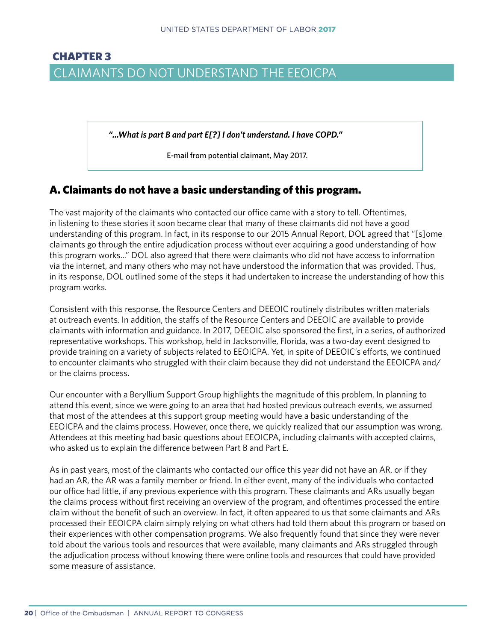# <span id="page-25-0"></span>CHAPTER 3 CLAIMANTS DO NOT UNDERSTAND THE EEOICPA

*"...What is part B and part E[?] I don't understand. I have COPD."*

E-mail from potential claimant, May 2017.

#### A. Claimants do not have a basic understanding of this program.

The vast majority of the claimants who contacted our office came with a story to tell. Oftentimes, in listening to these stories it soon became clear that many of these claimants did not have a good understanding of this program. In fact, in its response to our 2015 Annual Report, DOL agreed that "[s]ome claimants go through the entire adjudication process without ever acquiring a good understanding of how this program works..." DOL also agreed that there were claimants who did not have access to information via the internet, and many others who may not have understood the information that was provided. Thus, in its response, DOL outlined some of the steps it had undertaken to increase the understanding of how this program works.

Consistent with this response, the Resource Centers and DEEOIC routinely distributes written materials at outreach events. In addition, the staffs of the Resource Centers and DEEOIC are available to provide claimants with information and guidance. In 2017, DEEOIC also sponsored the first, in a series, of authorized representative workshops. This workshop, held in Jacksonville, Florida, was a two-day event designed to provide training on a variety of subjects related to EEOICPA. Yet, in spite of DEEOIC's efforts, we continued to encounter claimants who struggled with their claim because they did not understand the EEOICPA and/ or the claims process.

Our encounter with a Beryllium Support Group highlights the magnitude of this problem. In planning to attend this event, since we were going to an area that had hosted previous outreach events, we assumed that most of the attendees at this support group meeting would have a basic understanding of the EEOICPA and the claims process. However, once there, we quickly realized that our assumption was wrong. Attendees at this meeting had basic questions about EEOICPA, including claimants with accepted claims, who asked us to explain the difference between Part B and Part E.

As in past years, most of the claimants who contacted our office this year did not have an AR, or if they had an AR, the AR was a family member or friend. In either event, many of the individuals who contacted our office had little, if any previous experience with this program. These claimants and ARs usually began the claims process without first receiving an overview of the program, and oftentimes processed the entire claim without the benefit of such an overview. In fact, it often appeared to us that some claimants and ARs processed their EEOICPA claim simply relying on what others had told them about this program or based on their experiences with other compensation programs. We also frequently found that since they were never told about the various tools and resources that were available, many claimants and ARs struggled through the adjudication process without knowing there were online tools and resources that could have provided some measure of assistance.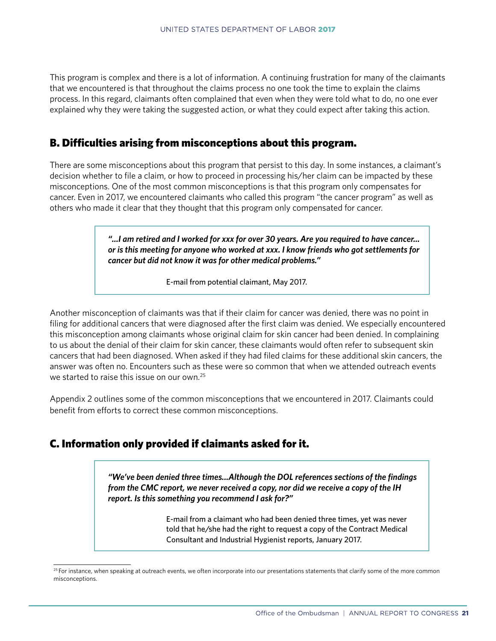This program is complex and there is a lot of information. A continuing frustration for many of the claimants that we encountered is that throughout the claims process no one took the time to explain the claims process. In this regard, claimants often complained that even when they were told what to do, no one ever explained why they were taking the suggested action, or what they could expect after taking this action.

#### B. Difficulties arising from misconceptions about this program.

There are some misconceptions about this program that persist to this day. In some instances, a claimant's decision whether to file a claim, or how to proceed in processing his/her claim can be impacted by these misconceptions. One of the most common misconceptions is that this program only compensates for cancer. Even in 2017, we encountered claimants who called this program "the cancer program" as well as others who made it clear that they thought that this program only compensated for cancer.

> *"...I am retired and I worked for xxx for over 30 years. Are you required to have cancer... or is this meeting for anyone who worked at xxx. I know friends who got settlements for cancer but did not know it was for other medical problems."*

> > E-mail from potential claimant, May 2017.

Another misconception of claimants was that if their claim for cancer was denied, there was no point in filing for additional cancers that were diagnosed after the first claim was denied. We especially encountered this misconception among claimants whose original claim for skin cancer had been denied. In complaining to us about the denial of their claim for skin cancer, these claimants would often refer to subsequent skin cancers that had been diagnosed. When asked if they had filed claims for these additional skin cancers, the answer was often no. Encounters such as these were so common that when we attended outreach events we started to raise this issue on our own.<sup>25</sup>

Appendix 2 outlines some of the common misconceptions that we encountered in 2017. Claimants could benefit from efforts to correct these common misconceptions.

#### C. Information only provided if claimants asked for it.

 *"We've been denied three times...Although the DOL references sections of the findings from the CMC report, we never received a copy, nor did we receive a copy of the IH report. Is this something you recommend I ask for?"*

> E-mail from a claimant who had been denied three times, yet was never told that he/she had the right to request a copy of the Contract Medical Consultant and Industrial Hygienist reports, January 2017.

<sup>&</sup>lt;sup>25</sup> For instance, when speaking at outreach events, we often incorporate into our presentations statements that clarify some of the more common misconceptions.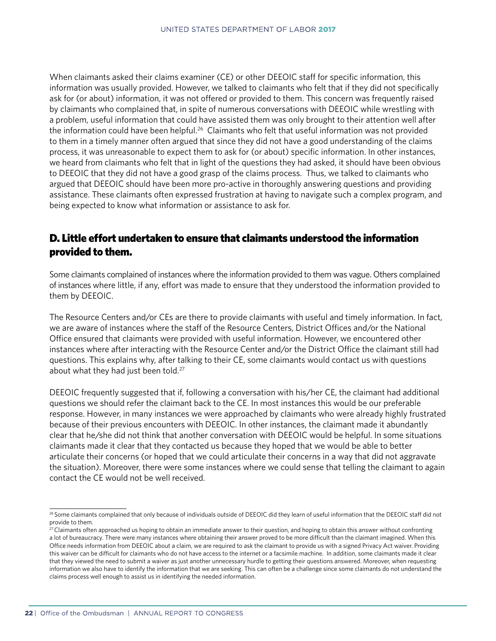When claimants asked their claims examiner (CE) or other DEEOIC staff for specific information, this information was usually provided. However, we talked to claimants who felt that if they did not specifically ask for (or about) information, it was not offered or provided to them. This concern was frequently raised by claimants who complained that, in spite of numerous conversations with DEEOIC while wrestling with a problem, useful information that could have assisted them was only brought to their attention well after the information could have been helpful.<sup>26</sup> Claimants who felt that useful information was not provided to them in a timely manner often argued that since they did not have a good understanding of the claims process, it was unreasonable to expect them to ask for (or about) specific information. In other instances, we heard from claimants who felt that in light of the questions they had asked, it should have been obvious to DEEOIC that they did not have a good grasp of the claims process. Thus, we talked to claimants who argued that DEEOIC should have been more pro-active in thoroughly answering questions and providing assistance. These claimants often expressed frustration at having to navigate such a complex program, and being expected to know what information or assistance to ask for.

#### D. Little effort undertaken to ensure that claimants understood the information provided to them.

Some claimants complained of instances where the information provided to them was vague. Others complained of instances where little, if any, effort was made to ensure that they understood the information provided to them by DEEOIC.

The Resource Centers and/or CEs are there to provide claimants with useful and timely information. In fact, we are aware of instances where the staff of the Resource Centers, District Offices and/or the National Office ensured that claimants were provided with useful information. However, we encountered other instances where after interacting with the Resource Center and/or the District Office the claimant still had questions. This explains why, after talking to their CE, some claimants would contact us with questions about what they had just been told.<sup>27</sup>

DEEOIC frequently suggested that if, following a conversation with his/her CE, the claimant had additional questions we should refer the claimant back to the CE. In most instances this would be our preferable response. However, in many instances we were approached by claimants who were already highly frustrated because of their previous encounters with DEEOIC. In other instances, the claimant made it abundantly clear that he/she did not think that another conversation with DEEOIC would be helpful. In some situations claimants made it clear that they contacted us because they hoped that we would be able to better articulate their concerns (or hoped that we could articulate their concerns in a way that did not aggravate the situation). Moreover, there were some instances where we could sense that telling the claimant to again contact the CE would not be well received.

<sup>&</sup>lt;sup>26</sup> Some claimants complained that only because of individuals outside of DEEOIC did they learn of useful information that the DEEOIC staff did not provide to them.

 $27$  Claimants often approached us hoping to obtain an immediate answer to their question, and hoping to obtain this answer without confronting a lot of bureaucracy. There were many instances where obtaining their answer proved to be more difficult than the claimant imagined. When this Office needs information from DEEOIC about a claim, we are required to ask the claimant to provide us with a signed Privacy Act waiver. Providing this waiver can be difficult for claimants who do not have access to the internet or a facsimile machine. In addition, some claimants made it clear that they viewed the need to submit a waiver as just another unnecessary hurdle to getting their questions answered. Moreover, when requesting information we also have to identify the information that we are seeking. This can often be a challenge since some claimants do not understand the claims process well enough to assist us in identifying the needed information.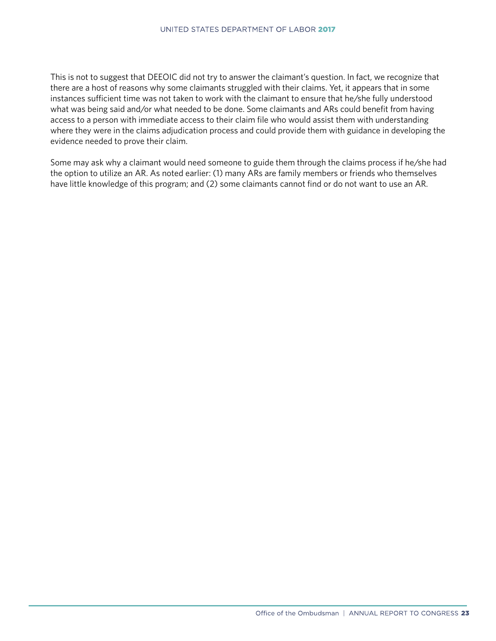This is not to suggest that DEEOIC did not try to answer the claimant's question. In fact, we recognize that there are a host of reasons why some claimants struggled with their claims. Yet, it appears that in some instances sufficient time was not taken to work with the claimant to ensure that he/she fully understood what was being said and/or what needed to be done. Some claimants and ARs could benefit from having access to a person with immediate access to their claim file who would assist them with understanding where they were in the claims adjudication process and could provide them with guidance in developing the evidence needed to prove their claim.

Some may ask why a claimant would need someone to guide them through the claims process if he/she had the option to utilize an AR. As noted earlier: (1) many ARs are family members or friends who themselves have little knowledge of this program; and (2) some claimants cannot find or do not want to use an AR.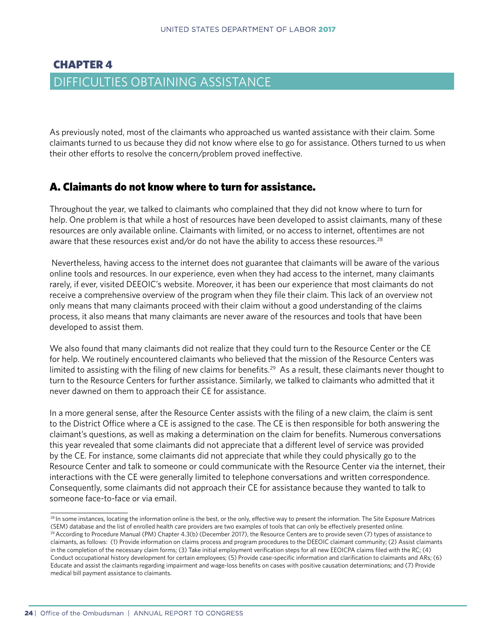# <span id="page-29-0"></span>CHAPTER 4 DIFFICULTIES OBTAINING ASSISTANCE

As previously noted, most of the claimants who approached us wanted assistance with their claim. Some claimants turned to us because they did not know where else to go for assistance. Others turned to us when their other efforts to resolve the concern/problem proved ineffective.

#### A. Claimants do not know where to turn for assistance.

Throughout the year, we talked to claimants who complained that they did not know where to turn for help. One problem is that while a host of resources have been developed to assist claimants, many of these resources are only available online. Claimants with limited, or no access to internet, oftentimes are not aware that these resources exist and/or do not have the ability to access these resources.<sup>28</sup>

 Nevertheless, having access to the internet does not guarantee that claimants will be aware of the various online tools and resources. In our experience, even when they had access to the internet, many claimants rarely, if ever, visited DEEOIC's website. Moreover, it has been our experience that most claimants do not receive a comprehensive overview of the program when they file their claim. This lack of an overview not only means that many claimants proceed with their claim without a good understanding of the claims process, it also means that many claimants are never aware of the resources and tools that have been developed to assist them.

We also found that many claimants did not realize that they could turn to the Resource Center or the CE for help. We routinely encountered claimants who believed that the mission of the Resource Centers was limited to assisting with the filing of new claims for benefits.<sup>29</sup> As a result, these claimants never thought to turn to the Resource Centers for further assistance. Similarly, we talked to claimants who admitted that it never dawned on them to approach their CE for assistance.

In a more general sense, after the Resource Center assists with the filing of a new claim, the claim is sent to the District Office where a CE is assigned to the case. The CE is then responsible for both answering the claimant's questions, as well as making a determination on the claim for benefits. Numerous conversations this year revealed that some claimants did not appreciate that a different level of service was provided by the CE. For instance, some claimants did not appreciate that while they could physically go to the Resource Center and talk to someone or could communicate with the Resource Center via the internet, their interactions with the CE were generally limited to telephone conversations and written correspondence. Consequently, some claimants did not approach their CE for assistance because they wanted to talk to someone face-to-face or via email.

<sup>&</sup>lt;sup>28</sup> In some instances, locating the information online is the best, or the only, effective way to present the information. The Site Exposure Matrices (SEM) database and the list of enrolled health care providers are two examples of tools that can only be effectively presented online. <sup>29</sup> According to Procedure Manual (PM) Chapter 4.3(b) (December 2017), the Resource Centers are to provide seven (7) types of assistance to claimants, as follows: (1) Provide information on claims process and program procedures to the DEEOIC claimant community; (2) Assist claimants

in the completion of the necessary claim forms; (3) Take initial employment verification steps for all new EEOICPA claims filed with the RC; (4) Conduct occupational history development for certain employees; (5) Provide case-specific information and clarification to claimants and ARs; (6) Educate and assist the claimants regarding impairment and wage-loss benefits on cases with positive causation determinations; and (7) Provide medical bill payment assistance to claimants.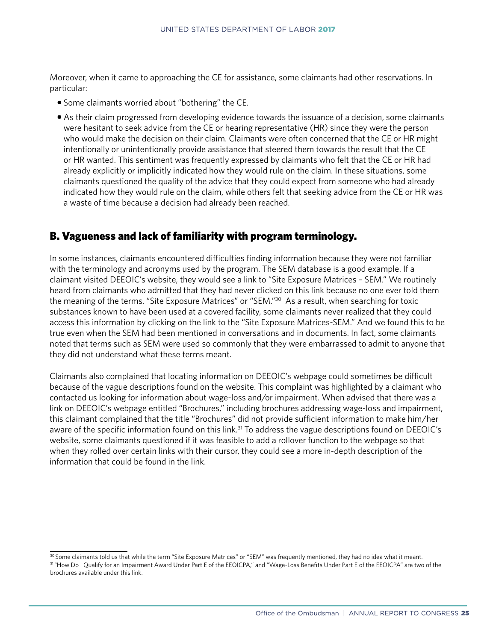Moreover, when it came to approaching the CE for assistance, some claimants had other reservations. In particular:

- Some claimants worried about "bothering" the CE.
- As their claim progressed from developing evidence towards the issuance of a decision, some claimants were hesitant to seek advice from the CE or hearing representative (HR) since they were the person who would make the decision on their claim. Claimants were often concerned that the CE or HR might intentionally or unintentionally provide assistance that steered them towards the result that the CE or HR wanted. This sentiment was frequently expressed by claimants who felt that the CE or HR had already explicitly or implicitly indicated how they would rule on the claim. In these situations, some claimants questioned the quality of the advice that they could expect from someone who had already indicated how they would rule on the claim, while others felt that seeking advice from the CE or HR was a waste of time because a decision had already been reached.

#### B. Vagueness and lack of familiarity with program terminology.

In some instances, claimants encountered difficulties finding information because they were not familiar with the terminology and acronyms used by the program. The SEM database is a good example. If a claimant visited DEEOIC's website, they would see a link to "Site Exposure Matrices – SEM." We routinely heard from claimants who admitted that they had never clicked on this link because no one ever told them the meaning of the terms, "Site Exposure Matrices" or "SEM."30 As a result, when searching for toxic substances known to have been used at a covered facility, some claimants never realized that they could access this information by clicking on the link to the "Site Exposure Matrices-SEM." And we found this to be true even when the SEM had been mentioned in conversations and in documents. In fact, some claimants noted that terms such as SEM were used so commonly that they were embarrassed to admit to anyone that they did not understand what these terms meant.

Claimants also complained that locating information on DEEOIC's webpage could sometimes be difficult because of the vague descriptions found on the website. This complaint was highlighted by a claimant who contacted us looking for information about wage-loss and/or impairment. When advised that there was a link on DEEOIC's webpage entitled "Brochures," including brochures addressing wage-loss and impairment, this claimant complained that the title "Brochures" did not provide sufficient information to make him/her aware of the specific information found on this link.<sup>31</sup> To address the vague descriptions found on DEEOIC's website, some claimants questioned if it was feasible to add a rollover function to the webpage so that when they rolled over certain links with their cursor, they could see a more in-depth description of the information that could be found in the link.

<sup>30</sup> Some claimants told us that while the term "Site Exposure Matrices" or "SEM" was frequently mentioned, they had no idea what it meant. 31 "How Do I Qualify for an Impairment Award Under Part E of the EEOICPA," and "Wage-Loss Benefits Under Part E of the EEOICPA" are two of the brochures available under this link.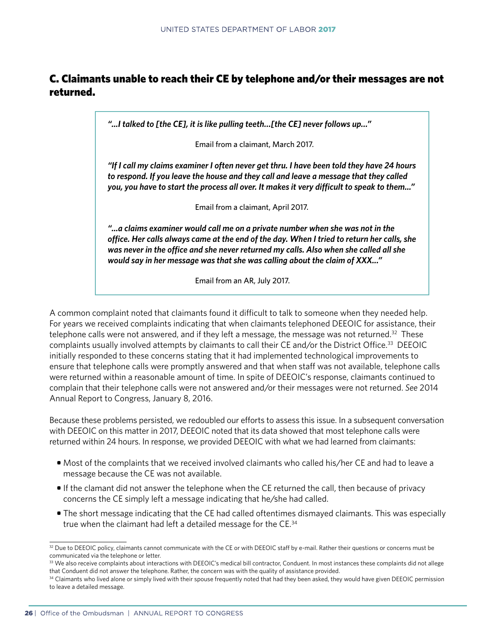#### C. Claimants unable to reach their CE by telephone and/or their messages are not returned.

*"...I talked to [the CE], it is like pulling teeth…[the CE] never follows up…"*

Email from a claimant, March 2017.

 *"If I call my claims examiner I often never get thru. I have been told they have 24 hours to respond. If you leave the house and they call and leave a message that they called you, you have to start the process all over. It makes it very difficult to speak to them..."*

Email from a claimant, April 2017.

 *"...a claims examiner would call me on a private number when she was not in the office. Her calls always came at the end of the day. When I tried to return her calls, she was never in the office and she never returned my calls. Also when she called all she would say in her message was that she was calling about the claim of XXX..."*

Email from an AR, July 2017.

A common complaint noted that claimants found it difficult to talk to someone when they needed help. For years we received complaints indicating that when claimants telephoned DEEOIC for assistance, their telephone calls were not answered, and if they left a message, the message was not returned.<sup>32</sup> These complaints usually involved attempts by claimants to call their CE and/or the District Office.<sup>33</sup> DEEOIC initially responded to these concerns stating that it had implemented technological improvements to ensure that telephone calls were promptly answered and that when staff was not available, telephone calls were returned within a reasonable amount of time. In spite of DEEOIC's response, claimants continued to complain that their telephone calls were not answered and/or their messages were not returned. *See* 2014 Annual Report to Congress, January 8, 2016.

Because these problems persisted, we redoubled our efforts to assess this issue. In a subsequent conversation with DEEOIC on this matter in 2017, DEEOIC noted that its data showed that most telephone calls were returned within 24 hours. In response, we provided DEEOIC with what we had learned from claimants:

- Most of the complaints that we received involved claimants who called his/her CE and had to leave a message because the CE was not available.
- If the clamant did not answer the telephone when the CE returned the call, then because of privacy concerns the CE simply left a message indicating that he/she had called.
- The short message indicating that the CE had called oftentimes dismayed claimants. This was especially true when the claimant had left a detailed message for the CE.34

<sup>&</sup>lt;sup>32</sup> Due to DEEOIC policy, claimants cannot communicate with the CE or with DEEOIC staff by e-mail. Rather their questions or concerns must be communicated via the telephone or letter.

<sup>33</sup> We also receive complaints about interactions with DEEOIC's medical bill contractor, Conduent. In most instances these complaints did not allege that Conduent did not answer the telephone. Rather, the concern was with the quality of assistance provided.

<sup>34</sup> Claimants who lived alone or simply lived with their spouse frequently noted that had they been asked, they would have given DEEOIC permission to leave a detailed message.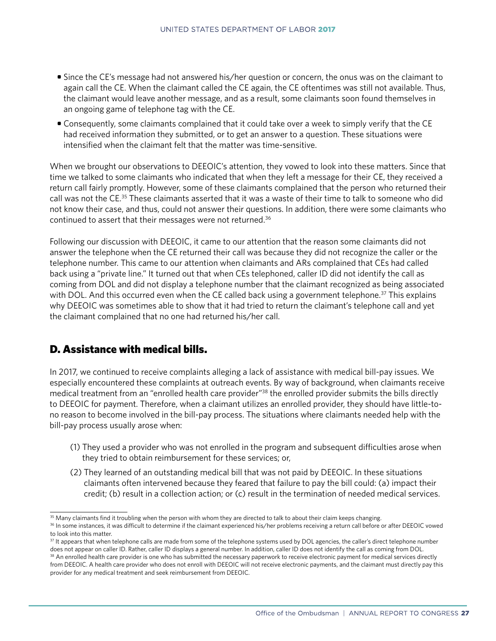- Since the CE's message had not answered his/her question or concern, the onus was on the claimant to again call the CE. When the claimant called the CE again, the CE oftentimes was still not available. Thus, the claimant would leave another message, and as a result, some claimants soon found themselves in an ongoing game of telephone tag with the CE.
- Consequently, some claimants complained that it could take over a week to simply verify that the CE had received information they submitted, or to get an answer to a question. These situations were intensified when the claimant felt that the matter was time-sensitive.

When we brought our observations to DEEOIC's attention, they yowed to look into these matters. Since that time we talked to some claimants who indicated that when they left a message for their CE, they received a return call fairly promptly. However, some of these claimants complained that the person who returned their call was not the CE.35 These claimants asserted that it was a waste of their time to talk to someone who did not know their case, and thus, could not answer their questions. In addition, there were some claimants who continued to assert that their messages were not returned.36

Following our discussion with DEEOIC, it came to our attention that the reason some claimants did not answer the telephone when the CE returned their call was because they did not recognize the caller or the telephone number. This came to our attention when claimants and ARs complained that CEs had called back using a "private line." It turned out that when CEs telephoned, caller ID did not identify the call as coming from DOL and did not display a telephone number that the claimant recognized as being associated with DOL. And this occurred even when the CE called back using a government telephone.<sup>37</sup> This explains why DEEOIC was sometimes able to show that it had tried to return the claimant's telephone call and yet the claimant complained that no one had returned his/her call.

#### D. Assistance with medical bills.

In 2017, we continued to receive complaints alleging a lack of assistance with medical bill-pay issues. We especially encountered these complaints at outreach events. By way of background, when claimants receive medical treatment from an "enrolled health care provider"38 the enrolled provider submits the bills directly to DEEOIC for payment. Therefore, when a claimant utilizes an enrolled provider, they should have little-tono reason to become involved in the bill-pay process. The situations where claimants needed help with the bill-pay process usually arose when:

- (1) They used a provider who was not enrolled in the program and subsequent difficulties arose when they tried to obtain reimbursement for these services; or,
- (2) They learned of an outstanding medical bill that was not paid by DEEOIC. In these situations claimants often intervened because they feared that failure to pay the bill could: (a) impact their credit; (b) result in a collection action; or (c) result in the termination of needed medical services.

<sup>&</sup>lt;sup>35</sup> Many claimants find it troubling when the person with whom they are directed to talk to about their claim keeps changing.

<sup>36</sup> In some instances, it was difficult to determine if the claimant experienced his/her problems receiving a return call before or after DEEOIC vowed to look into this matter.

<sup>&</sup>lt;sup>37</sup> It appears that when telephone calls are made from some of the telephone systems used by DOL agencies, the caller's direct telephone number does not appear on caller ID. Rather, caller ID displays a general number. In addition, caller ID does not identify the call as coming from DOL. <sup>38</sup> An enrolled health care provider is one who has submitted the necessary paperwork to receive electronic payment for medical services directly

from DEEOIC. A health care provider who does not enroll with DEEOIC will not receive electronic payments, and the claimant must directly pay this provider for any medical treatment and seek reimbursement from DEEOIC.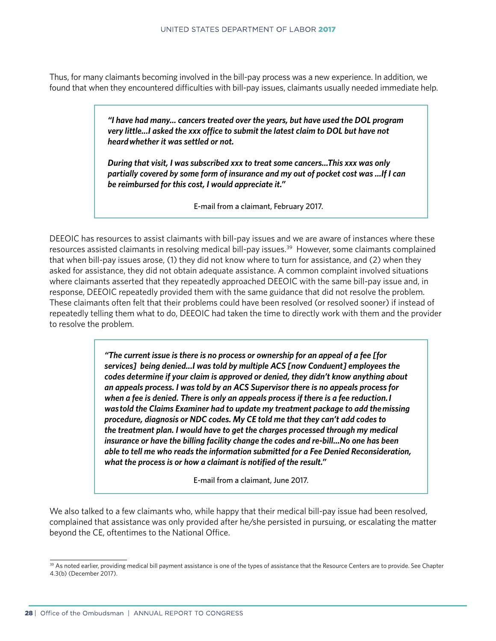Thus, for many claimants becoming involved in the bill-pay process was a new experience. In addition, we found that when they encountered difficulties with bill-pay issues, claimants usually needed immediate help.

> *"I have had many... cancers treated over the years, but have used the DOL program very little...I asked the xxx office to submit the latest claim to DOL but have not heard whether it was settled or not.*

> *During that visit, I was subscribed xxx to treat some cancers...This xxx was only partially covered by some form of insurance and my out of pocket cost was ...If I can be reimbursed for this cost, I would appreciate it."*

> > E-mail from a claimant, February 2017.

DEEOIC has resources to assist claimants with bill-pay issues and we are aware of instances where these resources assisted claimants in resolving medical bill-pay issues.<sup>39</sup> However, some claimants complained that when bill-pay issues arose, (1) they did not know where to turn for assistance, and (2) when they asked for assistance, they did not obtain adequate assistance. A common complaint involved situations where claimants asserted that they repeatedly approached DEEOIC with the same bill-pay issue and, in response, DEEOIC repeatedly provided them with the same guidance that did not resolve the problem. These claimants often felt that their problems could have been resolved (or resolved sooner) if instead of repeatedly telling them what to do, DEEOIC had taken the time to directly work with them and the provider to resolve the problem.

> *"The current issue is there is no process or ownership for an appeal of a fee [for services] being denied...I was told by multiple ACS [now Conduent] employees the codes determine if your claim is approved or denied, they didn't know anything about an appeals process. I was told by an ACS Supervisor there is no appeals process for when a fee is denied. There is only an appeals process if there is a fee reduction. I was told the Claims Examiner had to update my treatment package to add the missing procedure, diagnosis or NDC codes. My CE told me that they can't add codes to the treatment plan. I would have to get the charges processed through my medical insurance or have the billing facility change the codes and re-bill...No one has been able to tell me who reads the information submitted for a Fee Denied Reconsideration, what the process is or how a claimant is notified of the result."*

> > E-mail from a claimant, June 2017.

We also talked to a few claimants who, while happy that their medical bill-pay issue had been resolved, complained that assistance was only provided after he/she persisted in pursuing, or escalating the matter beyond the CE, oftentimes to the National Office.

<sup>39</sup> As noted earlier, providing medical bill payment assistance is one of the types of assistance that the Resource Centers are to provide. See Chapter 4.3(b) (December 2017).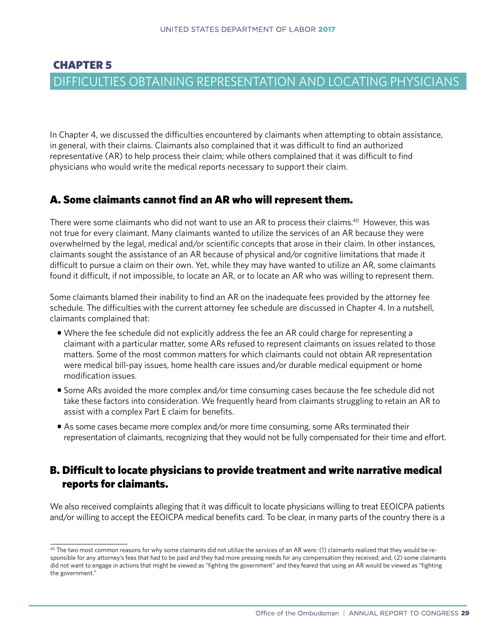## <span id="page-34-0"></span>CHAPTER 5 DIFFICULTIES OBTAINING REPRESENTATION AND LOCATING PHYSICIANS

In Chapter 4, we discussed the difficulties encountered by claimants when attempting to obtain assistance, in general, with their claims. Claimants also complained that it was difficult to find an authorized representative (AR) to help process their claim; while others complained that it was difficult to find physicians who would write the medical reports necessary to support their claim.

#### A. Some claimants cannot find an AR who will represent them.

There were some claimants who did not want to use an AR to process their claims.40 However, this was not true for every claimant. Many claimants wanted to utilize the services of an AR because they were overwhelmed by the legal, medical and/or scientific concepts that arose in their claim. In other instances, claimants sought the assistance of an AR because of physical and/or cognitive limitations that made it difficult to pursue a claim on their own. Yet, while they may have wanted to utilize an AR, some claimants found it difficult, if not impossible, to locate an AR, or to locate an AR who was willing to represent them.

Some claimants blamed their inability to find an AR on the inadequate fees provided by the attorney fee schedule. The difficulties with the current attorney fee schedule are discussed in Chapter 4. In a nutshell, claimants complained that:

- Where the fee schedule did not explicitly address the fee an AR could charge for representing a claimant with a particular matter, some ARs refused to represent claimants on issues related to those matters. Some of the most common matters for which claimants could not obtain AR representation were medical bill-pay issues, home health care issues and/or durable medical equipment or home modification issues.
- Some ARs avoided the more complex and/or time consuming cases because the fee schedule did not take these factors into consideration. We frequently heard from claimants struggling to retain an AR to assist with a complex Part E claim for benefits.
- As some cases became more complex and/or more time consuming, some ARs terminated their representation of claimants, recognizing that they would not be fully compensated for their time and effort.

#### B. Difficult to locate physicians to provide treatment and write narrative medical reports for claimants.

We also received complaints alleging that it was difficult to locate physicians willing to treat EEOICPA patients and/or willing to accept the EEOICPA medical benefits card. To be clear, in many parts of the country there is a

<sup>&</sup>lt;sup>40</sup> The two most common reasons for why some claimants did not utilize the services of an AR were: (1) claimants realized that they would be responsible for any attorney's fees that had to be paid and they had more pressing needs for any compensation they received; and, (2) some claimants did not want to engage in actions that might be viewed as "fighting the government" and they feared that using an AR would be viewed as "fighting the government."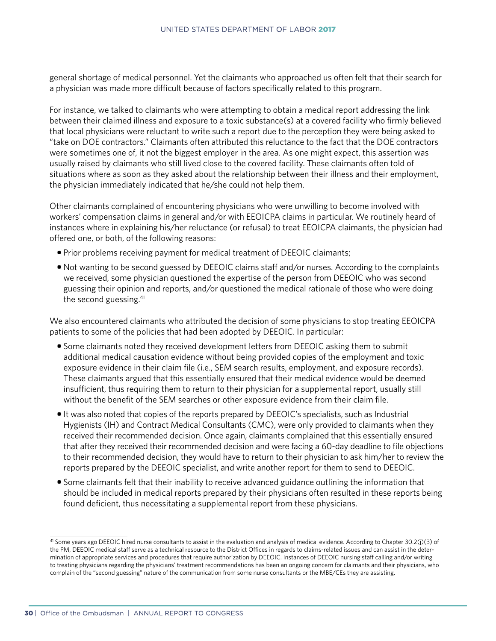general shortage of medical personnel. Yet the claimants who approached us often felt that their search for a physician was made more difficult because of factors specifically related to this program.

For instance, we talked to claimants who were attempting to obtain a medical report addressing the link between their claimed illness and exposure to a toxic substance(s) at a covered facility who firmly believed that local physicians were reluctant to write such a report due to the perception they were being asked to "take on DOE contractors." Claimants often attributed this reluctance to the fact that the DOE contractors were sometimes one of, it not the biggest employer in the area. As one might expect, this assertion was usually raised by claimants who still lived close to the covered facility. These claimants often told of situations where as soon as they asked about the relationship between their illness and their employment, the physician immediately indicated that he/she could not help them.

Other claimants complained of encountering physicians who were unwilling to become involved with workers' compensation claims in general and/or with EEOICPA claims in particular. We routinely heard of instances where in explaining his/her reluctance (or refusal) to treat EEOICPA claimants, the physician had offered one, or both, of the following reasons:

- Prior problems receiving payment for medical treatment of DEEOIC claimants;
- Not wanting to be second guessed by DEEOIC claims staff and/or nurses. According to the complaints we received, some physician questioned the expertise of the person from DEEOIC who was second guessing their opinion and reports, and/or questioned the medical rationale of those who were doing the second guessing.41

We also encountered claimants who attributed the decision of some physicians to stop treating EEOICPA patients to some of the policies that had been adopted by DEEOIC. In particular:

- Some claimants noted they received development letters from DEEOIC asking them to submit additional medical causation evidence without being provided copies of the employment and toxic exposure evidence in their claim file (i.e., SEM search results, employment, and exposure records). These claimants argued that this essentially ensured that their medical evidence would be deemed insufficient, thus requiring them to return to their physician for a supplemental report, usually still without the benefit of the SEM searches or other exposure evidence from their claim file.
- It was also noted that copies of the reports prepared by DEEOIC's specialists, such as Industrial Hygienists (IH) and Contract Medical Consultants (CMC), were only provided to claimants when they received their recommended decision. Once again, claimants complained that this essentially ensured that after they received their recommended decision and were facing a 60-day deadline to file objections to their recommended decision, they would have to return to their physician to ask him/her to review the reports prepared by the DEEOIC specialist, and write another report for them to send to DEEOIC.
- Some claimants felt that their inability to receive advanced guidance outlining the information that should be included in medical reports prepared by their physicians often resulted in these reports being found deficient, thus necessitating a supplemental report from these physicians.

<sup>41</sup> Some years ago DEEOIC hired nurse consultants to assist in the evaluation and analysis of medical evidence. According to Chapter 30.2(j)(3) of the PM, DEEOIC medical staff serve as a technical resource to the District Offices in regards to claims-related issues and can assist in the determination of appropriate services and procedures that require authorization by DEEOIC. Instances of DEEOIC nursing staff calling and/or writing to treating physicians regarding the physicians' treatment recommendations has been an ongoing concern for claimants and their physicians, who complain of the "second guessing" nature of the communication from some nurse consultants or the MBE/CEs they are assisting.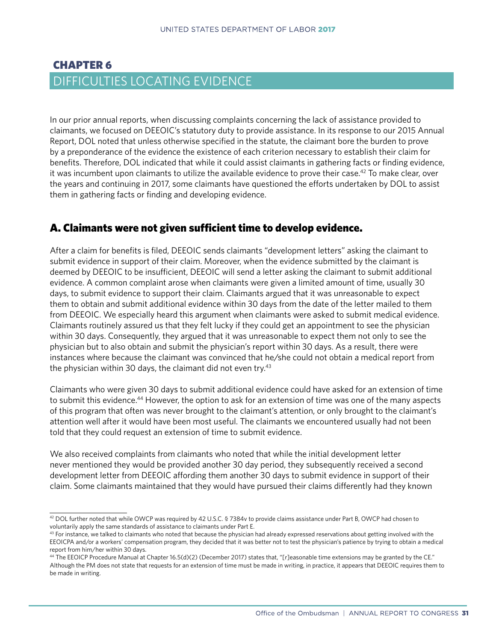## CHAPTER 6 DIFFICULTIES LOCATING EVIDENCE

In our prior annual reports, when discussing complaints concerning the lack of assistance provided to claimants, we focused on DEEOIC's statutory duty to provide assistance. In its response to our 2015 Annual Report, DOL noted that unless otherwise specified in the statute, the claimant bore the burden to prove by a preponderance of the evidence the existence of each criterion necessary to establish their claim for benefits. Therefore, DOL indicated that while it could assist claimants in gathering facts or finding evidence, it was incumbent upon claimants to utilize the available evidence to prove their case.42 To make clear, over the years and continuing in 2017, some claimants have questioned the efforts undertaken by DOL to assist them in gathering facts or finding and developing evidence.

## A. Claimants were not given sufficient time to develop evidence.

After a claim for benefits is filed, DEEOIC sends claimants "development letters" asking the claimant to submit evidence in support of their claim. Moreover, when the evidence submitted by the claimant is deemed by DEEOIC to be insufficient, DEEOIC will send a letter asking the claimant to submit additional evidence. A common complaint arose when claimants were given a limited amount of time, usually 30 days, to submit evidence to support their claim. Claimants argued that it was unreasonable to expect them to obtain and submit additional evidence within 30 days from the date of the letter mailed to them from DEEOIC. We especially heard this argument when claimants were asked to submit medical evidence. Claimants routinely assured us that they felt lucky if they could get an appointment to see the physician within 30 days. Consequently, they argued that it was unreasonable to expect them not only to see the physician but to also obtain and submit the physician's report within 30 days. As a result, there were instances where because the claimant was convinced that he/she could not obtain a medical report from the physician within 30 days, the claimant did not even try. $43$ 

Claimants who were given 30 days to submit additional evidence could have asked for an extension of time to submit this evidence.<sup>44</sup> However, the option to ask for an extension of time was one of the many aspects of this program that often was never brought to the claimant's attention, or only brought to the claimant's attention well after it would have been most useful. The claimants we encountered usually had not been told that they could request an extension of time to submit evidence.

We also received complaints from claimants who noted that while the initial development letter never mentioned they would be provided another 30 day period, they subsequently received a second development letter from DEEOIC affording them another 30 days to submit evidence in support of their claim. Some claimants maintained that they would have pursued their claims differently had they known

<sup>42</sup> DOL further noted that while OWCP was required by 42 U.S.C. § 7384v to provide claims assistance under Part B, OWCP had chosen to voluntarily apply the same standards of assistance to claimants under Part E.

 $43$  For instance, we talked to claimants who noted that because the physician had already expressed reservations about getting involved with the EEOICPA and/or a workers' compensation program, they decided that it was better not to test the physician's patience by trying to obtain a medical report from him/her within 30 days.

<sup>44</sup> The EEOICP Procedure Manual at Chapter 16.5(d)(2) (December 2017) states that, "[r]easonable time extensions may be granted by the CE." Although the PM does not state that requests for an extension of time must be made in writing, in practice, it appears that DEEOIC requires them to be made in writing.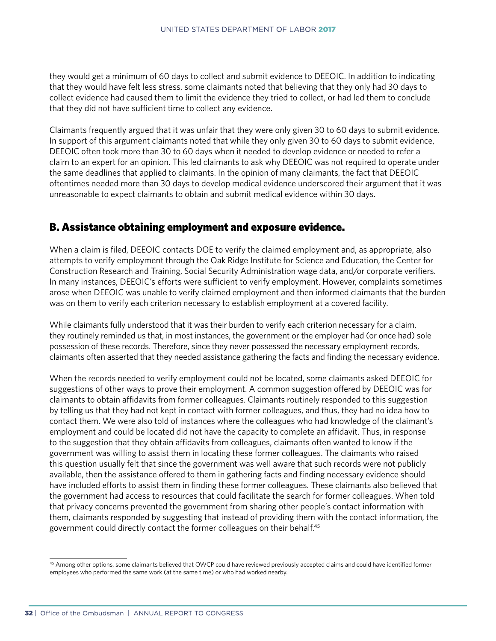they would get a minimum of 60 days to collect and submit evidence to DEEOIC. In addition to indicating that they would have felt less stress, some claimants noted that believing that they only had 30 days to collect evidence had caused them to limit the evidence they tried to collect, or had led them to conclude that they did not have sufficient time to collect any evidence.

Claimants frequently argued that it was unfair that they were only given 30 to 60 days to submit evidence. In support of this argument claimants noted that while they only given 30 to 60 days to submit evidence, DEEOIC often took more than 30 to 60 days when it needed to develop evidence or needed to refer a claim to an expert for an opinion. This led claimants to ask why DEEOIC was not required to operate under the same deadlines that applied to claimants. In the opinion of many claimants, the fact that DEEOIC oftentimes needed more than 30 days to develop medical evidence underscored their argument that it was unreasonable to expect claimants to obtain and submit medical evidence within 30 days.

## B. Assistance obtaining employment and exposure evidence.

When a claim is filed, DEEOIC contacts DOE to verify the claimed employment and, as appropriate, also attempts to verify employment through the Oak Ridge Institute for Science and Education, the Center for Construction Research and Training, Social Security Administration wage data, and/or corporate verifiers. In many instances, DEEOIC's efforts were sufficient to verify employment. However, complaints sometimes arose when DEEOIC was unable to verify claimed employment and then informed claimants that the burden was on them to verify each criterion necessary to establish employment at a covered facility.

While claimants fully understood that it was their burden to verify each criterion necessary for a claim, they routinely reminded us that, in most instances, the government or the employer had (or once had) sole possession of these records. Therefore, since they never possessed the necessary employment records, claimants often asserted that they needed assistance gathering the facts and finding the necessary evidence.

When the records needed to verify employment could not be located, some claimants asked DEEOIC for suggestions of other ways to prove their employment. A common suggestion offered by DEEOIC was for claimants to obtain affidavits from former colleagues. Claimants routinely responded to this suggestion by telling us that they had not kept in contact with former colleagues, and thus, they had no idea how to contact them. We were also told of instances where the colleagues who had knowledge of the claimant's employment and could be located did not have the capacity to complete an affidavit. Thus, in response to the suggestion that they obtain affidavits from colleagues, claimants often wanted to know if the government was willing to assist them in locating these former colleagues. The claimants who raised this question usually felt that since the government was well aware that such records were not publicly available, then the assistance offered to them in gathering facts and finding necessary evidence should have included efforts to assist them in finding these former colleagues. These claimants also believed that the government had access to resources that could facilitate the search for former colleagues. When told that privacy concerns prevented the government from sharing other people's contact information with them, claimants responded by suggesting that instead of providing them with the contact information, the government could directly contact the former colleagues on their behalf.45

<sup>&</sup>lt;sup>45</sup> Among other options, some claimants believed that OWCP could have reviewed previously accepted claims and could have identified former employees who performed the same work (at the same time) or who had worked nearby.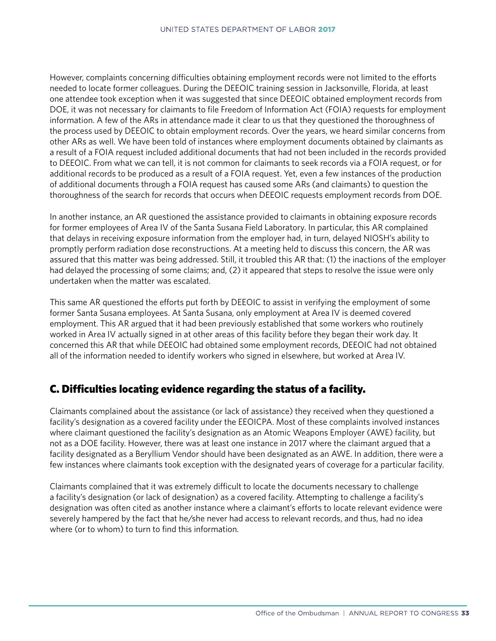However, complaints concerning difficulties obtaining employment records were not limited to the efforts needed to locate former colleagues. During the DEEOIC training session in Jacksonville, Florida, at least one attendee took exception when it was suggested that since DEEOIC obtained employment records from DOE, it was not necessary for claimants to file Freedom of Information Act (FOIA) requests for employment information. A few of the ARs in attendance made it clear to us that they questioned the thoroughness of the process used by DEEOIC to obtain employment records. Over the years, we heard similar concerns from other ARs as well. We have been told of instances where employment documents obtained by claimants as a result of a FOIA request included additional documents that had not been included in the records provided to DEEOIC. From what we can tell, it is not common for claimants to seek records via a FOIA request, or for additional records to be produced as a result of a FOIA request. Yet, even a few instances of the production of additional documents through a FOIA request has caused some ARs (and claimants) to question the thoroughness of the search for records that occurs when DEEOIC requests employment records from DOE.

In another instance, an AR questioned the assistance provided to claimants in obtaining exposure records for former employees of Area IV of the Santa Susana Field Laboratory. In particular, this AR complained that delays in receiving exposure information from the employer had, in turn, delayed NIOSH's ability to promptly perform radiation dose reconstructions. At a meeting held to discuss this concern, the AR was assured that this matter was being addressed. Still, it troubled this AR that: (1) the inactions of the employer had delayed the processing of some claims; and, (2) it appeared that steps to resolve the issue were only undertaken when the matter was escalated.

This same AR questioned the efforts put forth by DEEOIC to assist in verifying the employment of some former Santa Susana employees. At Santa Susana, only employment at Area IV is deemed covered employment. This AR argued that it had been previously established that some workers who routinely worked in Area IV actually signed in at other areas of this facility before they began their work day. It concerned this AR that while DEEOIC had obtained some employment records, DEEOIC had not obtained all of the information needed to identify workers who signed in elsewhere, but worked at Area IV.

## C. Difficulties locating evidence regarding the status of a facility.

Claimants complained about the assistance (or lack of assistance) they received when they questioned a facility's designation as a covered facility under the EEOICPA. Most of these complaints involved instances where claimant questioned the facility's designation as an Atomic Weapons Employer (AWE) facility, but not as a DOE facility. However, there was at least one instance in 2017 where the claimant argued that a facility designated as a Beryllium Vendor should have been designated as an AWE. In addition, there were a few instances where claimants took exception with the designated years of coverage for a particular facility.

Claimants complained that it was extremely difficult to locate the documents necessary to challenge a facility's designation (or lack of designation) as a covered facility. Attempting to challenge a facility's designation was often cited as another instance where a claimant's efforts to locate relevant evidence were severely hampered by the fact that he/she never had access to relevant records, and thus, had no idea where (or to whom) to turn to find this information.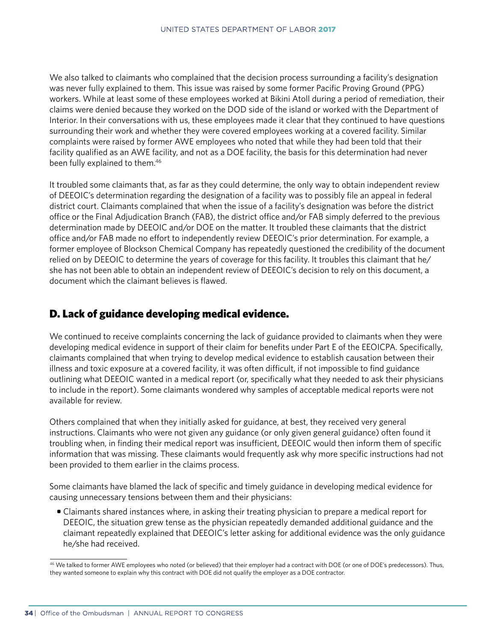We also talked to claimants who complained that the decision process surrounding a facility's designation was never fully explained to them. This issue was raised by some former Pacific Proving Ground (PPG) workers. While at least some of these employees worked at Bikini Atoll during a period of remediation, their claims were denied because they worked on the DOD side of the island or worked with the Department of Interior. In their conversations with us, these employees made it clear that they continued to have questions surrounding their work and whether they were covered employees working at a covered facility. Similar complaints were raised by former AWE employees who noted that while they had been told that their facility qualified as an AWE facility, and not as a DOE facility, the basis for this determination had never been fully explained to them.<sup>46</sup>

It troubled some claimants that, as far as they could determine, the only way to obtain independent review of DEEOIC's determination regarding the designation of a facility was to possibly file an appeal in federal district court. Claimants complained that when the issue of a facility's designation was before the district office or the Final Adjudication Branch (FAB), the district office and/or FAB simply deferred to the previous determination made by DEEOIC and/or DOE on the matter. It troubled these claimants that the district office and/or FAB made no effort to independently review DEEOIC's prior determination. For example, a former employee of Blockson Chemical Company has repeatedly questioned the credibility of the document relied on by DEEOIC to determine the years of coverage for this facility. It troubles this claimant that he/ she has not been able to obtain an independent review of DEEOIC's decision to rely on this document, a document which the claimant believes is flawed.

## D. Lack of guidance developing medical evidence.

We continued to receive complaints concerning the lack of guidance provided to claimants when they were developing medical evidence in support of their claim for benefits under Part E of the EEOICPA. Specifically, claimants complained that when trying to develop medical evidence to establish causation between their illness and toxic exposure at a covered facility, it was often difficult, if not impossible to find guidance outlining what DEEOIC wanted in a medical report (or, specifically what they needed to ask their physicians to include in the report). Some claimants wondered why samples of acceptable medical reports were not available for review.

Others complained that when they initially asked for guidance, at best, they received very general instructions. Claimants who were not given any guidance (or only given general guidance) often found it troubling when, in finding their medical report was insufficient, DEEOIC would then inform them of specific information that was missing. These claimants would frequently ask why more specific instructions had not been provided to them earlier in the claims process.

Some claimants have blamed the lack of specific and timely guidance in developing medical evidence for causing unnecessary tensions between them and their physicians:

• Claimants shared instances where, in asking their treating physician to prepare a medical report for DEEOIC, the situation grew tense as the physician repeatedly demanded additional guidance and the claimant repeatedly explained that DEEOIC's letter asking for additional evidence was the only guidance he/she had received.

<sup>&</sup>lt;sup>46</sup> We talked to former AWE employees who noted (or believed) that their employer had a contract with DOE (or one of DOE's predecessors). Thus, they wanted someone to explain why this contract with DOE did not qualify the employer as a DOE contractor.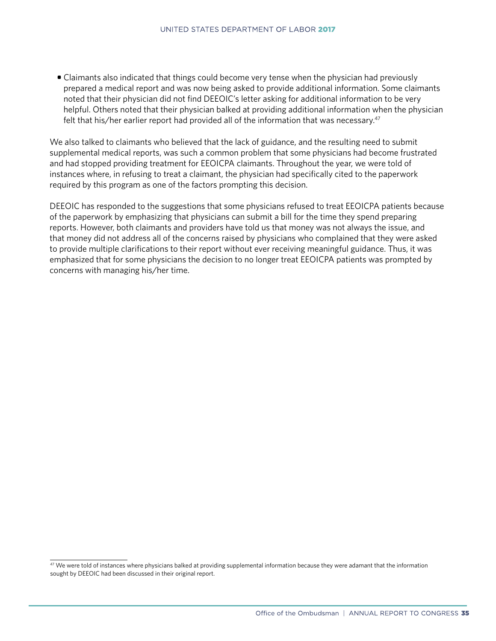• Claimants also indicated that things could become very tense when the physician had previously prepared a medical report and was now being asked to provide additional information. Some claimants noted that their physician did not find DEEOIC's letter asking for additional information to be very helpful. Others noted that their physician balked at providing additional information when the physician felt that his/her earlier report had provided all of the information that was necessary.47

We also talked to claimants who believed that the lack of guidance, and the resulting need to submit supplemental medical reports, was such a common problem that some physicians had become frustrated and had stopped providing treatment for EEOICPA claimants. Throughout the year, we were told of instances where, in refusing to treat a claimant, the physician had specifically cited to the paperwork required by this program as one of the factors prompting this decision.

DEEOIC has responded to the suggestions that some physicians refused to treat EEOICPA patients because of the paperwork by emphasizing that physicians can submit a bill for the time they spend preparing reports. However, both claimants and providers have told us that money was not always the issue, and that money did not address all of the concerns raised by physicians who complained that they were asked to provide multiple clarifications to their report without ever receiving meaningful guidance. Thus, it was emphasized that for some physicians the decision to no longer treat EEOICPA patients was prompted by concerns with managing his/her time.

<sup>&</sup>lt;sup>47</sup> We were told of instances where physicians balked at providing supplemental information because they were adamant that the information sought by DEEOIC had been discussed in their original report.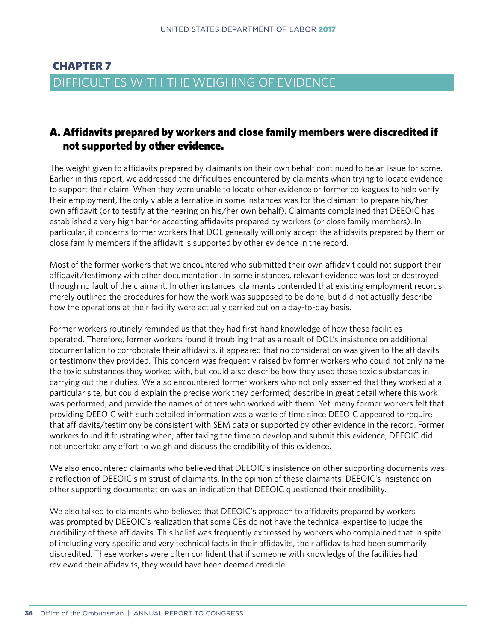## CHAPTER 7 DIFFICULTIES WITH THE WEIGHING OF EVIDENCE

## A. Affidavits prepared by workers and close family members were discredited if not supported by other evidence.

The weight given to affidavits prepared by claimants on their own behalf continued to be an issue for some. Earlier in this report, we addressed the difficulties encountered by claimants when trying to locate evidence to support their claim. When they were unable to locate other evidence or former colleagues to help verify their employment, the only viable alternative in some instances was for the claimant to prepare his/her own affidavit (or to testify at the hearing on his/her own behalf). Claimants complained that DEEOIC has established a very high bar for accepting affidavits prepared by workers (or close family members). In particular, it concerns former workers that DOL generally will only accept the affidavits prepared by them or close family members if the affidavit is supported by other evidence in the record.

Most of the former workers that we encountered who submitted their own affidavit could not support their affidavit/testimony with other documentation. In some instances, relevant evidence was lost or destroyed through no fault of the claimant. In other instances, claimants contended that existing employment records merely outlined the procedures for how the work was supposed to be done, but did not actually describe how the operations at their facility were actually carried out on a day-to-day basis.

Former workers routinely reminded us that they had first-hand knowledge of how these facilities operated. Therefore, former workers found it troubling that as a result of DOL's insistence on additional documentation to corroborate their affidavits, it appeared that no consideration was given to the affidavits or testimony they provided. This concern was frequently raised by former workers who could not only name the toxic substances they worked with, but could also describe how they used these toxic substances in carrying out their duties. We also encountered former workers who not only asserted that they worked at a particular site, but could explain the precise work they performed; describe in great detail where this work was performed; and provide the names of others who worked with them. Yet, many former workers felt that providing DEEOIC with such detailed information was a waste of time since DEEOIC appeared to require that affidavits/testimony be consistent with SEM data or supported by other evidence in the record. Former workers found it frustrating when, after taking the time to develop and submit this evidence, DEEOIC did not undertake any effort to weigh and discuss the credibility of this evidence.

We also encountered claimants who believed that DEEOIC's insistence on other supporting documents was a reflection of DEEOIC's mistrust of claimants. In the opinion of these claimants, DEEOIC's insistence on other supporting documentation was an indication that DEEOIC questioned their credibility.

We also talked to claimants who believed that DEEOIC's approach to affidavits prepared by workers was prompted by DEEOIC's realization that some CEs do not have the technical expertise to judge the credibility of these affidavits. This belief was frequently expressed by workers who complained that in spite of including very specific and very technical facts in their affidavits, their affidavits had been summarily discredited. These workers were often confident that if someone with knowledge of the facilities had reviewed their affidavits, they would have been deemed credible.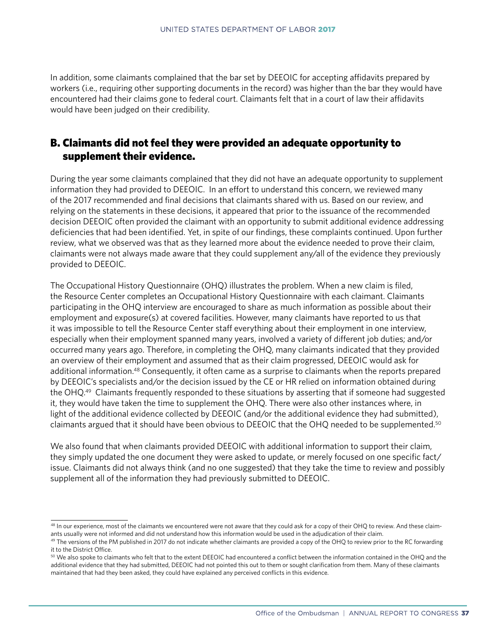In addition, some claimants complained that the bar set by DEEOIC for accepting affidavits prepared by workers (i.e., requiring other supporting documents in the record) was higher than the bar they would have encountered had their claims gone to federal court. Claimants felt that in a court of law their affidavits would have been judged on their credibility.

## B. Claimants did not feel they were provided an adequate opportunity to supplement their evidence.

During the year some claimants complained that they did not have an adequate opportunity to supplement information they had provided to DEEOIC. In an effort to understand this concern, we reviewed many of the 2017 recommended and final decisions that claimants shared with us. Based on our review, and relying on the statements in these decisions, it appeared that prior to the issuance of the recommended decision DEEOIC often provided the claimant with an opportunity to submit additional evidence addressing deficiencies that had been identified. Yet, in spite of our findings, these complaints continued. Upon further review, what we observed was that as they learned more about the evidence needed to prove their claim, claimants were not always made aware that they could supplement any/all of the evidence they previously provided to DEEOIC.

The Occupational History Questionnaire (OHQ) illustrates the problem. When a new claim is filed, the Resource Center completes an Occupational History Questionnaire with each claimant. Claimants participating in the OHQ interview are encouraged to share as much information as possible about their employment and exposure(s) at covered facilities. However, many claimants have reported to us that it was impossible to tell the Resource Center staff everything about their employment in one interview, especially when their employment spanned many years, involved a variety of different job duties; and/or occurred many years ago. Therefore, in completing the OHQ, many claimants indicated that they provided an overview of their employment and assumed that as their claim progressed, DEEOIC would ask for additional information.48 Consequently, it often came as a surprise to claimants when the reports prepared by DEEOIC's specialists and/or the decision issued by the CE or HR relied on information obtained during the OHQ.49 Claimants frequently responded to these situations by asserting that if someone had suggested it, they would have taken the time to supplement the OHQ. There were also other instances where, in light of the additional evidence collected by DEEOIC (and/or the additional evidence they had submitted), claimants argued that it should have been obvious to DEEOIC that the OHQ needed to be supplemented.50

We also found that when claimants provided DEEOIC with additional information to support their claim, they simply updated the one document they were asked to update, or merely focused on one specific fact/ issue. Claimants did not always think (and no one suggested) that they take the time to review and possibly supplement all of the information they had previously submitted to DEEOIC.

<sup>&</sup>lt;sup>48</sup> In our experience, most of the claimants we encountered were not aware that they could ask for a copy of their OHQ to review. And these claimants usually were not informed and did not understand how this information would be used in the adjudication of their claim.

<sup>&</sup>lt;sup>49</sup> The versions of the PM published in 2017 do not indicate whether claimants are provided a copy of the OHQ to review prior to the RC forwarding it to the District Office.

<sup>&</sup>lt;sup>50</sup> We also spoke to claimants who felt that to the extent DEEOIC had encountered a conflict between the information contained in the OHQ and the additional evidence that they had submitted, DEEOIC had not pointed this out to them or sought clarification from them. Many of these claimants maintained that had they been asked, they could have explained any perceived conflicts in this evidence.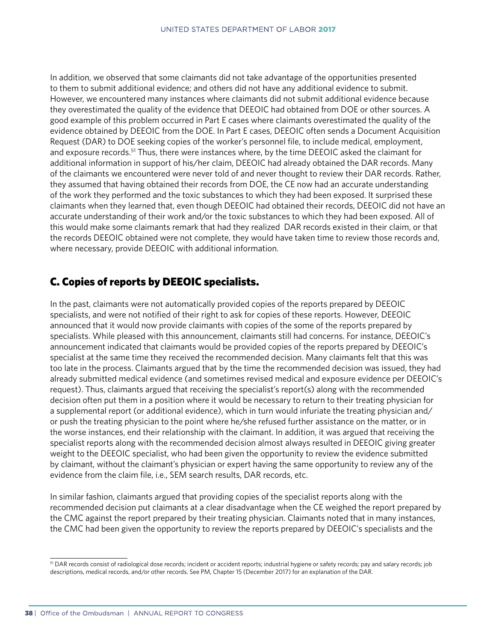In addition, we observed that some claimants did not take advantage of the opportunities presented to them to submit additional evidence; and others did not have any additional evidence to submit. However, we encountered many instances where claimants did not submit additional evidence because they overestimated the quality of the evidence that DEEOIC had obtained from DOE or other sources. A good example of this problem occurred in Part E cases where claimants overestimated the quality of the evidence obtained by DEEOIC from the DOE. In Part E cases, DEEOIC often sends a Document Acquisition Request (DAR) to DOE seeking copies of the worker's personnel file, to include medical, employment, and exposure records.<sup>51</sup> Thus, there were instances where, by the time DEEOIC asked the claimant for additional information in support of his/her claim, DEEOIC had already obtained the DAR records. Many of the claimants we encountered were never told of and never thought to review their DAR records. Rather, they assumed that having obtained their records from DOE, the CE now had an accurate understanding of the work they performed and the toxic substances to which they had been exposed. It surprised these claimants when they learned that, even though DEEOIC had obtained their records, DEEOIC did not have an accurate understanding of their work and/or the toxic substances to which they had been exposed. All of this would make some claimants remark that had they realized DAR records existed in their claim, or that the records DEEOIC obtained were not complete, they would have taken time to review those records and, where necessary, provide DEEOIC with additional information.

## C. Copies of reports by DEEOIC specialists.

In the past, claimants were not automatically provided copies of the reports prepared by DEEOIC specialists, and were not notified of their right to ask for copies of these reports. However, DEEOIC announced that it would now provide claimants with copies of the some of the reports prepared by specialists. While pleased with this announcement, claimants still had concerns. For instance, DEEOIC's announcement indicated that claimants would be provided copies of the reports prepared by DEEOIC's specialist at the same time they received the recommended decision. Many claimants felt that this was too late in the process. Claimants argued that by the time the recommended decision was issued, they had already submitted medical evidence (and sometimes revised medical and exposure evidence per DEEOIC's request). Thus, claimants argued that receiving the specialist's report(s) along with the recommended decision often put them in a position where it would be necessary to return to their treating physician for a supplemental report (or additional evidence), which in turn would infuriate the treating physician and/ or push the treating physician to the point where he/she refused further assistance on the matter, or in the worse instances, end their relationship with the claimant. In addition, it was argued that receiving the specialist reports along with the recommended decision almost always resulted in DEEOIC giving greater weight to the DEEOIC specialist, who had been given the opportunity to review the evidence submitted by claimant, without the claimant's physician or expert having the same opportunity to review any of the evidence from the claim file, i.e., SEM search results, DAR records, etc.

In similar fashion, claimants argued that providing copies of the specialist reports along with the recommended decision put claimants at a clear disadvantage when the CE weighed the report prepared by the CMC against the report prepared by their treating physician. Claimants noted that in many instances, the CMC had been given the opportunity to review the reports prepared by DEEOIC's specialists and the

<sup>&</sup>lt;sup>51</sup> DAR records consist of radiological dose records; incident or accident reports; industrial hygiene or safety records; pay and salary records; job descriptions, medical records, and/or other records. See PM, Chapter 15 (December 2017) for an explanation of the DAR.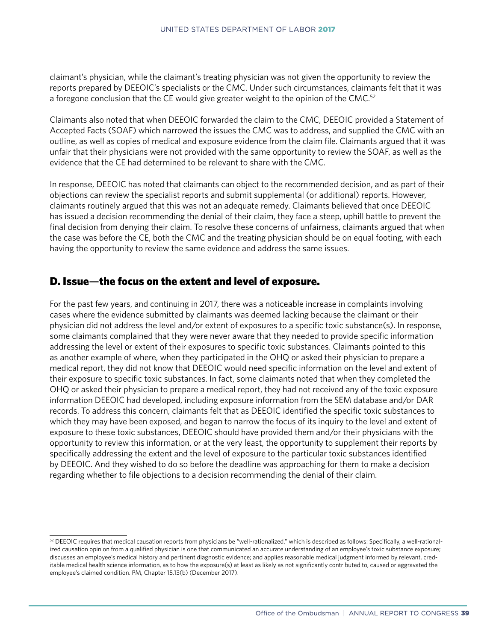claimant's physician, while the claimant's treating physician was not given the opportunity to review the reports prepared by DEEOIC's specialists or the CMC. Under such circumstances, claimants felt that it was a foregone conclusion that the CE would give greater weight to the opinion of the CMC.<sup>52</sup>

Claimants also noted that when DEEOIC forwarded the claim to the CMC, DEEOIC provided a Statement of Accepted Facts (SOAF) which narrowed the issues the CMC was to address, and supplied the CMC with an outline, as well as copies of medical and exposure evidence from the claim file. Claimants argued that it was unfair that their physicians were not provided with the same opportunity to review the SOAF, as well as the evidence that the CE had determined to be relevant to share with the CMC.

In response, DEEOIC has noted that claimants can object to the recommended decision, and as part of their objections can review the specialist reports and submit supplemental (or additional) reports. However, claimants routinely argued that this was not an adequate remedy. Claimants believed that once DEEOIC has issued a decision recommending the denial of their claim, they face a steep, uphill battle to prevent the final decision from denying their claim. To resolve these concerns of unfairness, claimants argued that when the case was before the CE, both the CMC and the treating physician should be on equal footing, with each having the opportunity to review the same evidence and address the same issues.

## D. Issue—the focus on the extent and level of exposure.

For the past few years, and continuing in 2017, there was a noticeable increase in complaints involving cases where the evidence submitted by claimants was deemed lacking because the claimant or their physician did not address the level and/or extent of exposures to a specific toxic substance(s). In response, some claimants complained that they were never aware that they needed to provide specific information addressing the level or extent of their exposures to specific toxic substances. Claimants pointed to this as another example of where, when they participated in the OHQ or asked their physician to prepare a medical report, they did not know that DEEOIC would need specific information on the level and extent of their exposure to specific toxic substances. In fact, some claimants noted that when they completed the OHQ or asked their physician to prepare a medical report, they had not received any of the toxic exposure information DEEOIC had developed, including exposure information from the SEM database and/or DAR records. To address this concern, claimants felt that as DEEOIC identified the specific toxic substances to which they may have been exposed, and began to narrow the focus of its inquiry to the level and extent of exposure to these toxic substances, DEEOIC should have provided them and/or their physicians with the opportunity to review this information, or at the very least, the opportunity to supplement their reports by specifically addressing the extent and the level of exposure to the particular toxic substances identified by DEEOIC. And they wished to do so before the deadline was approaching for them to make a decision regarding whether to file objections to a decision recommending the denial of their claim.

 $52$  DEEOIC requires that medical causation reports from physicians be "well-rationalized," which is described as follows: Specifically, a well-rationalized causation opinion from a qualified physician is one that communicated an accurate understanding of an employee's toxic substance exposure; discusses an employee's medical history and pertinent diagnostic evidence; and applies reasonable medical judgment informed by relevant, creditable medical health science information, as to how the exposure(s) at least as likely as not significantly contributed to, caused or aggravated the employee's claimed condition. PM, Chapter 15.13(b) (December 2017).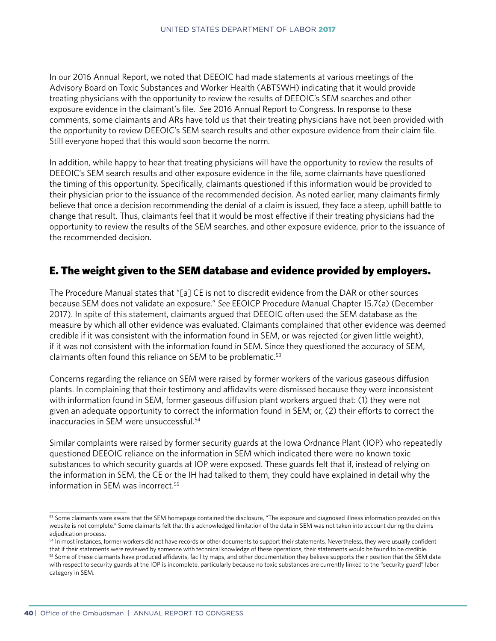In our 2016 Annual Report, we noted that DEEOIC had made statements at various meetings of the Advisory Board on Toxic Substances and Worker Health (ABTSWH) indicating that it would provide treating physicians with the opportunity to review the results of DEEOIC's SEM searches and other exposure evidence in the claimant's file. *See* 2016 Annual Report to Congress. In response to these comments, some claimants and ARs have told us that their treating physicians have not been provided with the opportunity to review DEEOIC's SEM search results and other exposure evidence from their claim file. Still everyone hoped that this would soon become the norm.

In addition, while happy to hear that treating physicians will have the opportunity to review the results of DEEOIC's SEM search results and other exposure evidence in the file, some claimants have questioned the timing of this opportunity. Specifically, claimants questioned if this information would be provided to their physician prior to the issuance of the recommended decision. As noted earlier, many claimants firmly believe that once a decision recommending the denial of a claim is issued, they face a steep, uphill battle to change that result. Thus, claimants feel that it would be most effective if their treating physicians had the opportunity to review the results of the SEM searches, and other exposure evidence, prior to the issuance of the recommended decision.

## E. The weight given to the SEM database and evidence provided by employers.

The Procedure Manual states that "[a] CE is not to discredit evidence from the DAR or other sources because SEM does not validate an exposure." *See* EEOICP Procedure Manual Chapter 15.7(a) (December 2017). In spite of this statement, claimants argued that DEEOIC often used the SEM database as the measure by which all other evidence was evaluated. Claimants complained that other evidence was deemed credible if it was consistent with the information found in SEM, or was rejected (or given little weight), if it was not consistent with the information found in SEM. Since they questioned the accuracy of SEM, claimants often found this reliance on SEM to be problematic.<sup>53</sup>

Concerns regarding the reliance on SEM were raised by former workers of the various gaseous diffusion plants. In complaining that their testimony and affidavits were dismissed because they were inconsistent with information found in SEM, former gaseous diffusion plant workers argued that: (1) they were not given an adequate opportunity to correct the information found in SEM; or, (2) their efforts to correct the inaccuracies in SEM were unsuccessful<sup>54</sup>

Similar complaints were raised by former security guards at the Iowa Ordnance Plant (IOP) who repeatedly questioned DEEOIC reliance on the information in SEM which indicated there were no known toxic substances to which security guards at IOP were exposed. These guards felt that if, instead of relying on the information in SEM, the CE or the IH had talked to them, they could have explained in detail why the information in SEM was incorrect.<sup>55</sup>

<sup>&</sup>lt;sup>53</sup> Some claimants were aware that the SEM homepage contained the disclosure, "The exposure and diagnosed illness information provided on this website is not complete." Some claimants felt that this acknowledged limitation of the data in SEM was not taken into account during the claims adjudication process.

<sup>54</sup> In most instances, former workers did not have records or other documents to support their statements. Nevertheless, they were usually confident

that if their statements were reviewed by someone with technical knowledge of these operations, their statements would be found to be credible. <sup>55</sup> Some of these claimants have produced affidavits, facility maps, and other documentation they believe supports their position that the SEM data with respect to security guards at the IOP is incomplete, particularly because no toxic substances are currently linked to the "security guard" labor category in SEM.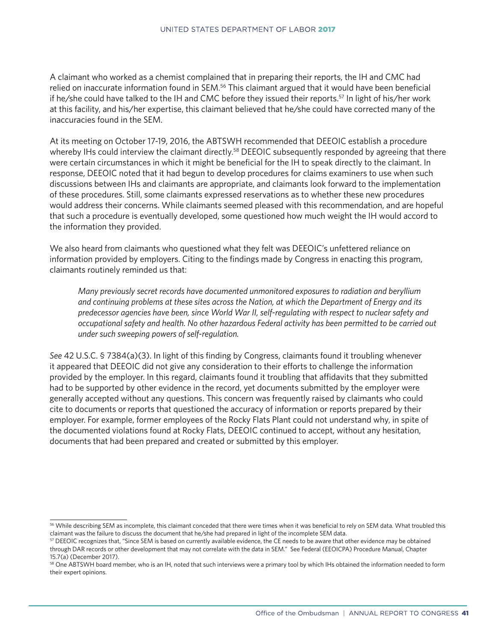A claimant who worked as a chemist complained that in preparing their reports, the IH and CMC had relied on inaccurate information found in SEM.<sup>56</sup> This claimant argued that it would have been beneficial if he/she could have talked to the IH and CMC before they issued their reports.<sup>57</sup> In light of his/her work at this facility, and his/her expertise, this claimant believed that he/she could have corrected many of the inaccuracies found in the SEM.

At its meeting on October 17-19, 2016, the ABTSWH recommended that DEEOIC establish a procedure whereby IHs could interview the claimant directly.<sup>58</sup> DEEOIC subsequently responded by agreeing that there were certain circumstances in which it might be beneficial for the IH to speak directly to the claimant. In response, DEEOIC noted that it had begun to develop procedures for claims examiners to use when such discussions between IHs and claimants are appropriate, and claimants look forward to the implementation of these procedures. Still, some claimants expressed reservations as to whether these new procedures would address their concerns. While claimants seemed pleased with this recommendation, and are hopeful that such a procedure is eventually developed, some questioned how much weight the IH would accord to the information they provided.

We also heard from claimants who questioned what they felt was DEEOIC's unfettered reliance on information provided by employers. Citing to the findings made by Congress in enacting this program, claimants routinely reminded us that:

*Many previously secret records have documented unmonitored exposures to radiation and beryllium and continuing problems at these sites across the Nation, at which the Department of Energy and its predecessor agencies have been, since World War II, self-regulating with respect to nuclear safety and occupational safety and health. No other hazardous Federal activity has been permitted to be carried out under such sweeping powers of self-regulation.*

*See* 42 U.S.C. § 7384(a)(3). In light of this finding by Congress, claimants found it troubling whenever it appeared that DEEOIC did not give any consideration to their efforts to challenge the information provided by the employer. In this regard, claimants found it troubling that affidavits that they submitted had to be supported by other evidence in the record, yet documents submitted by the employer were generally accepted without any questions. This concern was frequently raised by claimants who could cite to documents or reports that questioned the accuracy of information or reports prepared by their employer. For example, former employees of the Rocky Flats Plant could not understand why, in spite of the documented violations found at Rocky Flats, DEEOIC continued to accept, without any hesitation, documents that had been prepared and created or submitted by this employer.

<sup>56</sup> While describing SEM as incomplete, this claimant conceded that there were times when it was beneficial to rely on SEM data. What troubled this claimant was the failure to discuss the document that he/she had prepared in light of the incomplete SEM data.

<sup>57</sup> DEEOIC recognizes that, "Since SEM is based on currently available evidence, the CE needs to be aware that other evidence may be obtained through DAR records or other development that may not correlate with the data in SEM." See Federal (EEOICPA) Procedure Manual, Chapter 15.7(a) (December 2017).

<sup>58</sup> One ABTSWH board member, who is an IH, noted that such interviews were a primary tool by which IHs obtained the information needed to form their expert opinions.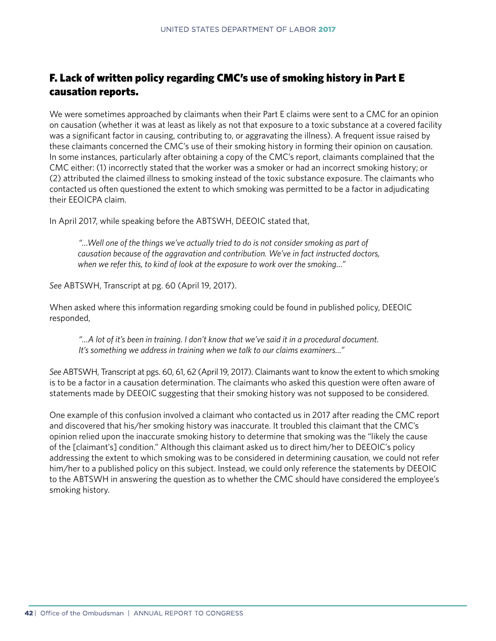## F. Lack of written policy regarding CMC's use of smoking history in Part E causation reports.

We were sometimes approached by claimants when their Part E claims were sent to a CMC for an opinion on causation (whether it was at least as likely as not that exposure to a toxic substance at a covered facility was a significant factor in causing, contributing to, or aggravating the illness). A frequent issue raised by these claimants concerned the CMC's use of their smoking history in forming their opinion on causation. In some instances, particularly after obtaining a copy of the CMC's report, claimants complained that the CMC either: (1) incorrectly stated that the worker was a smoker or had an incorrect smoking history; or (2) attributed the claimed illness to smoking instead of the toxic substance exposure. The claimants who contacted us often questioned the extent to which smoking was permitted to be a factor in adjudicating their EEOICPA claim.

In April 2017, while speaking before the ABTSWH, DEEOIC stated that,

 *"…Well one of the things we've actually tried to do is not consider smoking as part of causation because of the aggravation and contribution. We've in fact instructed doctors, when we refer this, to kind of look at the exposure to work over the smoking…"*

*See* ABTSWH, Transcript at pg. 60 (April 19, 2017).

When asked where this information regarding smoking could be found in published policy, DEEOIC responded,

*"…A lot of it's been in training. I don't know that we've said it in a procedural document. It's something we address in training when we talk to our claims examiners…"* 

*See* ABTSWH, Transcript at pgs. 60, 61, 62 (April 19, 2017). Claimants want to know the extent to which smoking is to be a factor in a causation determination. The claimants who asked this question were often aware of statements made by DEEOIC suggesting that their smoking history was not supposed to be considered.

One example of this confusion involved a claimant who contacted us in 2017 after reading the CMC report and discovered that his/her smoking history was inaccurate. It troubled this claimant that the CMC's opinion relied upon the inaccurate smoking history to determine that smoking was the "likely the cause of the [claimant's] condition." Although this claimant asked us to direct him/her to DEEOIC's policy addressing the extent to which smoking was to be considered in determining causation, we could not refer him/her to a published policy on this subject. Instead, we could only reference the statements by DEEOIC to the ABTSWH in answering the question as to whether the CMC should have considered the employee's smoking history.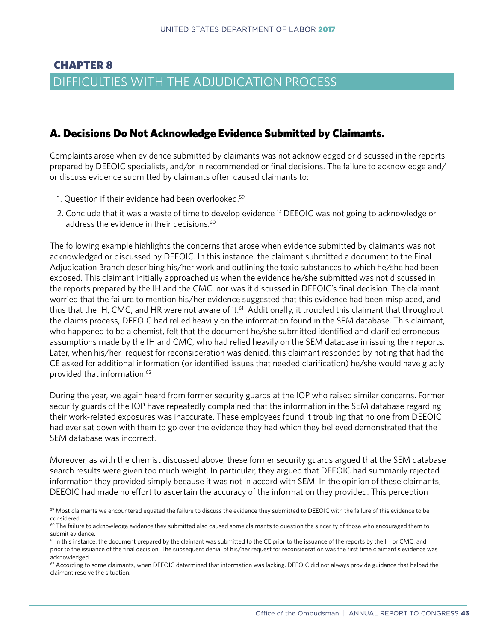# CHAPTER 8 DIFFICULTIES WITH THE ADJUDICATION PROCESS

## A. Decisions Do Not Acknowledge Evidence Submitted by Claimants.

Complaints arose when evidence submitted by claimants was not acknowledged or discussed in the reports prepared by DEEOIC specialists, and/or in recommended or final decisions. The failure to acknowledge and/ or discuss evidence submitted by claimants often caused claimants to:

- 1. Question if their evidence had been overlooked.59
- 2. Conclude that it was a waste of time to develop evidence if DEEOIC was not going to acknowledge or address the evidence in their decisions.<sup>60</sup>

The following example highlights the concerns that arose when evidence submitted by claimants was not acknowledged or discussed by DEEOIC. In this instance, the claimant submitted a document to the Final Adjudication Branch describing his/her work and outlining the toxic substances to which he/she had been exposed. This claimant initially approached us when the evidence he/she submitted was not discussed in the reports prepared by the IH and the CMC, nor was it discussed in DEEOIC's final decision. The claimant worried that the failure to mention his/her evidence suggested that this evidence had been misplaced, and thus that the IH, CMC, and HR were not aware of it.<sup>61</sup> Additionally, it troubled this claimant that throughout the claims process, DEEOIC had relied heavily on the information found in the SEM database. This claimant, who happened to be a chemist, felt that the document he/she submitted identified and clarified erroneous assumptions made by the IH and CMC, who had relied heavily on the SEM database in issuing their reports. Later, when his/her request for reconsideration was denied, this claimant responded by noting that had the CE asked for additional information (or identified issues that needed clarification) he/she would have gladly provided that information.62

During the year, we again heard from former security guards at the IOP who raised similar concerns. Former security guards of the IOP have repeatedly complained that the information in the SEM database regarding their work-related exposures was inaccurate. These employees found it troubling that no one from DEEOIC had ever sat down with them to go over the evidence they had which they believed demonstrated that the SEM database was incorrect.

Moreover, as with the chemist discussed above, these former security guards argued that the SEM database search results were given too much weight. In particular, they argued that DEEOIC had summarily rejected information they provided simply because it was not in accord with SEM. In the opinion of these claimants, DEEOIC had made no effort to ascertain the accuracy of the information they provided. This perception

<sup>&</sup>lt;sup>59</sup> Most claimants we encountered equated the failure to discuss the evidence they submitted to DEEOIC with the failure of this evidence to be considered.

<sup>&</sup>lt;sup>60</sup> The failure to acknowledge evidence they submitted also caused some claimants to question the sincerity of those who encouraged them to submit evidence.

<sup>&</sup>lt;sup>61</sup> In this instance, the document prepared by the claimant was submitted to the CE prior to the issuance of the reports by the IH or CMC, and prior to the issuance of the final decision. The subsequent denial of his/her request for reconsideration was the first time claimant's evidence was acknowledged.

 $62$  According to some claimants, when DEEOIC determined that information was lacking, DEEOIC did not always provide guidance that helped the claimant resolve the situation.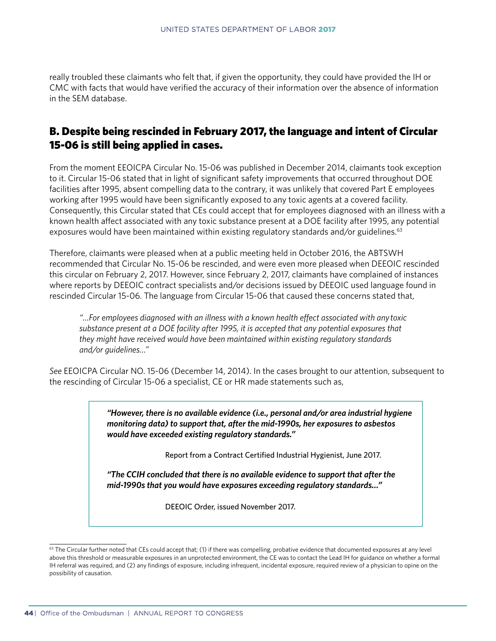really troubled these claimants who felt that, if given the opportunity, they could have provided the IH or CMC with facts that would have verified the accuracy of their information over the absence of information in the SEM database.

## B. Despite being rescinded in February 2017, the language and intent of Circular 15-06 is still being applied in cases.

From the moment EEOICPA Circular No. 15-06 was published in December 2014, claimants took exception to it. Circular 15-06 stated that in light of significant safety improvements that occurred throughout DOE facilities after 1995, absent compelling data to the contrary, it was unlikely that covered Part E employees working after 1995 would have been significantly exposed to any toxic agents at a covered facility. Consequently, this Circular stated that CEs could accept that for employees diagnosed with an illness with a known health affect associated with any toxic substance present at a DOE facility after 1995, any potential exposures would have been maintained within existing regulatory standards and/or guidelines. $63$ 

Therefore, claimants were pleased when at a public meeting held in October 2016, the ABTSWH recommended that Circular No. 15-06 be rescinded, and were even more pleased when DEEOIC rescinded this circular on February 2, 2017. However, since February 2, 2017, claimants have complained of instances where reports by DEEOIC contract specialists and/or decisions issued by DEEOIC used language found in rescinded Circular 15-06. The language from Circular 15-06 that caused these concerns stated that,

*"…For employees diagnosed with an illness with a known health effect associated with any toxic substance present at a DOE facility after 1995, it is accepted that any potential exposures that they might have received would have been maintained within existing regulatory standards and/or guidelines…"*

*See* EEOICPA Circular NO. 15-06 (December 14, 2014). In the cases brought to our attention, subsequent to the rescinding of Circular 15-06 a specialist, CE or HR made statements such as,

> *"However, there is no available evidence (i.e., personal and/or area industrial hygiene monitoring data) to support that, after the mid-1990s, her exposures to asbestos would have exceeded existing regulatory standards."*

> > Report from a Contract Certified Industrial Hygienist, June 2017.

*"The CCIH concluded that there is no available evidence to support that after the mid-1990s that you would have exposures exceeding regulatory standards…"*

DEEOIC Order, issued November 2017.

<sup>&</sup>lt;sup>63</sup> The Circular further noted that CEs could accept that; (1) if there was compelling, probative evidence that documented exposures at any level above this threshold or measurable exposures in an unprotected environment, the CE was to contact the Lead IH for guidance on whether a formal IH referral was required, and (2) any findings of exposure, including infrequent, incidental exposure, required review of a physician to opine on the possibility of causation.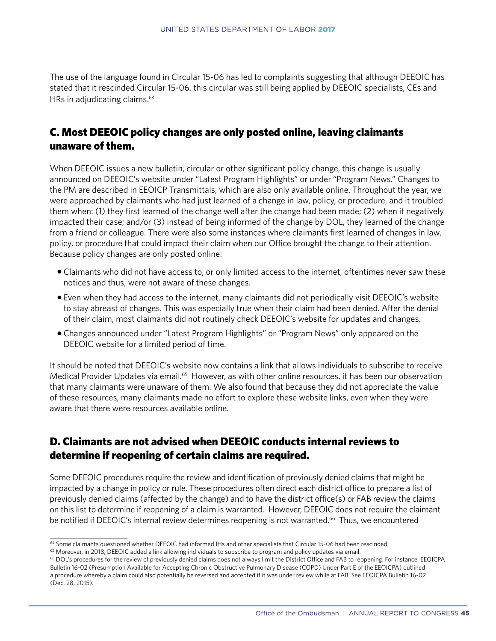The use of the language found in Circular 15-06 has led to complaints suggesting that although DEEOIC has stated that it rescinded Circular 15-06, this circular was still being applied by DEEOIC specialists, CEs and HRs in adjudicating claims.<sup>64</sup>

## C. Most DEEOIC policy changes are only posted online, leaving claimants unaware of them.

When DEEOIC issues a new bulletin, circular or other significant policy change, this change is usually announced on DEEOIC's website under "Latest Program Highlights" or under "Program News." Changes to the PM are described in EEOICP Transmittals, which are also only available online. Throughout the year, we were approached by claimants who had just learned of a change in law, policy, or procedure, and it troubled them when: (1) they first learned of the change well after the change had been made; (2) when it negatively impacted their case; and/or (3) instead of being informed of the change by DOL, they learned of the change from a friend or colleague. There were also some instances where claimants first learned of changes in law, policy, or procedure that could impact their claim when our Office brought the change to their attention. Because policy changes are only posted online:

- Claimants who did not have access to, or only limited access to the internet, oftentimes never saw these notices and thus, were not aware of these changes.
- Even when they had access to the internet, many claimants did not periodically visit DEEOIC's website to stay abreast of changes. This was especially true when their claim had been denied. After the denial of their claim, most claimants did not routinely check DEEOIC's website for updates and changes.
- Changes announced under "Latest Program Highlights" or "Program News" only appeared on the DEEOIC website for a limited period of time.

It should be noted that DEEOIC's website now contains a link that allows individuals to subscribe to receive Medical Provider Updates via email.<sup>65</sup> However, as with other online resources, it has been our observation that many claimants were unaware of them. We also found that because they did not appreciate the value of these resources, many claimants made no effort to explore these website links, even when they were aware that there were resources available online.

## D. Claimants are not advised when DEEOIC conducts internal reviews to determine if reopening of certain claims are required.

Some DEEOIC procedures require the review and identification of previously denied claims that might be impacted by a change in policy or rule. These procedures often direct each district office to prepare a list of previously denied claims (affected by the change) and to have the district office(s) or FAB review the claims on this list to determine if reopening of a claim is warranted. However, DEEOIC does not require the claimant be notified if DEEOIC's internal review determines reopening is not warranted.<sup>66</sup> Thus, we encountered

<sup>64</sup> Some claimants questioned whether DEEOIC had informed IHs and other specialists that Circular 15-06 had been rescinded.

<sup>&</sup>lt;sup>65</sup> Moreover, in 2018, DEEOIC added a link allowing individuals to subscribe to program and policy updates via email.

<sup>66</sup> DOL's procedures for the review of previously denied claims does not always limit the District Office and FAB to reopening. For instance, EEOICPA Bulletin 16-02 (Presumption Available for Accepting Chronic Obstructive Pulmonary Disease (COPD) Under Part E of the EEOICPA) outlined a procedure whereby a claim could also potentially be reversed and accepted if it was under review while at FAB. See EEOICPA Bulletin 16-02 (Dec. 28, 2015).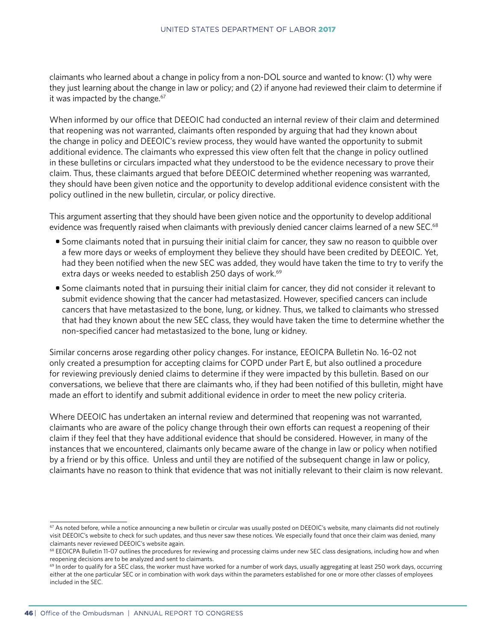claimants who learned about a change in policy from a non-DOL source and wanted to know: (1) why were they just learning about the change in law or policy; and (2) if anyone had reviewed their claim to determine if it was impacted by the change. $67$ 

When informed by our office that DEEOIC had conducted an internal review of their claim and determined that reopening was not warranted, claimants often responded by arguing that had they known about the change in policy and DEEOIC's review process, they would have wanted the opportunity to submit additional evidence. The claimants who expressed this view often felt that the change in policy outlined in these bulletins or circulars impacted what they understood to be the evidence necessary to prove their claim. Thus, these claimants argued that before DEEOIC determined whether reopening was warranted, they should have been given notice and the opportunity to develop additional evidence consistent with the policy outlined in the new bulletin, circular, or policy directive.

This argument asserting that they should have been given notice and the opportunity to develop additional evidence was frequently raised when claimants with previously denied cancer claims learned of a new SEC.<sup>68</sup>

- Some claimants noted that in pursuing their initial claim for cancer, they saw no reason to quibble over a few more days or weeks of employment they believe they should have been credited by DEEOIC. Yet, had they been notified when the new SEC was added, they would have taken the time to try to verify the extra days or weeks needed to establish 250 days of work.<sup>69</sup>
- Some claimants noted that in pursuing their initial claim for cancer, they did not consider it relevant to submit evidence showing that the cancer had metastasized. However, specified cancers can include cancers that have metastasized to the bone, lung, or kidney. Thus, we talked to claimants who stressed that had they known about the new SEC class, they would have taken the time to determine whether the non-specified cancer had metastasized to the bone, lung or kidney.

Similar concerns arose regarding other policy changes. For instance, EEOICPA Bulletin No. 16-02 not only created a presumption for accepting claims for COPD under Part E, but also outlined a procedure for reviewing previously denied claims to determine if they were impacted by this bulletin. Based on our conversations, we believe that there are claimants who, if they had been notified of this bulletin, might have made an effort to identify and submit additional evidence in order to meet the new policy criteria.

Where DEEOIC has undertaken an internal review and determined that reopening was not warranted, claimants who are aware of the policy change through their own efforts can request a reopening of their claim if they feel that they have additional evidence that should be considered. However, in many of the instances that we encountered, claimants only became aware of the change in law or policy when notified by a friend or by this office. Unless and until they are notified of the subsequent change in law or policy, claimants have no reason to think that evidence that was not initially relevant to their claim is now relevant.

 $67$  As noted before, while a notice announcing a new bulletin or circular was usually posted on DEEOIC's website, many claimants did not routinely visit DEEOIC's website to check for such updates, and thus never saw these notices. We especially found that once their claim was denied, many claimants never reviewed DEEOIC's website again.

<sup>68</sup> EEOICPA Bulletin 11-07 outlines the procedures for reviewing and processing claims under new SEC class designations, including how and when reopening decisions are to be analyzed and sent to claimants.

 $69$  In order to qualify for a SEC class, the worker must have worked for a number of work days, usually aggregating at least 250 work days, occurring either at the one particular SEC or in combination with work days within the parameters established for one or more other classes of employees included in the SEC.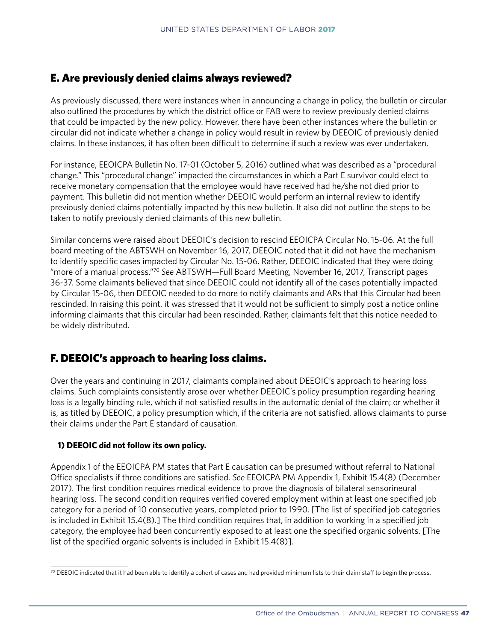## E. Are previously denied claims always reviewed?

As previously discussed, there were instances when in announcing a change in policy, the bulletin or circular also outlined the procedures by which the district office or FAB were to review previously denied claims that could be impacted by the new policy. However, there have been other instances where the bulletin or circular did not indicate whether a change in policy would result in review by DEEOIC of previously denied claims. In these instances, it has often been difficult to determine if such a review was ever undertaken.

For instance, EEOICPA Bulletin No. 17-01 (October 5, 2016) outlined what was described as a "procedural change." This "procedural change" impacted the circumstances in which a Part E survivor could elect to receive monetary compensation that the employee would have received had he/she not died prior to payment. This bulletin did not mention whether DEEOIC would perform an internal review to identify previously denied claims potentially impacted by this new bulletin. It also did not outline the steps to be taken to notify previously denied claimants of this new bulletin.

Similar concerns were raised about DEEOIC's decision to rescind EEOICPA Circular No. 15-06. At the full board meeting of the ABTSWH on November 16, 2017, DEEOIC noted that it did not have the mechanism to identify specific cases impacted by Circular No. 15-06. Rather, DEEOIC indicated that they were doing "more of a manual process."70 *See* ABTSWH—Full Board Meeting, November 16, 2017, Transcript pages 36-37. Some claimants believed that since DEEOIC could not identify all of the cases potentially impacted by Circular 15-06, then DEEOIC needed to do more to notify claimants and ARs that this Circular had been rescinded. In raising this point, it was stressed that it would not be sufficient to simply post a notice online informing claimants that this circular had been rescinded. Rather, claimants felt that this notice needed to be widely distributed.

## F. DEEOIC's approach to hearing loss claims.

Over the years and continuing in 2017, claimants complained about DEEOIC's approach to hearing loss claims. Such complaints consistently arose over whether DEEOIC's policy presumption regarding hearing loss is a legally binding rule, which if not satisfied results in the automatic denial of the claim; or whether it is, as titled by DEEOIC, a policy presumption which, if the criteria are not satisfied, allows claimants to purse their claims under the Part E standard of causation.

#### **1) DEEOIC did not follow its own policy.**

Appendix 1 of the EEOICPA PM states that Part E causation can be presumed without referral to National Office specialists if three conditions are satisfied. *See* EEOICPA PM Appendix 1, Exhibit 15.4(8) (December 2017). The first condition requires medical evidence to prove the diagnosis of bilateral sensorineural hearing loss. The second condition requires verified covered employment within at least one specified job category for a period of 10 consecutive years, completed prior to 1990. [The list of specified job categories is included in Exhibit 15.4(8).] The third condition requires that, in addition to working in a specified job category, the employee had been concurrently exposed to at least one the specified organic solvents. [The list of the specified organic solvents is included in Exhibit 15.4(8)].

 $70$  DEEOIC indicated that it had been able to identify a cohort of cases and had provided minimum lists to their claim staff to begin the process.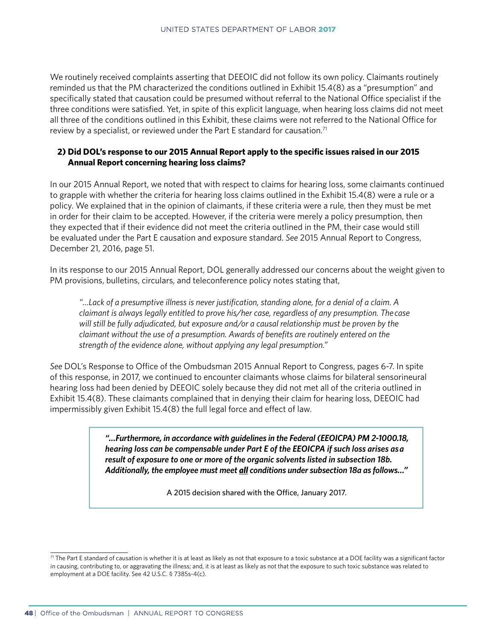We routinely received complaints asserting that DEEOIC did not follow its own policy. Claimants routinely reminded us that the PM characterized the conditions outlined in Exhibit 15.4(8) as a "presumption" and specifically stated that causation could be presumed without referral to the National Office specialist if the three conditions were satisfied. Yet, in spite of this explicit language, when hearing loss claims did not meet all three of the conditions outlined in this Exhibit, these claims were not referred to the National Office for review by a specialist, or reviewed under the Part E standard for causation.<sup>71</sup>

#### **2) Did DOL's response to our 2015 Annual Report apply to the specific issues raised in our 2015 Annual Report concerning hearing loss claims?**

In our 2015 Annual Report, we noted that with respect to claims for hearing loss, some claimants continued to grapple with whether the criteria for hearing loss claims outlined in the Exhibit 15.4(8) were a rule or a policy. We explained that in the opinion of claimants, if these criteria were a rule, then they must be met in order for their claim to be accepted. However, if the criteria were merely a policy presumption, then they expected that if their evidence did not meet the criteria outlined in the PM, their case would still be evaluated under the Part E causation and exposure standard. *See* 2015 Annual Report to Congress, December 21, 2016, page 51.

In its response to our 2015 Annual Report, DOL generally addressed our concerns about the weight given to PM provisions, bulletins, circulars, and teleconference policy notes stating that,

*"…Lack of a presumptive illness is never justification, standing alone, for a denial of a claim. A claimant is always legally entitled to prove his/her case, regardless of any presumption. The case will still be fully adjudicated, but exposure and/or a causal relationship must be proven by the claimant without the use of a presumption. Awards of benefits are routinely entered on the strength of the evidence alone, without applying any legal presumption."*

*See* DOL's Response to Office of the Ombudsman 2015 Annual Report to Congress, pages 6-7. In spite of this response, in 2017, we continued to encounter claimants whose claims for bilateral sensorineural hearing loss had been denied by DEEOIC solely because they did not met all of the criteria outlined in Exhibit 15.4(8). These claimants complained that in denying their claim for hearing loss, DEEOIC had impermissibly given Exhibit 15.4(8) the full legal force and effect of law.

> *"…Furthermore, in accordance with guidelines in the Federal (EEOICPA) PM 2-1000.18, hearing loss can be compensable under Part E of the EEOICPA if such loss arises as a result of exposure to one or more of the organic solvents listed in subsection 18b. Additionally, the employee must meet all conditions under subsection 18a as follows…"*

> > A 2015 decision shared with the Office, January 2017.

 $71$  The Part E standard of causation is whether it is at least as likely as not that exposure to a toxic substance at a DOE facility was a significant factor in causing, contributing to, or aggravating the illness; and, it is at least as likely as not that the exposure to such toxic substance was related to employment at a DOE facility. See 42 U.S.C. § 7385s-4(c).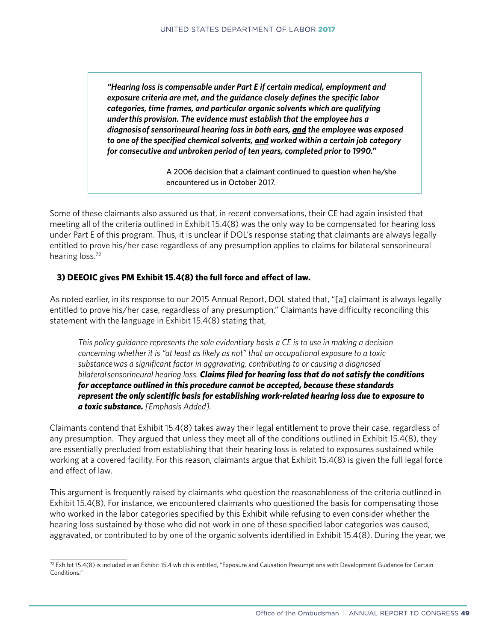*"Hearing loss is compensable under Part E if certain medical, employment and exposure criteria are met, and the guidance closely defines the specific labor categories, time frames, and particular organic solvents which are qualifying under this provision. The evidence must establish that the employee has a diagnosis of sensorineural hearing loss in both ears, and the employee was exposed to one of the specified chemical solvents, and worked within a certain job category for consecutive and unbroken period of ten years, completed prior to 1990."*

> A 2006 decision that a claimant continued to question when he/she encountered us in October 2017.

Some of these claimants also assured us that, in recent conversations, their CE had again insisted that meeting all of the criteria outlined in Exhibit 15.4(8) was the only way to be compensated for hearing loss under Part E of this program. Thus, it is unclear if DOL's response stating that claimants are always legally entitled to prove his/her case regardless of any presumption applies to claims for bilateral sensorineural hearing loss.<sup>72</sup>

#### **3) DEEOIC gives PM Exhibit 15.4(8) the full force and effect of law.**

As noted earlier, in its response to our 2015 Annual Report, DOL stated that, "[a] claimant is always legally entitled to prove his/her case, regardless of any presumption." Claimants have difficulty reconciling this statement with the language in Exhibit 15.4(8) stating that,

*This policy guidance represents the sole evidentiary basis a CE is to use in making a decision concerning whether it is "at least as likely as not" that an occupational exposure to a toxic substance was a significant factor in aggravating, contributing to or causing a diagnosed bilateral sensorineural hearing loss. Claims filed for hearing loss that do not satisfy the conditions for acceptance outlined in this procedure cannot be accepted, because these standards represent the only scientific basis for establishing work-related hearing loss due to exposure to a toxic substance. [Emphasis Added].*

Claimants contend that Exhibit 15.4(8) takes away their legal entitlement to prove their case, regardless of any presumption. They argued that unless they meet all of the conditions outlined in Exhibit 15.4(8), they are essentially precluded from establishing that their hearing loss is related to exposures sustained while working at a covered facility. For this reason, claimants argue that Exhibit 15.4(8) is given the full legal force and effect of law.

This argument is frequently raised by claimants who question the reasonableness of the criteria outlined in Exhibit 15.4(8). For instance, we encountered claimants who questioned the basis for compensating those who worked in the labor categories specified by this Exhibit while refusing to even consider whether the hearing loss sustained by those who did not work in one of these specified labor categories was caused, aggravated, or contributed to by one of the organic solvents identified in Exhibit 15.4(8). During the year, we

 $^{72}$  Exhibit 15.4(8) is included in an Exhibit 15.4 which is entitled, "Exposure and Causation Presumptions with Development Guidance for Certain Conditions."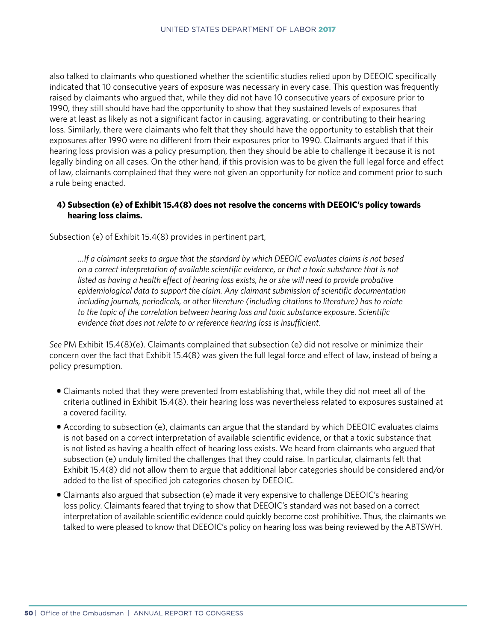also talked to claimants who questioned whether the scientific studies relied upon by DEEOIC specifically indicated that 10 consecutive years of exposure was necessary in every case. This question was frequently raised by claimants who argued that, while they did not have 10 consecutive years of exposure prior to 1990, they still should have had the opportunity to show that they sustained levels of exposures that were at least as likely as not a significant factor in causing, aggravating, or contributing to their hearing loss. Similarly, there were claimants who felt that they should have the opportunity to establish that their exposures after 1990 were no different from their exposures prior to 1990. Claimants argued that if this hearing loss provision was a policy presumption, then they should be able to challenge it because it is not legally binding on all cases. On the other hand, if this provision was to be given the full legal force and effect of law, claimants complained that they were not given an opportunity for notice and comment prior to such a rule being enacted.

#### **4) Subsection (e) of Exhibit 15.4(8) does not resolve the concerns with DEEOIC's policy towards hearing loss claims.**

Subsection (e) of Exhibit 15.4(8) provides in pertinent part,

*…If a claimant seeks to argue that the standard by which DEEOIC evaluates claims is not based on a correct interpretation of available scientific evidence, or that a toxic substance that is not*  listed as having a health effect of hearing loss exists, he or she will need to provide probative *epidemiological data to support the claim. Any claimant submission of scientific documentation including journals, periodicals, or other literature (including citations to literature) has to relate to the topic of the correlation between hearing loss and toxic substance exposure. Scientific evidence that does not relate to or reference hearing loss is insufficient.*

*See* PM Exhibit 15.4(8)(e). Claimants complained that subsection (e) did not resolve or minimize their concern over the fact that Exhibit 15.4(8) was given the full legal force and effect of law, instead of being a policy presumption.

- Claimants noted that they were prevented from establishing that, while they did not meet all of the criteria outlined in Exhibit 15.4(8), their hearing loss was nevertheless related to exposures sustained at a covered facility.
- According to subsection (e), claimants can argue that the standard by which DEEOIC evaluates claims is not based on a correct interpretation of available scientific evidence, or that a toxic substance that is not listed as having a health effect of hearing loss exists. We heard from claimants who argued that subsection (e) unduly limited the challenges that they could raise. In particular, claimants felt that Exhibit 15.4(8) did not allow them to argue that additional labor categories should be considered and/or added to the list of specified job categories chosen by DEEOIC.
- Claimants also argued that subsection (e) made it very expensive to challenge DEEOIC's hearing loss policy. Claimants feared that trying to show that DEEOIC's standard was not based on a correct interpretation of available scientific evidence could quickly become cost prohibitive. Thus, the claimants we talked to were pleased to know that DEEOIC's policy on hearing loss was being reviewed by the ABTSWH.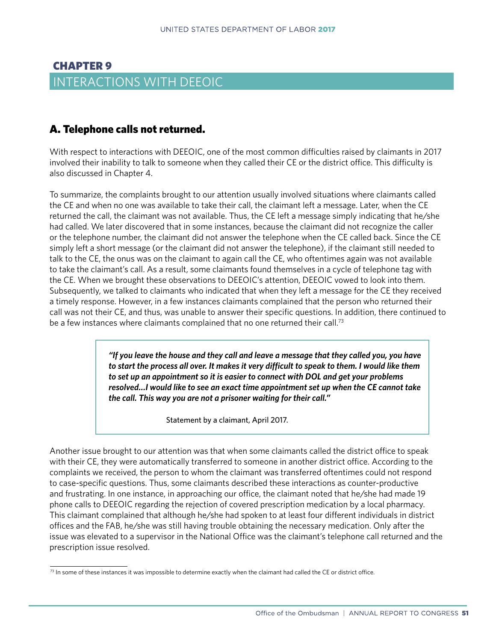## CHAPTER 9 INTERACTIONS WITH DEEOIC

## A. Telephone calls not returned.

With respect to interactions with DEEOIC, one of the most common difficulties raised by claimants in 2017 involved their inability to talk to someone when they called their CE or the district office. This difficulty is also discussed in Chapter 4.

To summarize, the complaints brought to our attention usually involved situations where claimants called the CE and when no one was available to take their call, the claimant left a message. Later, when the CE returned the call, the claimant was not available. Thus, the CE left a message simply indicating that he/she had called. We later discovered that in some instances, because the claimant did not recognize the caller or the telephone number, the claimant did not answer the telephone when the CE called back. Since the CE simply left a short message (or the claimant did not answer the telephone), if the claimant still needed to talk to the CE, the onus was on the claimant to again call the CE, who oftentimes again was not available to take the claimant's call. As a result, some claimants found themselves in a cycle of telephone tag with the CE. When we brought these observations to DEEOIC's attention, DEEOIC vowed to look into them. Subsequently, we talked to claimants who indicated that when they left a message for the CE they received a timely response. However, in a few instances claimants complained that the person who returned their call was not their CE, and thus, was unable to answer their specific questions. In addition, there continued to be a few instances where claimants complained that no one returned their call.<sup>73</sup>

> *"If you leave the house and they call and leave a message that they called you, you have to start the process all over. It makes it very difficult to speak to them. I would like them to set up an appointment so it is easier to connect with DOL and get your problems resolved…I would like to see an exact time appointment set up when the CE cannot take the call. This way you are not a prisoner waiting for their call."*

> > Statement by a claimant, April 2017.

Another issue brought to our attention was that when some claimants called the district office to speak with their CE, they were automatically transferred to someone in another district office. According to the complaints we received, the person to whom the claimant was transferred oftentimes could not respond to case-specific questions. Thus, some claimants described these interactions as counter-productive and frustrating. In one instance, in approaching our office, the claimant noted that he/she had made 19 phone calls to DEEOIC regarding the rejection of covered prescription medication by a local pharmacy. This claimant complained that although he/she had spoken to at least four different individuals in district offices and the FAB, he/she was still having trouble obtaining the necessary medication. Only after the issue was elevated to a supervisor in the National Office was the claimant's telephone call returned and the prescription issue resolved.

 $73$  In some of these instances it was impossible to determine exactly when the claimant had called the CE or district office.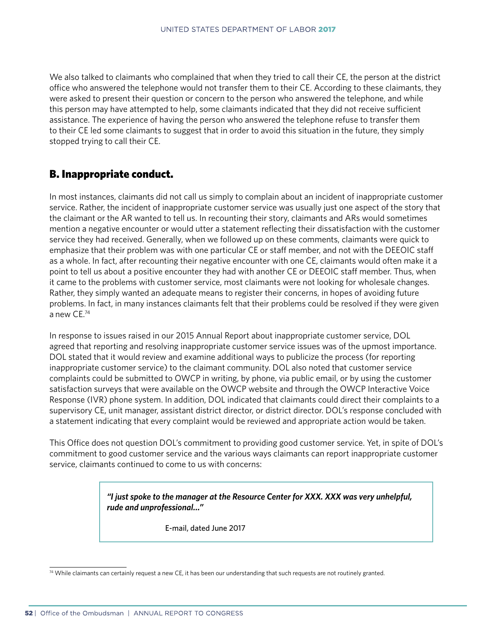We also talked to claimants who complained that when they tried to call their CE, the person at the district office who answered the telephone would not transfer them to their CE. According to these claimants, they were asked to present their question or concern to the person who answered the telephone, and while this person may have attempted to help, some claimants indicated that they did not receive sufficient assistance. The experience of having the person who answered the telephone refuse to transfer them to their CE led some claimants to suggest that in order to avoid this situation in the future, they simply stopped trying to call their CE.

## B. Inappropriate conduct.

In most instances, claimants did not call us simply to complain about an incident of inappropriate customer service. Rather, the incident of inappropriate customer service was usually just one aspect of the story that the claimant or the AR wanted to tell us. In recounting their story, claimants and ARs would sometimes mention a negative encounter or would utter a statement reflecting their dissatisfaction with the customer service they had received. Generally, when we followed up on these comments, claimants were quick to emphasize that their problem was with one particular CE or staff member, and not with the DEEOIC staff as a whole. In fact, after recounting their negative encounter with one CE, claimants would often make it a point to tell us about a positive encounter they had with another CE or DEEOIC staff member. Thus, when it came to the problems with customer service, most claimants were not looking for wholesale changes. Rather, they simply wanted an adequate means to register their concerns, in hopes of avoiding future problems. In fact, in many instances claimants felt that their problems could be resolved if they were given a new CE.74

In response to issues raised in our 2015 Annual Report about inappropriate customer service, DOL agreed that reporting and resolving inappropriate customer service issues was of the upmost importance. DOL stated that it would review and examine additional ways to publicize the process (for reporting inappropriate customer service) to the claimant community. DOL also noted that customer service complaints could be submitted to OWCP in writing, by phone, via public email, or by using the customer satisfaction surveys that were available on the OWCP website and through the OWCP Interactive Voice Response (IVR) phone system. In addition, DOL indicated that claimants could direct their complaints to a supervisory CE, unit manager, assistant district director, or district director. DOL's response concluded with a statement indicating that every complaint would be reviewed and appropriate action would be taken.

This Office does not question DOL's commitment to providing good customer service. Yet, in spite of DOL's commitment to good customer service and the various ways claimants can report inappropriate customer service, claimants continued to come to us with concerns:

> *"I just spoke to the manager at the Resource Center for XXX. XXX was very unhelpful, rude and unprofessional…"*

> > E-mail, dated June 2017

<sup>74</sup> While claimants can certainly request a new CE, it has been our understanding that such requests are not routinely granted.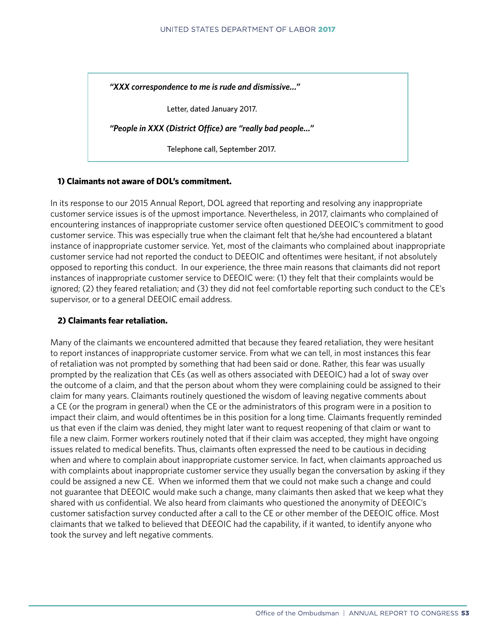*"XXX correspondence to me is rude and dismissive…"*

Letter, dated January 2017.

*"People in XXX (District Office) are "really bad people…"*

Telephone call, September 2017.

#### **1) Claimants not aware of DOL's commitment.**

In its response to our 2015 Annual Report, DOL agreed that reporting and resolving any inappropriate customer service issues is of the upmost importance. Nevertheless, in 2017, claimants who complained of encountering instances of inappropriate customer service often questioned DEEOIC's commitment to good customer service. This was especially true when the claimant felt that he/she had encountered a blatant instance of inappropriate customer service. Yet, most of the claimants who complained about inappropriate customer service had not reported the conduct to DEEOIC and oftentimes were hesitant, if not absolutely opposed to reporting this conduct. In our experience, the three main reasons that claimants did not report instances of inappropriate customer service to DEEOIC were: (1) they felt that their complaints would be ignored; (2) they feared retaliation; and (3) they did not feel comfortable reporting such conduct to the CE's supervisor, or to a general DEEOIC email address.

#### **2) Claimants fear retaliation.**

Many of the claimants we encountered admitted that because they feared retaliation, they were hesitant to report instances of inappropriate customer service. From what we can tell, in most instances this fear of retaliation was not prompted by something that had been said or done. Rather, this fear was usually prompted by the realization that CEs (as well as others associated with DEEOIC) had a lot of sway over the outcome of a claim, and that the person about whom they were complaining could be assigned to their claim for many years. Claimants routinely questioned the wisdom of leaving negative comments about a CE (or the program in general) when the CE or the administrators of this program were in a position to impact their claim, and would oftentimes be in this position for a long time. Claimants frequently reminded us that even if the claim was denied, they might later want to request reopening of that claim or want to file a new claim. Former workers routinely noted that if their claim was accepted, they might have ongoing issues related to medical benefits. Thus, claimants often expressed the need to be cautious in deciding when and where to complain about inappropriate customer service. In fact, when claimants approached us with complaints about inappropriate customer service they usually began the conversation by asking if they could be assigned a new CE. When we informed them that we could not make such a change and could not guarantee that DEEOIC would make such a change, many claimants then asked that we keep what they shared with us confidential. We also heard from claimants who questioned the anonymity of DEEOIC's customer satisfaction survey conducted after a call to the CE or other member of the DEEOIC office. Most claimants that we talked to believed that DEEOIC had the capability, if it wanted, to identify anyone who took the survey and left negative comments.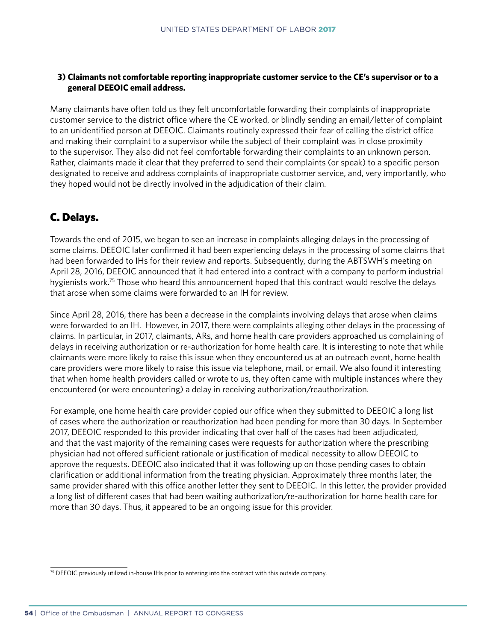#### **3) Claimants not comfortable reporting inappropriate customer service to the CE's supervisor or to a general DEEOIC email address.**

Many claimants have often told us they felt uncomfortable forwarding their complaints of inappropriate customer service to the district office where the CE worked, or blindly sending an email/letter of complaint to an unidentified person at DEEOIC. Claimants routinely expressed their fear of calling the district office and making their complaint to a supervisor while the subject of their complaint was in close proximity to the supervisor. They also did not feel comfortable forwarding their complaints to an unknown person. Rather, claimants made it clear that they preferred to send their complaints (or speak) to a specific person designated to receive and address complaints of inappropriate customer service, and, very importantly, who they hoped would not be directly involved in the adjudication of their claim.

## C. Delays.

Towards the end of 2015, we began to see an increase in complaints alleging delays in the processing of some claims. DEEOIC later confirmed it had been experiencing delays in the processing of some claims that had been forwarded to IHs for their review and reports. Subsequently, during the ABTSWH's meeting on April 28, 2016, DEEOIC announced that it had entered into a contract with a company to perform industrial hygienists work.<sup>75</sup> Those who heard this announcement hoped that this contract would resolve the delays that arose when some claims were forwarded to an IH for review.

Since April 28, 2016, there has been a decrease in the complaints involving delays that arose when claims were forwarded to an IH. However, in 2017, there were complaints alleging other delays in the processing of claims. In particular, in 2017, claimants, ARs, and home health care providers approached us complaining of delays in receiving authorization or re-authorization for home health care. It is interesting to note that while claimants were more likely to raise this issue when they encountered us at an outreach event, home health care providers were more likely to raise this issue via telephone, mail, or email. We also found it interesting that when home health providers called or wrote to us, they often came with multiple instances where they encountered (or were encountering) a delay in receiving authorization/reauthorization.

For example, one home health care provider copied our office when they submitted to DEEOIC a long list of cases where the authorization or reauthorization had been pending for more than 30 days. In September 2017, DEEOIC responded to this provider indicating that over half of the cases had been adjudicated, and that the vast majority of the remaining cases were requests for authorization where the prescribing physician had not offered sufficient rationale or justification of medical necessity to allow DEEOIC to approve the requests. DEEOIC also indicated that it was following up on those pending cases to obtain clarification or additional information from the treating physician. Approximately three months later, the same provider shared with this office another letter they sent to DEEOIC. In this letter, the provider provided a long list of different cases that had been waiting authorization/re-authorization for home health care for more than 30 days. Thus, it appeared to be an ongoing issue for this provider.

 $75$  DEEOIC previously utilized in-house IHs prior to entering into the contract with this outside company.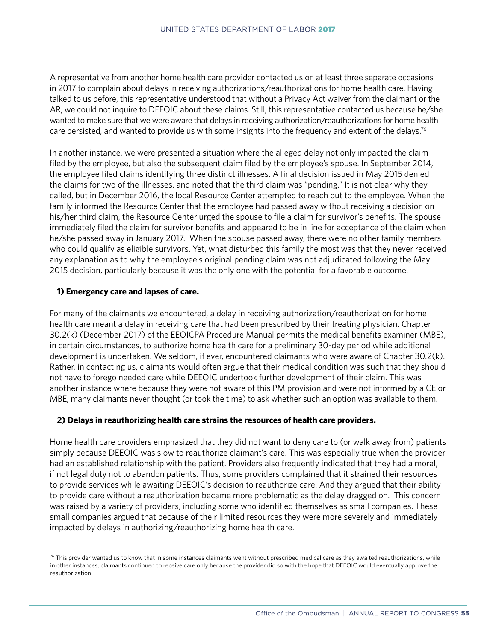A representative from another home health care provider contacted us on at least three separate occasions in 2017 to complain about delays in receiving authorizations/reauthorizations for home health care. Having talked to us before, this representative understood that without a Privacy Act waiver from the claimant or the AR, we could not inquire to DEEOIC about these claims. Still, this representative contacted us because he/she wanted to make sure that we were aware that delays in receiving authorization/reauthorizations for home health care persisted, and wanted to provide us with some insights into the frequency and extent of the delays.<sup>76</sup>

In another instance, we were presented a situation where the alleged delay not only impacted the claim filed by the employee, but also the subsequent claim filed by the employee's spouse. In September 2014, the employee filed claims identifying three distinct illnesses. A final decision issued in May 2015 denied the claims for two of the illnesses, and noted that the third claim was "pending." It is not clear why they called, but in December 2016, the local Resource Center attempted to reach out to the employee. When the family informed the Resource Center that the employee had passed away without receiving a decision on his/her third claim, the Resource Center urged the spouse to file a claim for survivor's benefits. The spouse immediately filed the claim for survivor benefits and appeared to be in line for acceptance of the claim when he/she passed away in January 2017. When the spouse passed away, there were no other family members who could qualify as eligible survivors. Yet, what disturbed this family the most was that they never received any explanation as to why the employee's original pending claim was not adjudicated following the May 2015 decision, particularly because it was the only one with the potential for a favorable outcome.

#### **1) Emergency care and lapses of care.**

For many of the claimants we encountered, a delay in receiving authorization/reauthorization for home health care meant a delay in receiving care that had been prescribed by their treating physician. Chapter 30.2(k) (December 2017) of the EEOICPA Procedure Manual permits the medical benefits examiner (MBE), in certain circumstances, to authorize home health care for a preliminary 30-day period while additional development is undertaken. We seldom, if ever, encountered claimants who were aware of Chapter 30.2(k). Rather, in contacting us, claimants would often argue that their medical condition was such that they should not have to forego needed care while DEEOIC undertook further development of their claim. This was another instance where because they were not aware of this PM provision and were not informed by a CE or MBE, many claimants never thought (or took the time) to ask whether such an option was available to them.

#### **2) Delays in reauthorizing health care strains the resources of health care providers.**

Home health care providers emphasized that they did not want to deny care to (or walk away from) patients simply because DEEOIC was slow to reauthorize claimant's care. This was especially true when the provider had an established relationship with the patient. Providers also frequently indicated that they had a moral, if not legal duty not to abandon patients. Thus, some providers complained that it strained their resources to provide services while awaiting DEEOIC's decision to reauthorize care. And they argued that their ability to provide care without a reauthorization became more problematic as the delay dragged on. This concern was raised by a variety of providers, including some who identified themselves as small companies. These small companies argued that because of their limited resources they were more severely and immediately impacted by delays in authorizing/reauthorizing home health care.

 $76$  This provider wanted us to know that in some instances claimants went without prescribed medical care as they awaited reauthorizations, while in other instances, claimants continued to receive care only because the provider did so with the hope that DEEOIC would eventually approve the reauthorization.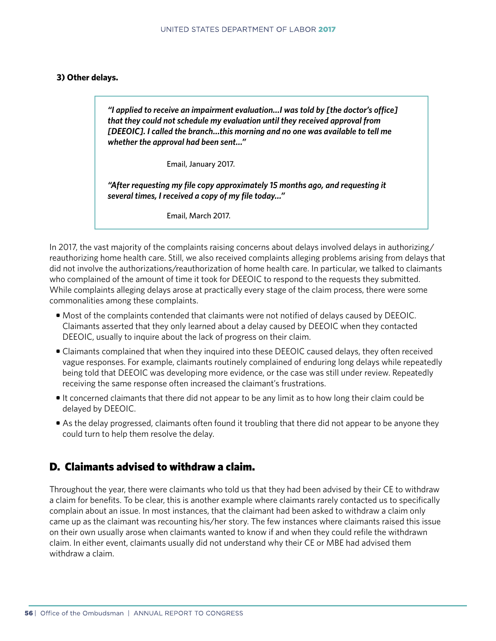#### **3) Other delays.**

 *"I applied to receive an impairment evaluation…I was told by [the doctor's office] that they could not schedule my evaluation until they received approval from [DEEOIC]. I called the branch…this morning and no one was available to tell me whether the approval had been sent…"*

Email, January 2017.

*"After requesting my file copy approximately 15 months ago, and requesting it several times, I received a copy of my file today…"*

Email, March 2017.

In 2017, the vast majority of the complaints raising concerns about delays involved delays in authorizing/ reauthorizing home health care. Still, we also received complaints alleging problems arising from delays that did not involve the authorizations/reauthorization of home health care. In particular, we talked to claimants who complained of the amount of time it took for DEEOIC to respond to the requests they submitted. While complaints alleging delays arose at practically every stage of the claim process, there were some commonalities among these complaints.

- Most of the complaints contended that claimants were not notified of delays caused by DEEOIC. Claimants asserted that they only learned about a delay caused by DEEOIC when they contacted DEEOIC, usually to inquire about the lack of progress on their claim.
- Claimants complained that when they inquired into these DEEOIC caused delays, they often received vague responses. For example, claimants routinely complained of enduring long delays while repeatedly being told that DEEOIC was developing more evidence, or the case was still under review. Repeatedly receiving the same response often increased the claimant's frustrations.
- It concerned claimants that there did not appear to be any limit as to how long their claim could be delayed by DEEOIC.
- As the delay progressed, claimants often found it troubling that there did not appear to be anyone they could turn to help them resolve the delay.

## D. Claimants advised to withdraw a claim.

Throughout the year, there were claimants who told us that they had been advised by their CE to withdraw a claim for benefits. To be clear, this is another example where claimants rarely contacted us to specifically complain about an issue. In most instances, that the claimant had been asked to withdraw a claim only came up as the claimant was recounting his/her story. The few instances where claimants raised this issue on their own usually arose when claimants wanted to know if and when they could refile the withdrawn claim. In either event, claimants usually did not understand why their CE or MBE had advised them withdraw a claim.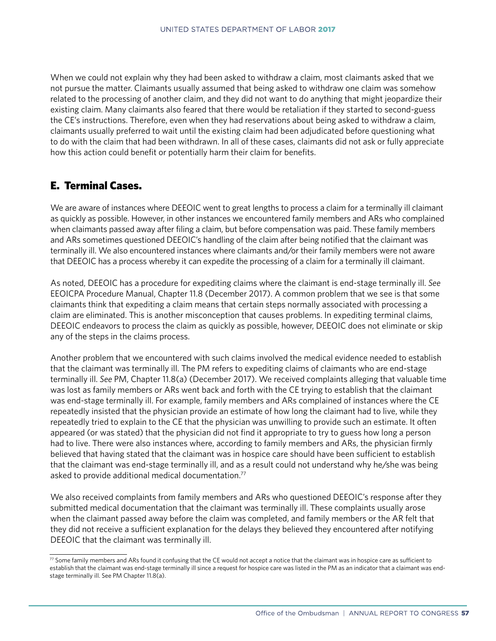When we could not explain why they had been asked to withdraw a claim, most claimants asked that we not pursue the matter. Claimants usually assumed that being asked to withdraw one claim was somehow related to the processing of another claim, and they did not want to do anything that might jeopardize their existing claim. Many claimants also feared that there would be retaliation if they started to second-guess the CE's instructions. Therefore, even when they had reservations about being asked to withdraw a claim, claimants usually preferred to wait until the existing claim had been adjudicated before questioning what to do with the claim that had been withdrawn. In all of these cases, claimants did not ask or fully appreciate how this action could benefit or potentially harm their claim for benefits.

## E. Terminal Cases.

We are aware of instances where DEEOIC went to great lengths to process a claim for a terminally ill claimant as quickly as possible. However, in other instances we encountered family members and ARs who complained when claimants passed away after filing a claim, but before compensation was paid. These family members and ARs sometimes questioned DEEOIC's handling of the claim after being notified that the claimant was terminally ill. We also encountered instances where claimants and/or their family members were not aware that DEEOIC has a process whereby it can expedite the processing of a claim for a terminally ill claimant.

As noted, DEEOIC has a procedure for expediting claims where the claimant is end-stage terminally ill. *See* EEOICPA Procedure Manual, Chapter 11.8 (December 2017). A common problem that we see is that some claimants think that expediting a claim means that certain steps normally associated with processing a claim are eliminated. This is another misconception that causes problems. In expediting terminal claims, DEEOIC endeavors to process the claim as quickly as possible, however, DEEOIC does not eliminate or skip any of the steps in the claims process.

Another problem that we encountered with such claims involved the medical evidence needed to establish that the claimant was terminally ill. The PM refers to expediting claims of claimants who are end-stage terminally ill. *See* PM, Chapter 11.8(a) (December 2017). We received complaints alleging that valuable time was lost as family members or ARs went back and forth with the CE trying to establish that the claimant was end-stage terminally ill. For example, family members and ARs complained of instances where the CE repeatedly insisted that the physician provide an estimate of how long the claimant had to live, while they repeatedly tried to explain to the CE that the physician was unwilling to provide such an estimate. It often appeared (or was stated) that the physician did not find it appropriate to try to guess how long a person had to live. There were also instances where, according to family members and ARs, the physician firmly believed that having stated that the claimant was in hospice care should have been sufficient to establish that the claimant was end-stage terminally ill, and as a result could not understand why he/she was being asked to provide additional medical documentation.<sup>77</sup>

We also received complaints from family members and ARs who questioned DEEOIC's response after they submitted medical documentation that the claimant was terminally ill. These complaints usually arose when the claimant passed away before the claim was completed, and family members or the AR felt that they did not receive a sufficient explanation for the delays they believed they encountered after notifying DEEOIC that the claimant was terminally ill.

<sup>77</sup> Some family members and ARs found it confusing that the CE would not accept a notice that the claimant was in hospice care as sufficient to establish that the claimant was end-stage terminally ill since a request for hospice care was listed in the PM as an indicator that a claimant was endstage terminally ill. See PM Chapter 11.8(a).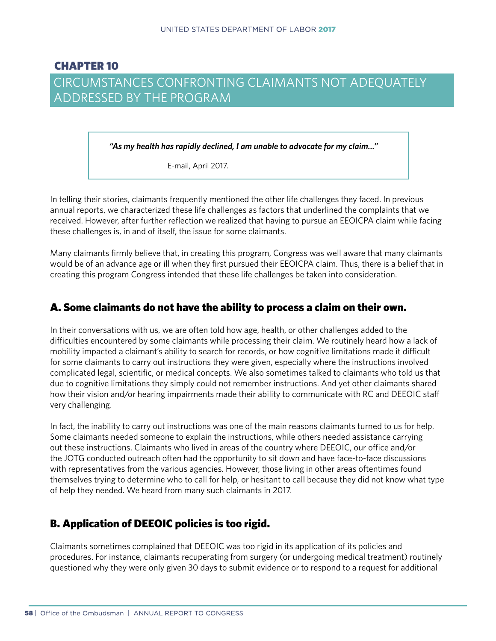## CHAPTER 10 CIRCUMSTANCES CONFRONTING CLAIMANTS NOT ADEQUATELY ADDRESSED BY THE PROGRAM

*"As my health has rapidly declined, I am unable to advocate for my claim..."*

E-mail, April 2017.

In telling their stories, claimants frequently mentioned the other life challenges they faced. In previous annual reports, we characterized these life challenges as factors that underlined the complaints that we received. However, after further reflection we realized that having to pursue an EEOICPA claim while facing these challenges is, in and of itself, the issue for some claimants.

Many claimants firmly believe that, in creating this program, Congress was well aware that many claimants would be of an advance age or ill when they first pursued their EEOICPA claim. Thus, there is a belief that in creating this program Congress intended that these life challenges be taken into consideration.

### A. Some claimants do not have the ability to process a claim on their own.

In their conversations with us, we are often told how age, health, or other challenges added to the difficulties encountered by some claimants while processing their claim. We routinely heard how a lack of mobility impacted a claimant's ability to search for records, or how cognitive limitations made it difficult for some claimants to carry out instructions they were given, especially where the instructions involved complicated legal, scientific, or medical concepts. We also sometimes talked to claimants who told us that due to cognitive limitations they simply could not remember instructions. And yet other claimants shared how their vision and/or hearing impairments made their ability to communicate with RC and DEEOIC staff very challenging.

In fact, the inability to carry out instructions was one of the main reasons claimants turned to us for help. Some claimants needed someone to explain the instructions, while others needed assistance carrying out these instructions. Claimants who lived in areas of the country where DEEOIC, our office and/or the JOTG conducted outreach often had the opportunity to sit down and have face-to-face discussions with representatives from the various agencies. However, those living in other areas oftentimes found themselves trying to determine who to call for help, or hesitant to call because they did not know what type of help they needed. We heard from many such claimants in 2017.

## B. Application of DEEOIC policies is too rigid.

Claimants sometimes complained that DEEOIC was too rigid in its application of its policies and procedures. For instance, claimants recuperating from surgery (or undergoing medical treatment) routinely questioned why they were only given 30 days to submit evidence or to respond to a request for additional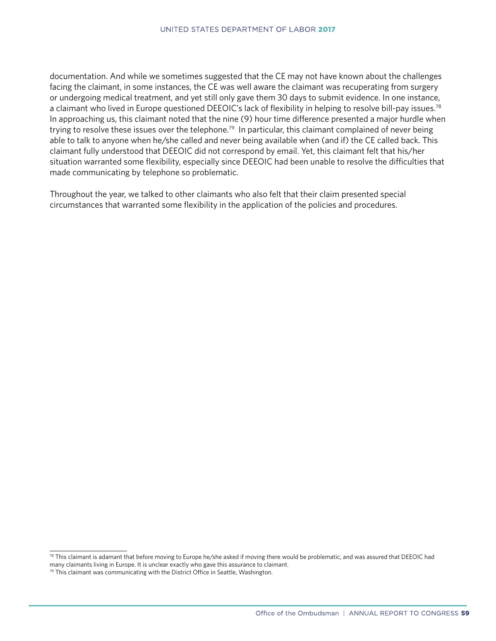documentation. And while we sometimes suggested that the CE may not have known about the challenges facing the claimant, in some instances, the CE was well aware the claimant was recuperating from surgery or undergoing medical treatment, and yet still only gave them 30 days to submit evidence. In one instance, a claimant who lived in Europe questioned DEEOIC's lack of flexibility in helping to resolve bill-pay issues.<sup>78</sup> In approaching us, this claimant noted that the nine (9) hour time difference presented a major hurdle when trying to resolve these issues over the telephone.<sup>79</sup> In particular, this claimant complained of never being able to talk to anyone when he/she called and never being available when (and if) the CE called back. This claimant fully understood that DEEOIC did not correspond by email. Yet, this claimant felt that his/her situation warranted some flexibility, especially since DEEOIC had been unable to resolve the difficulties that made communicating by telephone so problematic.

Throughout the year, we talked to other claimants who also felt that their claim presented special circumstances that warranted some flexibility in the application of the policies and procedures.

<sup>78</sup> This claimant is adamant that before moving to Europe he/she asked if moving there would be problematic, and was assured that DEEOIC had many claimants living in Europe. It is unclear exactly who gave this assurance to claimant.

 $79$  This claimant was communicating with the District Office in Seattle, Washington.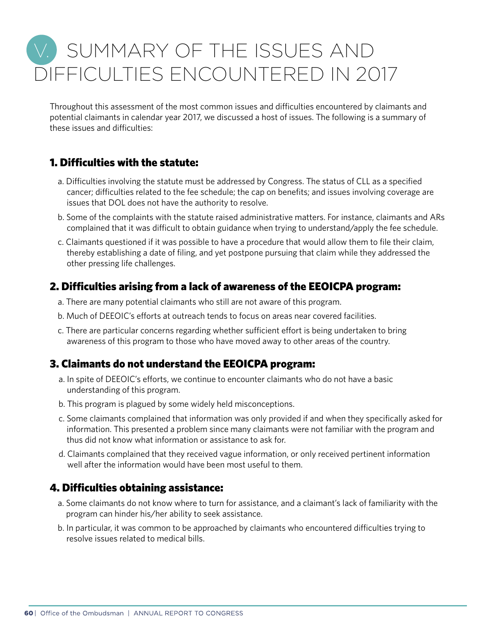# V. SUMMARY OF THE ISSUES AND DIFFICULTIES ENCOUNTERED IN 2017

Throughout this assessment of the most common issues and difficulties encountered by claimants and potential claimants in calendar year 2017, we discussed a host of issues. The following is a summary of these issues and difficulties:

## 1. Difficulties with the statute:

- a. Difficulties involving the statute must be addressed by Congress. The status of CLL as a specified cancer; difficulties related to the fee schedule; the cap on benefits; and issues involving coverage are issues that DOL does not have the authority to resolve.
- b. Some of the complaints with the statute raised administrative matters. For instance, claimants and ARs complained that it was difficult to obtain guidance when trying to understand/apply the fee schedule.
- c. Claimants questioned if it was possible to have a procedure that would allow them to file their claim, thereby establishing a date of filing, and yet postpone pursuing that claim while they addressed the other pressing life challenges.

## 2. Difficulties arising from a lack of awareness of the EEOICPA program:

- a. There are many potential claimants who still are not aware of this program.
- b. Much of DEEOIC's efforts at outreach tends to focus on areas near covered facilities.
- c. There are particular concerns regarding whether sufficient effort is being undertaken to bring awareness of this program to those who have moved away to other areas of the country.

## 3. Claimants do not understand the EEOICPA program:

- a. In spite of DEEOIC's efforts, we continue to encounter claimants who do not have a basic understanding of this program.
- b. This program is plagued by some widely held misconceptions.
- c. Some claimants complained that information was only provided if and when they specifically asked for information. This presented a problem since many claimants were not familiar with the program and thus did not know what information or assistance to ask for.
- d. Claimants complained that they received vague information, or only received pertinent information well after the information would have been most useful to them.

## 4. Difficulties obtaining assistance:

- a. Some claimants do not know where to turn for assistance, and a claimant's lack of familiarity with the program can hinder his/her ability to seek assistance.
- b. In particular, it was common to be approached by claimants who encountered difficulties trying to resolve issues related to medical bills.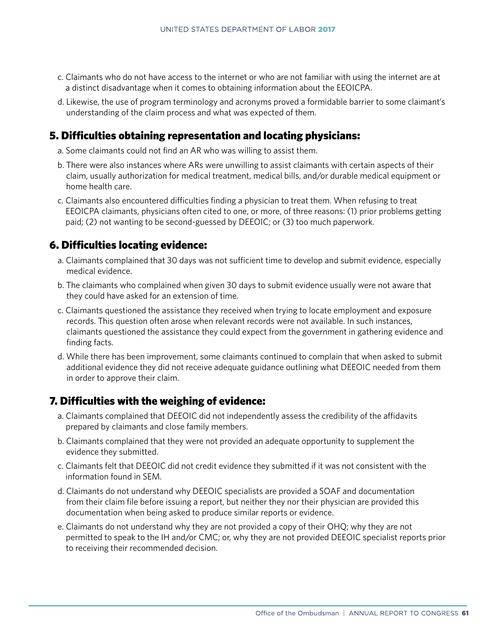- c. Claimants who do not have access to the internet or who are not familiar with using the internet are at a distinct disadvantage when it comes to obtaining information about the EEOICPA.
- d. Likewise, the use of program terminology and acronyms proved a formidable barrier to some claimant's understanding of the claim process and what was expected of them.

### 5. Difficulties obtaining representation and locating physicians:

- a. Some claimants could not find an AR who was willing to assist them.
- b. There were also instances where ARs were unwilling to assist claimants with certain aspects of their claim, usually authorization for medical treatment, medical bills, and/or durable medical equipment or home health care.
- c. Claimants also encountered difficulties finding a physician to treat them. When refusing to treat EEOICPA claimants, physicians often cited to one, or more, of three reasons: (1) prior problems getting paid; (2) not wanting to be second-guessed by DEEOIC; or (3) too much paperwork.

### 6. Difficulties locating evidence:

- a. Claimants complained that 30 days was not sufficient time to develop and submit evidence, especially medical evidence.
- b. The claimants who complained when given 30 days to submit evidence usually were not aware that they could have asked for an extension of time.
- c. Claimants questioned the assistance they received when trying to locate employment and exposure records. This question often arose when relevant records were not available. In such instances, claimants questioned the assistance they could expect from the government in gathering evidence and finding facts.
- d. While there has been improvement, some claimants continued to complain that when asked to submit additional evidence they did not receive adequate guidance outlining what DEEOIC needed from them in order to approve their claim.

### 7. Difficulties with the weighing of evidence:

- a. Claimants complained that DEEOIC did not independently assess the credibility of the affidavits prepared by claimants and close family members.
- b. Claimants complained that they were not provided an adequate opportunity to supplement the evidence they submitted.
- c. Claimants felt that DEEOIC did not credit evidence they submitted if it was not consistent with the information found in SEM.
- d. Claimants do not understand why DEEOIC specialists are provided a SOAF and documentation from their claim file before issuing a report, but neither they nor their physician are provided this documentation when being asked to produce similar reports or evidence.
- e. Claimants do not understand why they are not provided a copy of their OHQ; why they are not permitted to speak to the IH and/or CMC; or, why they are not provided DEEOIC specialist reports prior to receiving their recommended decision.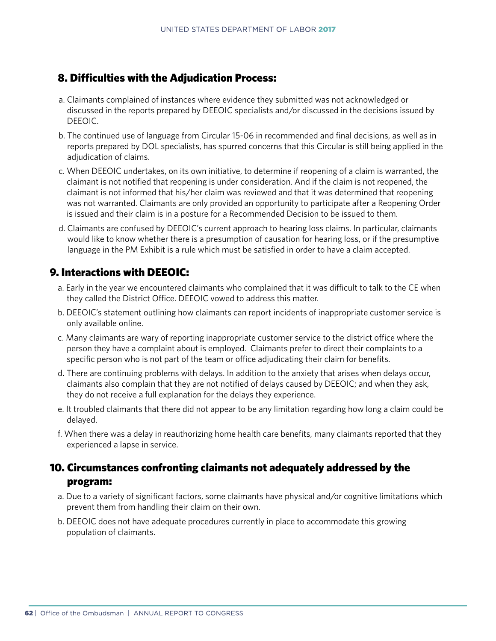## 8. Difficulties with the Adjudication Process:

- a. Claimants complained of instances where evidence they submitted was not acknowledged or discussed in the reports prepared by DEEOIC specialists and/or discussed in the decisions issued by DEEOIC.
- b. The continued use of language from Circular 15-06 in recommended and final decisions, as well as in reports prepared by DOL specialists, has spurred concerns that this Circular is still being applied in the adjudication of claims.
- c. When DEEOIC undertakes, on its own initiative, to determine if reopening of a claim is warranted, the claimant is not notified that reopening is under consideration. And if the claim is not reopened, the claimant is not informed that his/her claim was reviewed and that it was determined that reopening was not warranted. Claimants are only provided an opportunity to participate after a Reopening Order is issued and their claim is in a posture for a Recommended Decision to be issued to them.
- d. Claimants are confused by DEEOIC's current approach to hearing loss claims. In particular, claimants would like to know whether there is a presumption of causation for hearing loss, or if the presumptive language in the PM Exhibit is a rule which must be satisfied in order to have a claim accepted.

## 9. Interactions with DEEOIC:

- a. Early in the year we encountered claimants who complained that it was difficult to talk to the CE when they called the District Office. DEEOIC vowed to address this matter.
- b. DEEOIC's statement outlining how claimants can report incidents of inappropriate customer service is only available online.
- c. Many claimants are wary of reporting inappropriate customer service to the district office where the person they have a complaint about is employed. Claimants prefer to direct their complaints to a specific person who is not part of the team or office adjudicating their claim for benefits.
- d. There are continuing problems with delays. In addition to the anxiety that arises when delays occur, claimants also complain that they are not notified of delays caused by DEEOIC; and when they ask, they do not receive a full explanation for the delays they experience.
- e. It troubled claimants that there did not appear to be any limitation regarding how long a claim could be delayed.
- f. When there was a delay in reauthorizing home health care benefits, many claimants reported that they experienced a lapse in service.

## 10. Circumstances confronting claimants not adequately addressed by the program:

- a. Due to a variety of significant factors, some claimants have physical and/or cognitive limitations which prevent them from handling their claim on their own.
- b. DEEOIC does not have adequate procedures currently in place to accommodate this growing population of claimants.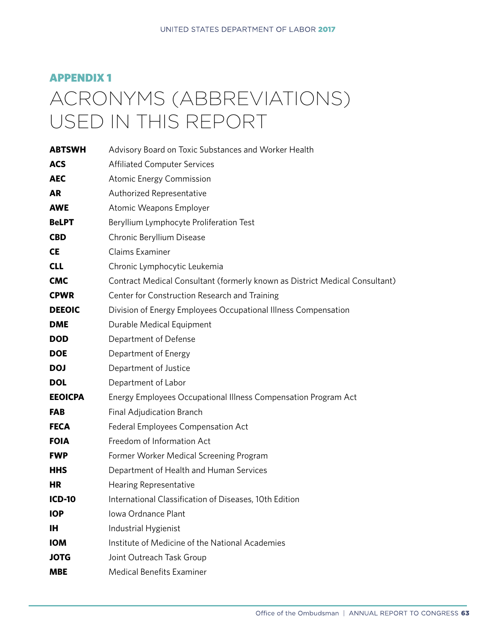# APPENDIX 1 ACRONYMS (ABBREVIATIONS) USED IN THIS REPORT

| <b>ABTSWH</b>  | Advisory Board on Toxic Substances and Worker Health                        |
|----------------|-----------------------------------------------------------------------------|
| <b>ACS</b>     | <b>Affiliated Computer Services</b>                                         |
| <b>AEC</b>     | <b>Atomic Energy Commission</b>                                             |
| <b>AR</b>      | Authorized Representative                                                   |
| <b>AWE</b>     | Atomic Weapons Employer                                                     |
| <b>BeLPT</b>   | Beryllium Lymphocyte Proliferation Test                                     |
| <b>CBD</b>     | Chronic Beryllium Disease                                                   |
| <b>CE</b>      | Claims Examiner                                                             |
| <b>CLL</b>     | Chronic Lymphocytic Leukemia                                                |
| <b>CMC</b>     | Contract Medical Consultant (formerly known as District Medical Consultant) |
| <b>CPWR</b>    | Center for Construction Research and Training                               |
| <b>DEEOIC</b>  | Division of Energy Employees Occupational Illness Compensation              |
| <b>DME</b>     | Durable Medical Equipment                                                   |
| <b>DOD</b>     | Department of Defense                                                       |
| <b>DOE</b>     | Department of Energy                                                        |
| <b>DOJ</b>     | Department of Justice                                                       |
| <b>DOL</b>     | Department of Labor                                                         |
| <b>EEOICPA</b> | Energy Employees Occupational Illness Compensation Program Act              |
| <b>FAB</b>     | Final Adjudication Branch                                                   |
| <b>FECA</b>    | Federal Employees Compensation Act                                          |
| <b>FOIA</b>    | Freedom of Information Act                                                  |
| <b>FWP</b>     | Former Worker Medical Screening Program                                     |
| <b>HHS</b>     | Department of Health and Human Services                                     |
| <b>HR</b>      | Hearing Representative                                                      |
| <b>ICD-10</b>  | International Classification of Diseases, 10th Edition                      |
| <b>IOP</b>     | Iowa Ordnance Plant                                                         |
| <b>IH</b>      | Industrial Hygienist                                                        |
| <b>IOM</b>     | Institute of Medicine of the National Academies                             |
| <b>JOTG</b>    | Joint Outreach Task Group                                                   |
| <b>MBE</b>     | <b>Medical Benefits Examiner</b>                                            |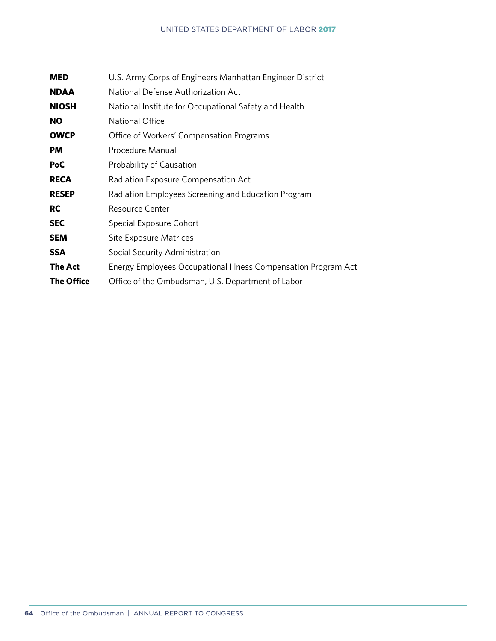| <b>MED</b>        | U.S. Army Corps of Engineers Manhattan Engineer District       |
|-------------------|----------------------------------------------------------------|
| <b>NDAA</b>       | National Defense Authorization Act                             |
| <b>NIOSH</b>      | National Institute for Occupational Safety and Health          |
| NO                | National Office                                                |
| <b>OWCP</b>       | Office of Workers' Compensation Programs                       |
| PM                | Procedure Manual                                               |
| PoC               | Probability of Causation                                       |
| <b>RECA</b>       | Radiation Exposure Compensation Act                            |
| <b>RESEP</b>      | Radiation Employees Screening and Education Program            |
| <b>RC</b>         | <b>Resource Center</b>                                         |
| <b>SEC</b>        | Special Exposure Cohort                                        |
| <b>SEM</b>        | <b>Site Exposure Matrices</b>                                  |
| <b>SSA</b>        | Social Security Administration                                 |
| <b>The Act</b>    | Energy Employees Occupational Illness Compensation Program Act |
| <b>The Office</b> | Office of the Ombudsman, U.S. Department of Labor              |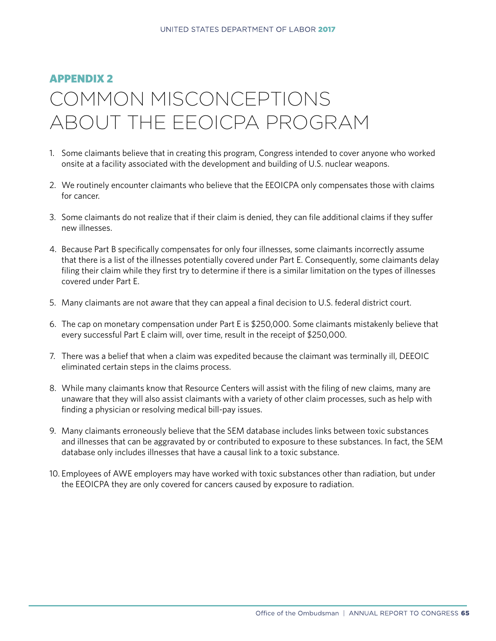#### APPENDIX 2

# COMMON MISCONCEPTIONS ABOUT THE EEOICPA PROGRAM

- 1. Some claimants believe that in creating this program, Congress intended to cover anyone who worked onsite at a facility associated with the development and building of U.S. nuclear weapons.
- 2. We routinely encounter claimants who believe that the EEOICPA only compensates those with claims for cancer.
- 3. Some claimants do not realize that if their claim is denied, they can file additional claims if they suffer new illnesses.
- 4. Because Part B specifically compensates for only four illnesses, some claimants incorrectly assume that there is a list of the illnesses potentially covered under Part E. Consequently, some claimants delay filing their claim while they first try to determine if there is a similar limitation on the types of illnesses covered under Part E.
- 5. Many claimants are not aware that they can appeal a final decision to U.S. federal district court.
- 6. The cap on monetary compensation under Part E is \$250,000. Some claimants mistakenly believe that every successful Part E claim will, over time, result in the receipt of \$250,000.
- 7. There was a belief that when a claim was expedited because the claimant was terminally ill, DEEOIC eliminated certain steps in the claims process.
- 8. While many claimants know that Resource Centers will assist with the filing of new claims, many are unaware that they will also assist claimants with a variety of other claim processes, such as help with finding a physician or resolving medical bill-pay issues.
- 9. Many claimants erroneously believe that the SEM database includes links between toxic substances and illnesses that can be aggravated by or contributed to exposure to these substances. In fact, the SEM database only includes illnesses that have a causal link to a toxic substance.
- 10. Employees of AWE employers may have worked with toxic substances other than radiation, but under the EEOICPA they are only covered for cancers caused by exposure to radiation.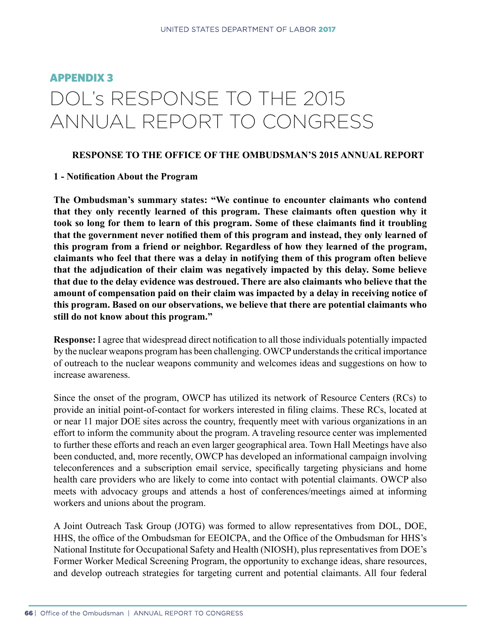# APPENDIX 3 DOL's RESPONSE TO THE 2015 ANNUAL REPORT TO CONGRESS

#### **RESPONSE TO THE OFFICE OF THE OMBUDSMAN'S 2015 ANNUAL REPORT**

#### **1 - Notification About the Program**

**The Ombudsman's summary states: "We continue to encounter claimants who contend that they only recently learned of this program. These claimants often question why it took so long for them to learn of this program. Some of these claimants find it troubling that the government never notified them of this program and instead, they only learned of this program from a friend or neighbor. Regardless of how they learned of the program, claimants who feel that there was a delay in notifying them of this program often believe that the adjudication of their claim was negatively impacted by this delay. Some believe that due to the delay evidence was destroued. There are also claimants who believe that the amount of compensation paid on their claim was impacted by a delay in receiving notice of this program. Based on our observations, we believe that there are potential claimants who still do not know about this program."**

**Response:** I agree that widespread direct notification to all those individuals potentially impacted by the nuclear weapons program has been challenging. OWCP understands the critical importance of outreach to the nuclear weapons community and welcomes ideas and suggestions on how to increase awareness.

Since the onset of the program, OWCP has utilized its network of Resource Centers (RCs) to provide an initial point-of-contact for workers interested in filing claims. These RCs, located at or near 11 major DOE sites across the country, frequently meet with various organizations in an effort to inform the community about the program. A traveling resource center was implemented to further these efforts and reach an even larger geographical area. Town Hall Meetings have also been conducted, and, more recently, OWCP has developed an informational campaign involving teleconferences and a subscription email service, specifically targeting physicians and home health care providers who are likely to come into contact with potential claimants. OWCP also meets with advocacy groups and attends a host of conferences/meetings aimed at informing workers and unions about the program.

A Joint Outreach Task Group (JOTG) was formed to allow representatives from DOL, DOE, HHS, the office of the Ombudsman for EEOICPA, and the Office of the Ombudsman for HHS's National Institute for Occupational Safety and Health (NIOSH), plus representatives from DOE's Former Worker Medical Screening Program, the opportunity to exchange ideas, share resources, and develop outreach strategies for targeting current and potential claimants. All four federal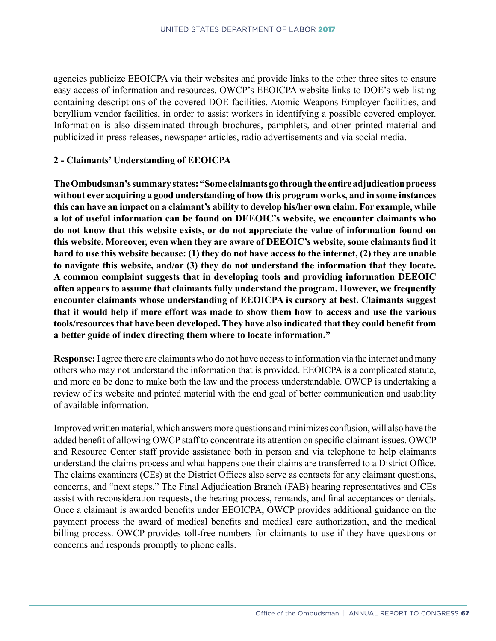agencies publicize EEOICPA via their websites and provide links to the other three sites to ensure easy access of information and resources. OWCP's EEOICPA website links to DOE's web listing containing descriptions of the covered DOE facilities, Atomic Weapons Employer facilities, and beryllium vendor facilities, in order to assist workers in identifying a possible covered employer. Information is also disseminated through brochures, pamphlets, and other printed material and publicized in press releases, newspaper articles, radio advertisements and via social media.

## **2 - Claimants' Understanding of EEOICPA**

**The Ombudsman's summary states: "Some claimants go through the entire adjudication process without ever acquiring a good understanding of how this program works, and in some instances this can have an impact on a claimant's ability to develop his/her own claim. For example, while a lot of useful information can be found on DEEOIC's website, we encounter claimants who do not know that this website exists, or do not appreciate the value of information found on this website. Moreover, even when they are aware of DEEOIC's website, some claimants find it hard to use this website because: (1) they do not have access to the internet, (2) they are unable to navigate this website, and/or (3) they do not understand the information that they locate. A common complaint suggests that in developing tools and providing information DEEOIC often appears to assume that claimants fully understand the program. However, we frequently encounter claimants whose understanding of EEOICPA is cursory at best. Claimants suggest that it would help if more effort was made to show them how to access and use the various tools/resources that have been developed. They have also indicated that they could benefit from a better guide of index directing them where to locate information."**

**Response:** I agree there are claimants who do not have access to information via the internet and many others who may not understand the information that is provided. EEOICPA is a complicated statute, and more ca be done to make both the law and the process understandable. OWCP is undertaking a review of its website and printed material with the end goal of better communication and usability of available information.

Improved written material, which answers more questions and minimizes confusion, will also have the added benefit of allowing OWCP staff to concentrate its attention on specific claimant issues. OWCP and Resource Center staff provide assistance both in person and via telephone to help claimants understand the claims process and what happens one their claims are transferred to a District Office. The claims examiners (CEs) at the District Offices also serve as contacts for any claimant questions, concerns, and "next steps." The Final Adjudication Branch (FAB) hearing representatives and CEs assist with reconsideration requests, the hearing process, remands, and final acceptances or denials. Once a claimant is awarded benefits under EEOICPA, OWCP provides additional guidance on the payment process the award of medical benefits and medical care authorization, and the medical billing process. OWCP provides toll-free numbers for claimants to use if they have questions or concerns and responds promptly to phone calls.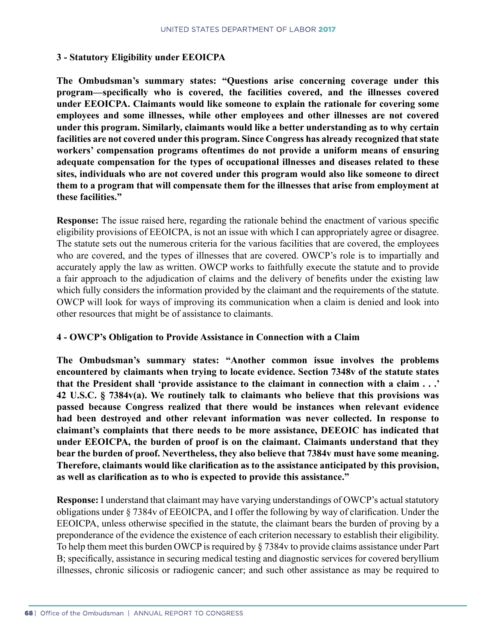## **3 - Statutory Eligibility under EEOICPA**

**The Ombudsman's summary states: "Questions arise concerning coverage under this program—specifically who is covered, the facilities covered, and the illnesses covered under EEOICPA. Claimants would like someone to explain the rationale for covering some employees and some illnesses, while other employees and other illnesses are not covered under this program. Similarly, claimants would like a better understanding as to why certain facilities are not covered under this program. Since Congress has already recognized that state workers' compensation programs oftentimes do not provide a uniform means of ensuring adequate compensation for the types of occupational illnesses and diseases related to these sites, individuals who are not covered under this program would also like someone to direct them to a program that will compensate them for the illnesses that arise from employment at these facilities."**

**Response:** The issue raised here, regarding the rationale behind the enactment of various specific eligibility provisions of EEOICPA, is not an issue with which I can appropriately agree or disagree. The statute sets out the numerous criteria for the various facilities that are covered, the employees who are covered, and the types of illnesses that are covered. OWCP's role is to impartially and accurately apply the law as written. OWCP works to faithfully execute the statute and to provide a fair approach to the adjudication of claims and the delivery of benefits under the existing law which fully considers the information provided by the claimant and the requirements of the statute. OWCP will look for ways of improving its communication when a claim is denied and look into other resources that might be of assistance to claimants.

#### **4 - OWCP's Obligation to Provide Assistance in Connection with a Claim**

**The Ombudsman's summary states: "Another common issue involves the problems encountered by claimants when trying to locate evidence. Section 7348v of the statute states that the President shall 'provide assistance to the claimant in connection with a claim . . .' 42 U.S.C. § 7384v(a). We routinely talk to claimants who believe that this provisions was passed because Congress realized that there would be instances when relevant evidence had been destroyed and other relevant information was never collected. In response to claimant's complaints that there needs to be more assistance, DEEOIC has indicated that under EEOICPA, the burden of proof is on the claimant. Claimants understand that they bear the burden of proof. Nevertheless, they also believe that 7384v must have some meaning. Therefore, claimants would like clarification as to the assistance anticipated by this provision, as well as clarification as to who is expected to provide this assistance."**

**Response:** I understand that claimant may have varying understandings of OWCP's actual statutory obligations under § 7384v of EEOICPA, and I offer the following by way of clarification. Under the EEOICPA, unless otherwise specified in the statute, the claimant bears the burden of proving by a preponderance of the evidence the existence of each criterion necessary to establish their eligibility. To help them meet this burden OWCP is required by § 7384v to provide claims assistance under Part B; specifically, assistance in securing medical testing and diagnostic services for covered beryllium illnesses, chronic silicosis or radiogenic cancer; and such other assistance as may be required to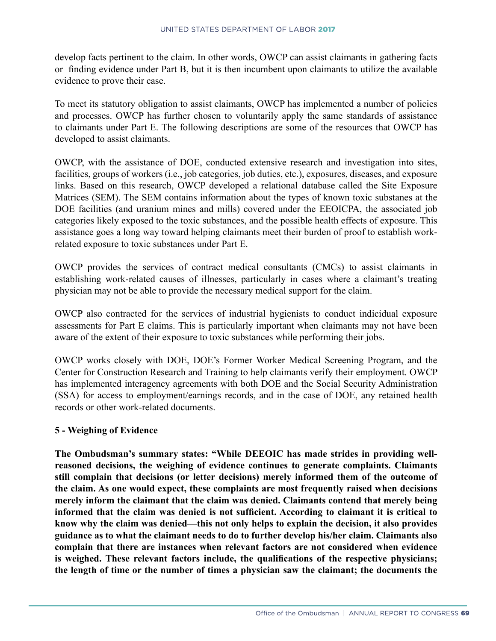develop facts pertinent to the claim. In other words, OWCP can assist claimants in gathering facts or finding evidence under Part B, but it is then incumbent upon claimants to utilize the available evidence to prove their case.

To meet its statutory obligation to assist claimants, OWCP has implemented a number of policies and processes. OWCP has further chosen to voluntarily apply the same standards of assistance to claimants under Part E. The following descriptions are some of the resources that OWCP has developed to assist claimants.

OWCP, with the assistance of DOE, conducted extensive research and investigation into sites, facilities, groups of workers (i.e., job categories, job duties, etc.), exposures, diseases, and exposure links. Based on this research, OWCP developed a relational database called the Site Exposure Matrices (SEM). The SEM contains information about the types of known toxic substanes at the DOE facilities (and uranium mines and mills) covered under the EEOICPA, the associated job categories likely exposed to the toxic substances, and the possible health effects of exposure. This assistance goes a long way toward helping claimants meet their burden of proof to establish workrelated exposure to toxic substances under Part E.

OWCP provides the services of contract medical consultants (CMCs) to assist claimants in establishing work-related causes of illnesses, particularly in cases where a claimant's treating physician may not be able to provide the necessary medical support for the claim.

OWCP also contracted for the services of industrial hygienists to conduct indicidual exposure assessments for Part E claims. This is particularly important when claimants may not have been aware of the extent of their exposure to toxic substances while performing their jobs.

OWCP works closely with DOE, DOE's Former Worker Medical Screening Program, and the Center for Construction Research and Training to help claimants verify their employment. OWCP has implemented interagency agreements with both DOE and the Social Security Administration (SSA) for access to employment/earnings records, and in the case of DOE, any retained health records or other work-related documents.

#### **5 - Weighing of Evidence**

**The Ombudsman's summary states: "While DEEOIC has made strides in providing wellreasoned decisions, the weighing of evidence continues to generate complaints. Claimants still complain that decisions (or letter decisions) merely informed them of the outcome of the claim. As one would expect, these complaints are most frequently raised when decisions merely inform the claimant that the claim was denied. Claimants contend that merely being informed that the claim was denied is not sufficient. According to claimant it is critical to know why the claim was denied—this not only helps to explain the decision, it also provides guidance as to what the claimant needs to do to further develop his/her claim. Claimants also complain that there are instances when relevant factors are not considered when evidence is weighed. These relevant factors include, the qualifications of the respective physicians; the length of time or the number of times a physician saw the claimant; the documents the**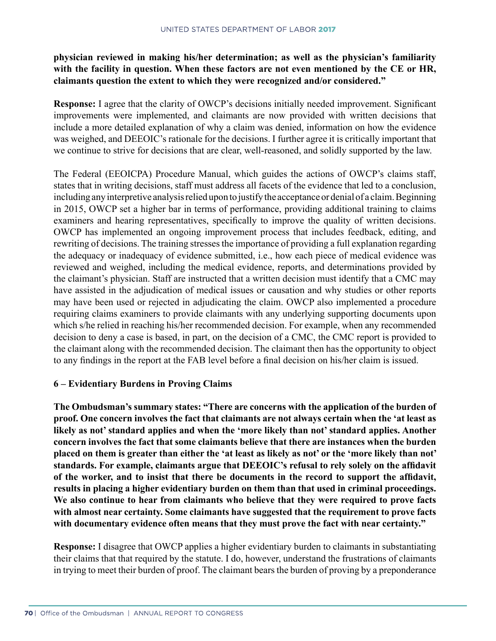# **physician reviewed in making his/her determination; as well as the physician's familiarity with the facility in question. When these factors are not even mentioned by the CE or HR, claimants question the extent to which they were recognized and/or considered."**

**Response:** I agree that the clarity of OWCP's decisions initially needed improvement. Significant improvements were implemented, and claimants are now provided with written decisions that include a more detailed explanation of why a claim was denied, information on how the evidence was weighed, and DEEOIC's rationale for the decisions. I further agree it is critically important that we continue to strive for decisions that are clear, well-reasoned, and solidly supported by the law.

The Federal (EEOICPA) Procedure Manual, which guides the actions of OWCP's claims staff, states that in writing decisions, staff must address all facets of the evidence that led to a conclusion, including any interpretive analysis relied upon to justify the acceptance or denial of a claim. Beginning in 2015, OWCP set a higher bar in terms of performance, providing additional training to claims examiners and hearing representatives, specifically to improve the quality of written decisions. OWCP has implemented an ongoing improvement process that includes feedback, editing, and rewriting of decisions. The training stresses the importance of providing a full explanation regarding the adequacy or inadequacy of evidence submitted, i.e., how each piece of medical evidence was reviewed and weighed, including the medical evidence, reports, and determinations provided by the claimant's physician. Staff are instructed that a written decision must identify that a CMC may have assisted in the adjudication of medical issues or causation and why studies or other reports may have been used or rejected in adjudicating the claim. OWCP also implemented a procedure requiring claims examiners to provide claimants with any underlying supporting documents upon which s/he relied in reaching his/her recommended decision. For example, when any recommended decision to deny a case is based, in part, on the decision of a CMC, the CMC report is provided to the claimant along with the recommended decision. The claimant then has the opportunity to object to any findings in the report at the FAB level before a final decision on his/her claim is issued.

#### **6 – Evidentiary Burdens in Proving Claims**

**The Ombudsman's summary states: "There are concerns with the application of the burden of proof. One concern involves the fact that claimants are not always certain when the 'at least as likely as not' standard applies and when the 'more likely than not' standard applies. Another concern involves the fact that some claimants believe that there are instances when the burden placed on them is greater than either the 'at least as likely as not' or the 'more likely than not' standards. For example, claimants argue that DEEOIC's refusal to rely solely on the affidavit of the worker, and to insist that there be documents in the record to support the affidavit, results in placing a higher evidentiary burden on them than that used in criminal proceedings. We also continue to hear from claimants who believe that they were required to prove facts with almost near certainty. Some claimants have suggested that the requirement to prove facts with documentary evidence often means that they must prove the fact with near certainty."**

**Response:** I disagree that OWCP applies a higher evidentiary burden to claimants in substantiating their claims that that required by the statute. I do, however, understand the frustrations of claimants in trying to meet their burden of proof. The claimant bears the burden of proving by a preponderance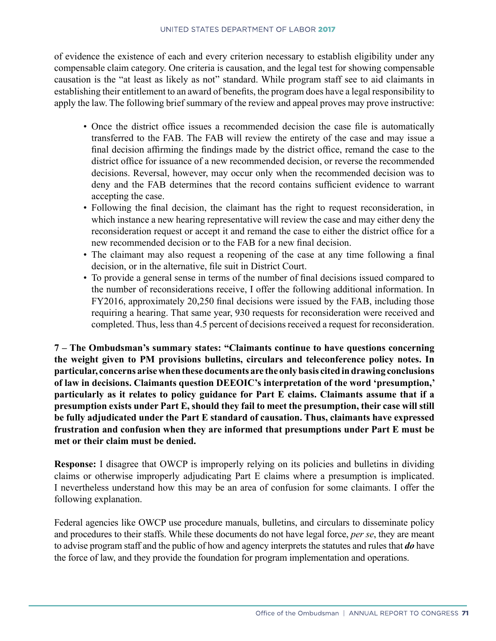of evidence the existence of each and every criterion necessary to establish eligibility under any compensable claim category. One criteria is causation, and the legal test for showing compensable causation is the "at least as likely as not" standard. While program staff see to aid claimants in establishing their entitlement to an award of benefits, the program does have a legal responsibility to apply the law. The following brief summary of the review and appeal proves may prove instructive:

- Once the district office issues a recommended decision the case file is automatically transferred to the FAB. The FAB will review the entirety of the case and may issue a final decision affirming the findings made by the district office, remand the case to the district office for issuance of a new recommended decision, or reverse the recommended decisions. Reversal, however, may occur only when the recommended decision was to deny and the FAB determines that the record contains sufficient evidence to warrant accepting the case.
- Following the final decision, the claimant has the right to request reconsideration, in which instance a new hearing representative will review the case and may either deny the reconsideration request or accept it and remand the case to either the district office for a new recommended decision or to the FAB for a new final decision.
- The claimant may also request a reopening of the case at any time following a final decision, or in the alternative, file suit in District Court.
- To provide a general sense in terms of the number of final decisions issued compared to the number of reconsiderations receive, I offer the following additional information. In FY2016, approximately 20,250 final decisions were issued by the FAB, including those requiring a hearing. That same year, 930 requests for reconsideration were received and completed. Thus, less than 4.5 percent of decisions received a request for reconsideration.

**7 – The Ombudsman's summary states: "Claimants continue to have questions concerning the weight given to PM provisions bulletins, circulars and teleconference policy notes. In particular, concerns arise when these documents are the only basis cited in drawing conclusions of law in decisions. Claimants question DEEOIC's interpretation of the word 'presumption,' particularly as it relates to policy guidance for Part E claims. Claimants assume that if a presumption exists under Part E, should they fail to meet the presumption, their case will still be fully adjudicated under the Part E standard of causation. Thus, claimants have expressed frustration and confusion when they are informed that presumptions under Part E must be met or their claim must be denied.**

**Response:** I disagree that OWCP is improperly relying on its policies and bulletins in dividing claims or otherwise improperly adjudicating Part E claims where a presumption is implicated. I nevertheless understand how this may be an area of confusion for some claimants. I offer the following explanation.

Federal agencies like OWCP use procedure manuals, bulletins, and circulars to disseminate policy and procedures to their staffs. While these documents do not have legal force, *per se*, they are meant to advise program staff and the public of how and agency interprets the statutes and rules that *do* have the force of law, and they provide the foundation for program implementation and operations.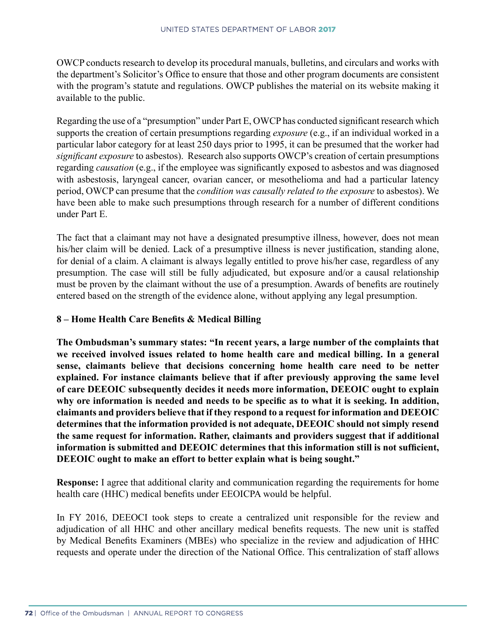OWCP conducts research to develop its procedural manuals, bulletins, and circulars and works with the department's Solicitor's Office to ensure that those and other program documents are consistent with the program's statute and regulations. OWCP publishes the material on its website making it available to the public.

Regarding the use of a "presumption" under Part E, OWCP has conducted significant research which supports the creation of certain presumptions regarding *exposure* (e.g., if an individual worked in a particular labor category for at least 250 days prior to 1995, it can be presumed that the worker had *significant exposure* to asbestos). Research also supports OWCP's creation of certain presumptions regarding *causation* (e.g., if the employee was significantly exposed to asbestos and was diagnosed with asbestosis, laryngeal cancer, ovarian cancer, or mesothelioma and had a particular latency period, OWCP can presume that the *condition was causally related to the exposure* to asbestos). We have been able to make such presumptions through research for a number of different conditions under Part E.

The fact that a claimant may not have a designated presumptive illness, however, does not mean his/her claim will be denied. Lack of a presumptive illness is never justification, standing alone, for denial of a claim. A claimant is always legally entitled to prove his/her case, regardless of any presumption. The case will still be fully adjudicated, but exposure and/or a causal relationship must be proven by the claimant without the use of a presumption. Awards of benefits are routinely entered based on the strength of the evidence alone, without applying any legal presumption.

# **8 – Home Health Care Benefits & Medical Billing**

**The Ombudsman's summary states: "In recent years, a large number of the complaints that we received involved issues related to home health care and medical billing. In a general sense, claimants believe that decisions concerning home health care need to be netter explained. For instance claimants believe that if after previously approving the same level of care DEEOIC subsequently decides it needs more information, DEEOIC ought to explain why ore information is needed and needs to be specific as to what it is seeking. In addition, claimants and providers believe that if they respond to a request for information and DEEOIC determines that the information provided is not adequate, DEEOIC should not simply resend the same request for information. Rather, claimants and providers suggest that if additional information is submitted and DEEOIC determines that this information still is not sufficient, DEEOIC ought to make an effort to better explain what is being sought."**

**Response:** I agree that additional clarity and communication regarding the requirements for home health care (HHC) medical benefits under EEOICPA would be helpful.

In FY 2016, DEEOCI took steps to create a centralized unit responsible for the review and adjudication of all HHC and other ancillary medical benefits requests. The new unit is staffed by Medical Benefits Examiners (MBEs) who specialize in the review and adjudication of HHC requests and operate under the direction of the National Office. This centralization of staff allows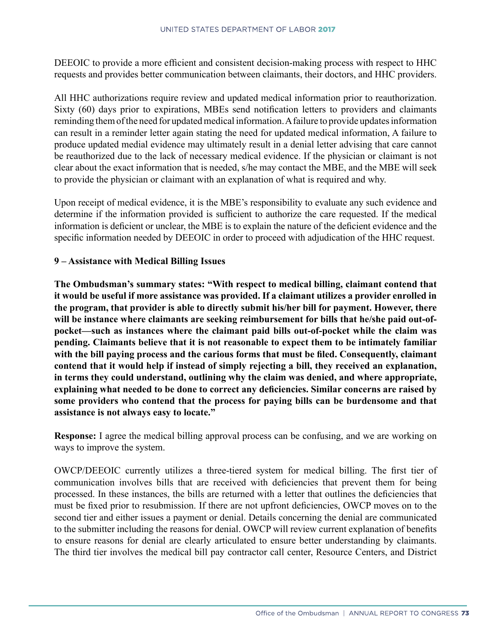DEEOIC to provide a more efficient and consistent decision-making process with respect to HHC requests and provides better communication between claimants, their doctors, and HHC providers.

All HHC authorizations require review and updated medical information prior to reauthorization. Sixty (60) days prior to expirations, MBEs send notification letters to providers and claimants reminding them of the need for updated medical information. A failure to provide updates information can result in a reminder letter again stating the need for updated medical information, A failure to produce updated medial evidence may ultimately result in a denial letter advising that care cannot be reauthorized due to the lack of necessary medical evidence. If the physician or claimant is not clear about the exact information that is needed, s/he may contact the MBE, and the MBE will seek to provide the physician or claimant with an explanation of what is required and why.

Upon receipt of medical evidence, it is the MBE's responsibility to evaluate any such evidence and determine if the information provided is sufficient to authorize the care requested. If the medical information is deficient or unclear, the MBE is to explain the nature of the deficient evidence and the specific information needed by DEEOIC in order to proceed with adjudication of the HHC request.

#### **9 – Assistance with Medical Billing Issues**

**The Ombudsman's summary states: "With respect to medical billing, claimant contend that it would be useful if more assistance was provided. If a claimant utilizes a provider enrolled in the program, that provider is able to directly submit his/her bill for payment. However, there will be instance where claimants are seeking reimbursement for bills that he/she paid out-ofpocket—such as instances where the claimant paid bills out-of-pocket while the claim was pending. Claimants believe that it is not reasonable to expect them to be intimately familiar with the bill paying process and the carious forms that must be filed. Consequently, claimant contend that it would help if instead of simply rejecting a bill, they received an explanation, in terms they could understand, outlining why the claim was denied, and where appropriate, explaining what needed to be done to correct any deficiencies. Similar concerns are raised by some providers who contend that the process for paying bills can be burdensome and that assistance is not always easy to locate."**

**Response:** I agree the medical billing approval process can be confusing, and we are working on ways to improve the system.

OWCP/DEEOIC currently utilizes a three-tiered system for medical billing. The first tier of communication involves bills that are received with deficiencies that prevent them for being processed. In these instances, the bills are returned with a letter that outlines the deficiencies that must be fixed prior to resubmission. If there are not upfront deficiencies, OWCP moves on to the second tier and either issues a payment or denial. Details concerning the denial are communicated to the submitter including the reasons for denial. OWCP will review current explanation of benefits to ensure reasons for denial are clearly articulated to ensure better understanding by claimants. The third tier involves the medical bill pay contractor call center, Resource Centers, and District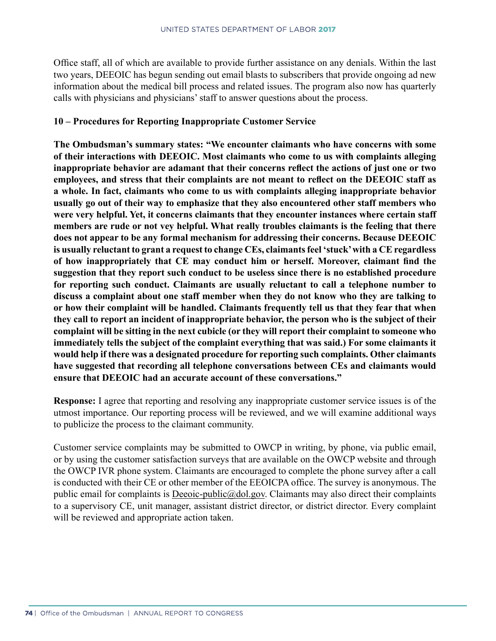Office staff, all of which are available to provide further assistance on any denials. Within the last two years, DEEOIC has begun sending out email blasts to subscribers that provide ongoing ad new information about the medical bill process and related issues. The program also now has quarterly calls with physicians and physicians' staff to answer questions about the process.

### **10 – Procedures for Reporting Inappropriate Customer Service**

**The Ombudsman's summary states: "We encounter claimants who have concerns with some of their interactions with DEEOIC. Most claimants who come to us with complaints alleging inappropriate behavior are adamant that their concerns reflect the actions of just one or two employees, and stress that their complaints are not meant to reflect on the DEEOIC staff as a whole. In fact, claimants who come to us with complaints alleging inappropriate behavior usually go out of their way to emphasize that they also encountered other staff members who were very helpful. Yet, it concerns claimants that they encounter instances where certain staff members are rude or not vey helpful. What really troubles claimants is the feeling that there does not appear to be any formal mechanism for addressing their concerns. Because DEEOIC is usually reluctant to grant a request to change CEs, claimants feel 'stuck' with a CE regardless of how inappropriately that CE may conduct him or herself. Moreover, claimant find the suggestion that they report such conduct to be useless since there is no established procedure for reporting such conduct. Claimants are usually reluctant to call a telephone number to discuss a complaint about one staff member when they do not know who they are talking to or how their complaint will be handled. Claimants frequently tell us that they fear that when they call to report an incident of inappropriate behavior, the person who is the subject of their complaint will be sitting in the next cubicle (or they will report their complaint to someone who immediately tells the subject of the complaint everything that was said.) For some claimants it would help if there was a designated procedure for reporting such complaints. Other claimants have suggested that recording all telephone conversations between CEs and claimants would ensure that DEEOIC had an accurate account of these conversations."**

**Response:** I agree that reporting and resolving any inappropriate customer service issues is of the utmost importance. Our reporting process will be reviewed, and we will examine additional ways to publicize the process to the claimant community.

Customer service complaints may be submitted to OWCP in writing, by phone, via public email, or by using the customer satisfaction surveys that are available on the OWCP website and through the OWCP IVR phone system. Claimants are encouraged to complete the phone survey after a call is conducted with their CE or other member of the EEOICPA office. The survey is anonymous. The public email for complaints is [Deeoic-public@dol.gov](mailto:Deeoic-public%40dol.gov?subject=Phone%20Survey). Claimants may also direct their complaints to a supervisory CE, unit manager, assistant district director, or district director. Every complaint will be reviewed and appropriate action taken.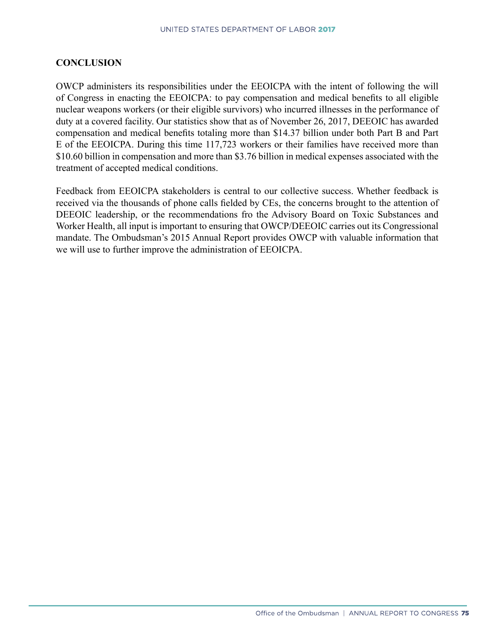## **CONCLUSION**

OWCP administers its responsibilities under the EEOICPA with the intent of following the will of Congress in enacting the EEOICPA: to pay compensation and medical benefits to all eligible nuclear weapons workers (or their eligible survivors) who incurred illnesses in the performance of duty at a covered facility. Our statistics show that as of November 26, 2017, DEEOIC has awarded compensation and medical benefits totaling more than \$14.37 billion under both Part B and Part E of the EEOICPA. During this time 117,723 workers or their families have received more than \$10.60 billion in compensation and more than \$3.76 billion in medical expenses associated with the treatment of accepted medical conditions.

Feedback from EEOICPA stakeholders is central to our collective success. Whether feedback is received via the thousands of phone calls fielded by CEs, the concerns brought to the attention of DEEOIC leadership, or the recommendations fro the Advisory Board on Toxic Substances and Worker Health, all input is important to ensuring that OWCP/DEEOIC carries out its Congressional mandate. The Ombudsman's 2015 Annual Report provides OWCP with valuable information that we will use to further improve the administration of EEOICPA.